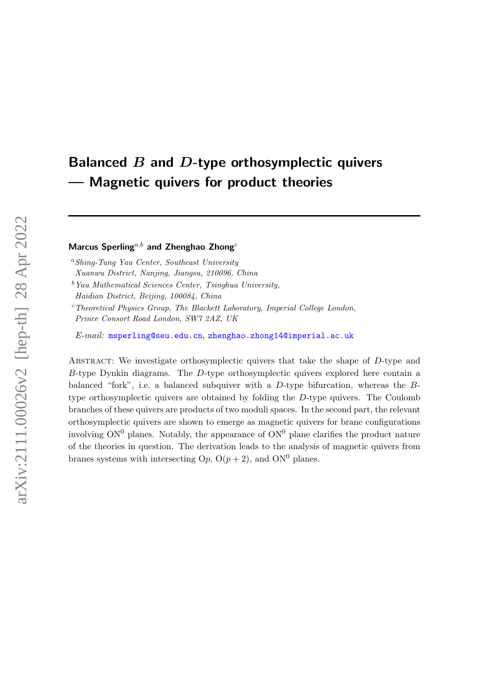# <span id="page-0-0"></span>Balanced  $B$  and  $D$ -type orthosymplectic quivers — Magnetic quivers for product theories

# Marcus Sperling<sup>a,b</sup> and Zhenghao Zhong<sup>c</sup>

 $a<sup>a</sup> Shing-Tung Yau Center, Southeast University$ 

Xuanwu District, Nanjing, Jiangsu, 210096, China

 $b$ <sup>b</sup>Yau Mathematical Sciences Center, Tsinghua University, Haidian District, Beijing, 100084, China

 $c$ Theoretical Physics Group, The Blackett Laboratory, Imperial College London, Prince Consort Road London, SW7 2AZ, UK

E-mail: [msperling@seu.edu.cn](mailto:msperling@seu.edu.cn), [zhenghao.zhong14@imperial.ac.uk](mailto:zhenghao.zhong14@imperial.ac.uk)

ABSTRACT: We investigate orthosymplectic quivers that take the shape of D-type and  $B$ -type Dynkin diagrams. The  $D$ -type orthosymplectic quivers explored here contain a balanced "fork", i.e. a balanced subquiver with a D-type bifurcation, whereas the Btype orthosymplectic quivers are obtained by folding the D-type quivers. The Coulomb branches of these quivers are products of two moduli spaces. In the second part, the relevant orthosymplectic quivers are shown to emerge as magnetic quivers for brane configurations involving  $ON^0$  planes. Notably, the appearance of  $ON^0$  plane clarifies the product nature of the theories in question. The derivation leads to the analysis of magnetic quivers from branes systems with intersecting  $Op$ ,  $O(p+2)$ , and  $ON^0$  planes.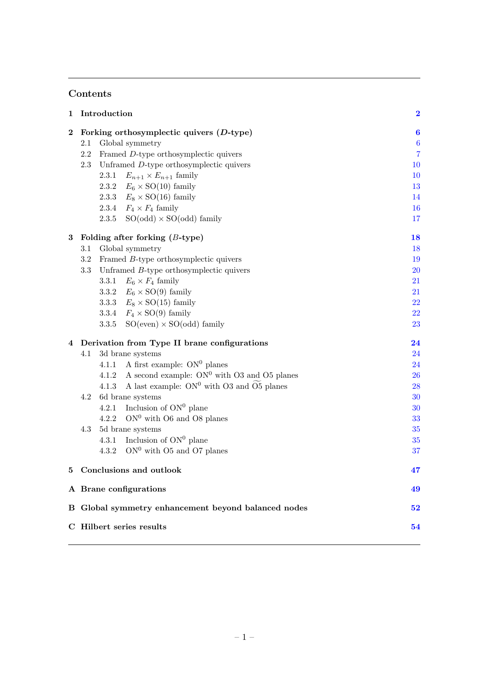# Contents

| 1        |                          | Introduction   |                                                     | $\overline{\mathbf{2}}$ |  |
|----------|--------------------------|----------------|-----------------------------------------------------|-------------------------|--|
| $\bf{2}$ |                          |                | Forking orthosymplectic quivers $(D$ -type)         | $\boldsymbol{6}$        |  |
|          | 2.1                      |                | Global symmetry                                     | $\boldsymbol{6}$        |  |
|          | 2.2                      | $\overline{7}$ |                                                     |                         |  |
|          | 2.3                      |                | Unframed D-type orthosymplectic quivers             | 10                      |  |
|          |                          | 2.3.1          | $E_{n+1} \times E_{n+1}$ family                     | 10                      |  |
|          |                          | 2.3.2          | $E_6 \times$ SO(10) family                          | 13                      |  |
|          |                          | 2.3.3          | $E_8 \times SO(16)$ family                          | 14                      |  |
|          |                          | 2.3.4          | $F_4 \times F_4$ family                             | 16                      |  |
|          |                          | 2.3.5          | $SO(odd) \times SO(odd)$ family                     | 17                      |  |
| 3        |                          |                | Folding after forking $(B\text{-type})$             | 18                      |  |
|          | $3.1\,$                  |                | Global symmetry                                     | 18                      |  |
|          | 3.2                      |                | Framed B-type orthosymplectic quivers               | 19                      |  |
|          | $3.3\,$                  |                | Unframed $B$ -type orthosymplectic quivers          | <b>20</b>               |  |
|          |                          | 3.3.1          | $E_6 \times F_4$ family                             | 21                      |  |
|          |                          | 3.3.2          | $E_6 \times SO(9)$ family                           | 21                      |  |
|          |                          | 3.3.3          | $E_8 \times SO(15)$ family                          | $\sqrt{22}$             |  |
|          |                          | 3.3.4          | $F_4 \times SO(9)$ family                           | $\bf{22}$               |  |
|          |                          | 3.3.5          | $SO(even) \times SO(odd)$ family                    | 23                      |  |
| 4        |                          |                | Derivation from Type II brane configurations        | 24                      |  |
|          | 4.1                      |                | 3d brane systems                                    | 24                      |  |
|          |                          | 4.1.1          | A first example: $ON^0$ planes                      | 24                      |  |
|          |                          | 4.1.2          | A second example: $ON^0$ with O3 and O5 planes      | <b>26</b>               |  |
|          |                          | 4.1.3          | A last example: $ON^0$ with O3 and O5 planes        | 28                      |  |
|          | 4.2                      |                | 6d brane systems                                    | 30                      |  |
|          |                          | 4.2.1          | Inclusion of $ON0$ plane                            | 30                      |  |
|          |                          | 4.2.2          | $ON0$ with O6 and O8 planes                         | 33                      |  |
|          | 4.3                      |                | 5d brane systems                                    | 35                      |  |
|          |                          | 4.3.1          | Inclusion of $ON^0$ plane                           | 35                      |  |
|          |                          | 4.3.2          | $ON^0$ with O5 and O7 planes                        | 37                      |  |
| 5        |                          |                | Conclusions and outlook                             | 47                      |  |
|          |                          |                | A Brane configurations                              | 49                      |  |
|          |                          |                | B Global symmetry enhancement beyond balanced nodes | 52                      |  |
|          | C Hilbert series results |                |                                                     |                         |  |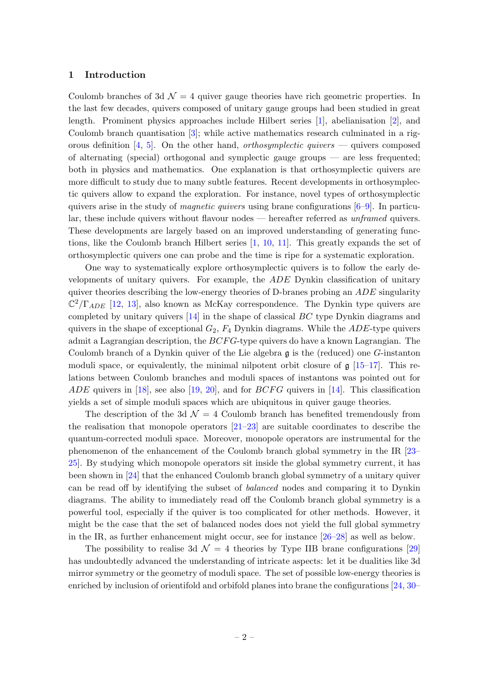#### <span id="page-2-0"></span>1 Introduction

Coulomb branches of 3d  $\mathcal{N} = 4$  quiver gauge theories have rich geometric properties. In the last few decades, quivers composed of unitary gauge groups had been studied in great length. Prominent physics approaches include Hilbert series [\[1\]](#page-62-0), abelianisation [\[2\]](#page-62-1), and Coulomb branch quantisation [\[3\]](#page-62-2); while active mathematics research culminated in a rig-orous definition [\[4,](#page-62-3) [5\]](#page-62-4). On the other hand, *orthosymplectic quivers* — quivers composed of alternating (special) orthogonal and symplectic gauge groups — are less frequented; both in physics and mathematics. One explanation is that orthosymplectic quivers are more difficult to study due to many subtle features. Recent developments in orthosymplectic quivers allow to expand the exploration. For instance, novel types of orthosymplectic quivers arise in the study of *magnetic quivers* using brane configurations  $[6-9]$  $[6-9]$ . In particular, these include quivers without flavour nodes — hereafter referred as unframed quivers. These developments are largely based on an improved understanding of generating functions, like the Coulomb branch Hilbert series [\[1,](#page-62-0) [10,](#page-62-7) [11\]](#page-62-8). This greatly expands the set of orthosymplectic quivers one can probe and the time is ripe for a systematic exploration.

One way to systematically explore orthosymplectic quivers is to follow the early developments of unitary quivers. For example, the ADE Dynkin classification of unitary quiver theories describing the low-energy theories of D-branes probing an  $ADE$  singularity  $\mathbb{C}^2/\Gamma_{ADE}$  [\[12,](#page-62-9) [13\]](#page-62-10), also known as McKay correspondence. The Dynkin type quivers are completed by unitary quivers [\[14\]](#page-62-11) in the shape of classical BC type Dynkin diagrams and quivers in the shape of exceptional  $G_2$ ,  $F_4$  Dynkin diagrams. While the *ADE*-type quivers admit a Lagrangian description, the  $BCFG$ -type quivers do have a known Lagrangian. The Coulomb branch of a Dynkin quiver of the Lie algebra  $\mathfrak g$  is the (reduced) one G-instanton moduli space, or equivalently, the minimal nilpotent orbit closure of  $\mathfrak{g}$  [\[15](#page-62-12)[–17\]](#page-62-13). This relations between Coulomb branches and moduli spaces of instantons was pointed out for ADE quivers in [\[18\]](#page-62-14), see also [\[19,](#page-62-15) [20\]](#page-62-16), and for  $BCFG$  quivers in [\[14\]](#page-62-11). This classification yields a set of simple moduli spaces which are ubiquitous in quiver gauge theories.

The description of the 3d  $\mathcal{N} = 4$  Coulomb branch has benefited tremendously from the realisation that monopole operators [\[21–](#page-63-0)[23\]](#page-63-1) are suitable coordinates to describe the quantum-corrected moduli space. Moreover, monopole operators are instrumental for the phenomenon of the enhancement of the Coulomb branch global symmetry in the IR [\[23–](#page-63-1) [25\]](#page-63-2). By studying which monopole operators sit inside the global symmetry current, it has been shown in [\[24\]](#page-63-3) that the enhanced Coulomb branch global symmetry of a unitary quiver can be read off by identifying the subset of balanced nodes and comparing it to Dynkin diagrams. The ability to immediately read off the Coulomb branch global symmetry is a powerful tool, especially if the quiver is too complicated for other methods. However, it might be the case that the set of balanced nodes does not yield the full global symmetry in the IR, as further enhancement might occur, see for instance [\[26–](#page-63-4)[28\]](#page-63-5) as well as below.

The possibility to realise 3d  $\mathcal{N} = 4$  theories by Type IIB brane configurations [\[29\]](#page-63-6) has undoubtedly advanced the understanding of intricate aspects: let it be dualities like 3d mirror symmetry or the geometry of moduli space. The set of possible low-energy theories is enriched by inclusion of orientifold and orbifold planes into brane the configurations [\[24,](#page-63-3) [30–](#page-63-7)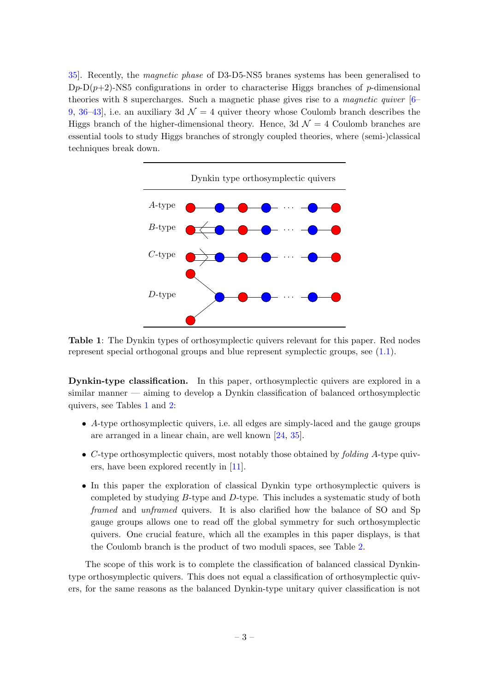[35\]](#page-63-8). Recently, the magnetic phase of D3-D5-NS5 branes systems has been generalised to  $Dp-D(p+2)$ -NS5 configurations in order to characterise Higgs branches of p-dimensional theories with 8 supercharges. Such a magnetic phase gives rise to a magnetic quiver [\[6–](#page-62-5) [9,](#page-62-6) [36](#page-63-9)–43, i.e. an auxiliary 3d  $\mathcal{N} = 4$  quiver theory whose Coulomb branch describes the Higgs branch of the higher-dimensional theory. Hence, 3d  $\mathcal{N}=4$  Coulomb branches are essential tools to study Higgs branches of strongly coupled theories, where (semi-)classical techniques break down.

<span id="page-3-0"></span>

Table 1: The Dynkin types of orthosymplectic quivers relevant for this paper. Red nodes represent special orthogonal groups and blue represent symplectic groups, see [\(1.1\)](#page-5-0).

Dynkin-type classification. In this paper, orthosymplectic quivers are explored in a similar manner — aiming to develop a Dynkin classification of balanced orthosymplectic quivers, see Tables [1](#page-3-0) and [2:](#page-4-0)

- A-type orthosymplectic quivers, i.e. all edges are simply-laced and the gauge groups are arranged in a linear chain, are well known [\[24,](#page-63-3) [35\]](#page-63-8).
- $\bullet$  C-type orthosymplectic quivers, most notably those obtained by *folding A*-type quivers, have been explored recently in [\[11\]](#page-62-8).
- In this paper the exploration of classical Dynkin type orthosymplectic quivers is completed by studying B-type and D-type. This includes a systematic study of both framed and unframed quivers. It is also clarified how the balance of SO and Sp gauge groups allows one to read off the global symmetry for such orthosymplectic quivers. One crucial feature, which all the examples in this paper displays, is that the Coulomb branch is the product of two moduli spaces, see Table [2.](#page-4-0)

The scope of this work is to complete the classification of balanced classical Dynkintype orthosymplectic quivers. This does not equal a classification of orthosymplectic quivers, for the same reasons as the balanced Dynkin-type unitary quiver classification is not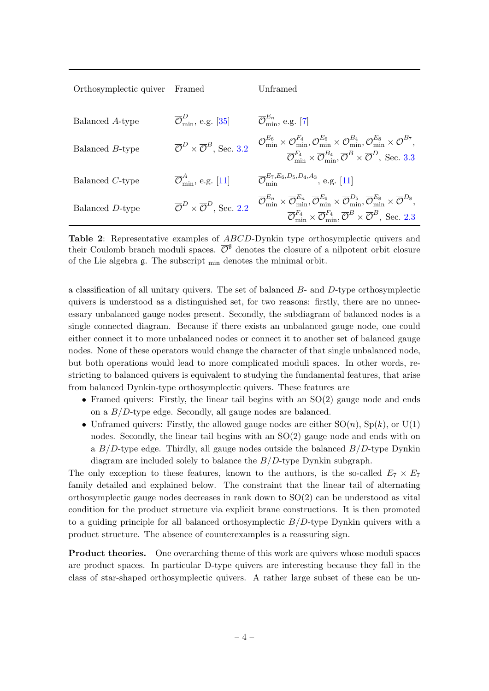<span id="page-4-0"></span>

| Orthosymplectic quiver | Framed                                                                | Unframed                                                                                                                                                                                                                                                                                                                                                                                                                          |
|------------------------|-----------------------------------------------------------------------|-----------------------------------------------------------------------------------------------------------------------------------------------------------------------------------------------------------------------------------------------------------------------------------------------------------------------------------------------------------------------------------------------------------------------------------|
| Balanced A-type        | $\overline{\mathcal{O}}_{\text{min}}^D$ , e.g. [35]                   | $\overline{\mathcal{O}}_{\min}^{E_n}$ , e.g. [7]                                                                                                                                                                                                                                                                                                                                                                                  |
| Balanced B-type        | $\overline{\mathcal{O}}^D \times \overline{\mathcal{O}}^B$ , Sec. 3.2 | $\overline{\mathcal{O}}_{\text{min}}^{E_6} \times \overline{\mathcal{O}}_{\text{min}}^{F_4}, \overline{\mathcal{O}}_{\text{min}}^{E_6} \times \overline{\mathcal{O}}_{\text{min}}^{B_4}, \overline{\mathcal{O}}_{\text{min}}^{E_8} \times \overline{\mathcal{O}}^{B_7},$<br>$\overline{\mathcal{O}}_{\min}^{F_4} \times \overline{\mathcal{O}}_{\min}^{B_4}, \overline{\mathcal{O}}^B \times \overline{\mathcal{O}}^D$ , Sec. 3.3 |
| Balanced C-type        | $\overline{\mathcal{O}}_{\text{min}}^A$ , e.g. [11]                   | $\overline{\mathcal{O}}_{\min}^{E_7,E_6,D_5,D_4,A_3}$ , e.g. [11]                                                                                                                                                                                                                                                                                                                                                                 |
| Balanced D-type        | $\overline{\mathcal{O}}^D \times \overline{\mathcal{O}}^D$ . Sec. 2.2 | $\overline{\mathcal{O}}_{\min}^{E_n} \times \overline{\mathcal{O}}_{\min}^{E_n}, \overline{\mathcal{O}}_{\min}^{E_6} \times \overline{\mathcal{O}}_{\min}^{D_5}, \overline{\mathcal{O}}_{\min}^{E_8} \times \overline{\mathcal{O}}^{D_8},$<br>$\overline{\mathcal{O}}_{\min}^{F_4} \times \overline{\mathcal{O}}_{\min}^{F_4}, \overline{\mathcal{O}}^B \times \overline{\mathcal{O}}^B$ , Sec. 2.3                               |

Table 2: Representative examples of ABCD-Dynkin type orthosymplectic quivers and their Coulomb branch moduli spaces.  $\overline{\mathcal{O}}^{\mathfrak{g}}$  denotes the closure of a nilpotent orbit closure of the Lie algebra  $\mathfrak g$ . The subscript  $_{\min}$  denotes the minimal orbit.

a classification of all unitary quivers. The set of balanced  $B$ - and  $D$ -type orthosymplectic quivers is understood as a distinguished set, for two reasons: firstly, there are no unnecessary unbalanced gauge nodes present. Secondly, the subdiagram of balanced nodes is a single connected diagram. Because if there exists an unbalanced gauge node, one could either connect it to more unbalanced nodes or connect it to another set of balanced gauge nodes. None of these operators would change the character of that single unbalanced node, but both operations would lead to more complicated moduli spaces. In other words, restricting to balanced quivers is equivalent to studying the fundamental features, that arise from balanced Dynkin-type orthosymplectic quivers. These features are

- Framed quivers: Firstly, the linear tail begins with an  $SO(2)$  gauge node and ends on a  $B/D$ -type edge. Secondly, all gauge nodes are balanced.
- Unframed quivers: Firstly, the allowed gauge nodes are either  $SO(n)$ ,  $Sp(k)$ , or  $U(1)$ nodes. Secondly, the linear tail begins with an SO(2) gauge node and ends with on a  $B/D$ -type edge. Thirdly, all gauge nodes outside the balanced  $B/D$ -type Dynkin diagram are included solely to balance the  $B/D$ -type Dynkin subgraph.

The only exception to these features, known to the authors, is the so-called  $E_7 \times E_7$ family detailed and explained below. The constraint that the linear tail of alternating orthosymplectic gauge nodes decreases in rank down to SO(2) can be understood as vital condition for the product structure via explicit brane constructions. It is then promoted to a guiding principle for all balanced orthosymplectic  $B/D$ -type Dynkin quivers with a product structure. The absence of counterexamples is a reassuring sign.

Product theories. One overarching theme of this work are quivers whose moduli spaces are product spaces. In particular D-type quivers are interesting because they fall in the class of star-shaped orthosymplectic quivers. A rather large subset of these can be un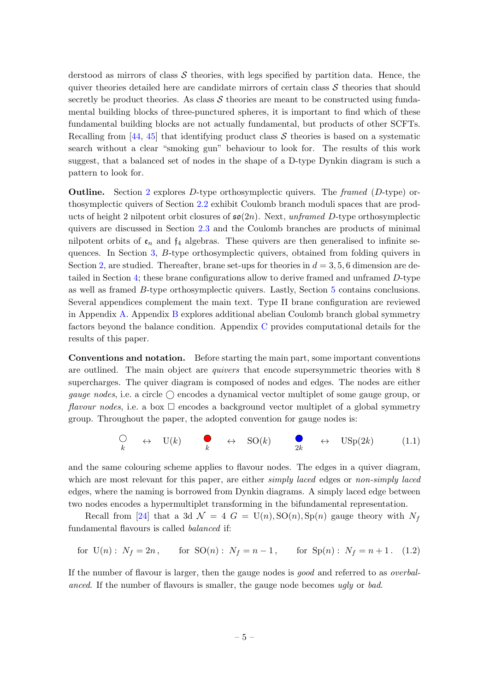derstood as mirrors of class  $S$  theories, with legs specified by partition data. Hence, the quiver theories detailed here are candidate mirrors of certain class  $S$  theories that should secretly be product theories. As class  $S$  theories are meant to be constructed using fundamental building blocks of three-punctured spheres, it is important to find which of these fundamental building blocks are not actually fundamental, but products of other SCFTs. Recalling from  $[44, 45]$  $[44, 45]$  that identifying product class S theories is based on a systematic search without a clear "smoking gun" behaviour to look for. The results of this work suggest, that a balanced set of nodes in the shape of a D-type Dynkin diagram is such a pattern to look for.

**Outline.** Section [2](#page-6-0) explores D-type orthosymplectic quivers. The framed  $(D$ -type) orthosymplectic quivers of Section [2.2](#page-7-0) exhibit Coulomb branch moduli spaces that are products of height 2 nilpotent orbit closures of  $\mathfrak{so}(2n)$ . Next, unframed D-type orthosymplectic quivers are discussed in Section [2.3](#page-10-0) and the Coulomb branches are products of minimal nilpotent orbits of  $\mathfrak{e}_n$  and  $\mathfrak{f}_4$  algebras. These quivers are then generalised to infinite sequences. In Section [3,](#page-18-0) B-type orthosymplectic quivers, obtained from folding quivers in Section [2,](#page-6-0) are studied. Thereafter, brane set-ups for theories in  $d = 3, 5, 6$  dimension are detailed in Section [4;](#page-24-0) these brane configurations allow to derive framed and unframed D-type as well as framed B-type orthosymplectic quivers. Lastly, Section [5](#page-47-0) contains conclusions. Several appendices complement the main text. Type II brane configuration are reviewed in Appendix [A.](#page-49-0) Appendix [B](#page-52-0) explores additional abelian Coulomb branch global symmetry factors beyond the balance condition. Appendix [C](#page-54-0) provides computational details for the results of this paper.

Conventions and notation. Before starting the main part, some important conventions are outlined. The main object are quivers that encode supersymmetric theories with 8 supercharges. The quiver diagram is composed of nodes and edges. The nodes are either qauge nodes, i.e. a circle  $\bigcirc$  encodes a dynamical vector multiplet of some gauge group, or flavour nodes, i.e. a box  $\Box$  encodes a background vector multiplet of a global symmetry group. Throughout the paper, the adopted convention for gauge nodes is:

<span id="page-5-0"></span>
$$
\bigcirc_{k} \leftrightarrow \text{U}(k) \qquad \bigcirc_{k} \leftrightarrow \text{SO}(k) \qquad \bigcirc_{2k} \leftrightarrow \text{USp}(2k) \tag{1.1}
$$

and the same colouring scheme applies to flavour nodes. The edges in a quiver diagram, which are most relevant for this paper, are either simply laced edges or non-simply laced edges, where the naming is borrowed from Dynkin diagrams. A simply laced edge between two nodes encodes a hypermultiplet transforming in the bifundamental representation.

Recall from [\[24\]](#page-63-3) that a 3d  $\mathcal{N} = 4$  G = U(n), SO(n), Sp(n) gauge theory with  $N_f$ fundamental flavours is called balanced if:

for 
$$
U(n)
$$
:  $N_f = 2n$ , for  $SO(n)$ :  $N_f = n - 1$ , for  $Sp(n)$ :  $N_f = n + 1$ . (1.2)

If the number of flavour is larger, then the gauge nodes is good and referred to as overbalanced. If the number of flavours is smaller, the gauge node becomes ugly or bad.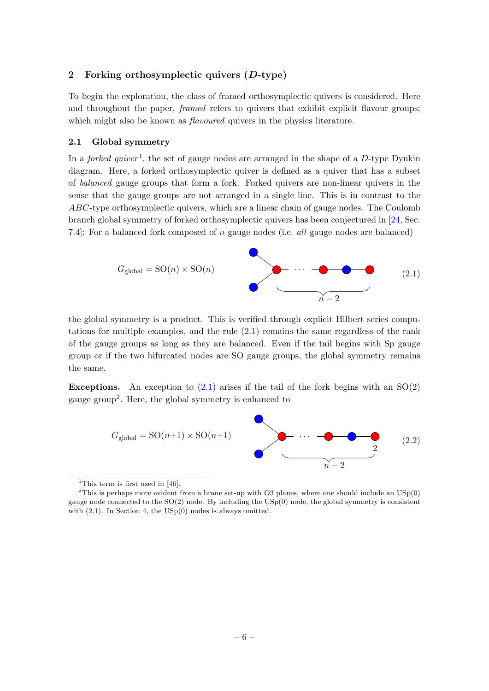## <span id="page-6-0"></span>2 Forking orthosymplectic quivers (D-type)

To begin the exploration, the class of framed orthosymplectic quivers is considered. Here and throughout the paper, *framed* refers to quivers that exhibit explicit flavour groups; which might also be known as *flavoured* quivers in the physics literature.

#### <span id="page-6-1"></span>2.1 Global symmetry

In a *forked quiver*<sup>[1](#page-0-0)</sup>, the set of gauge nodes are arranged in the shape of a D-type Dynkin diagram. Here, a forked orthosymplectic quiver is defined as a quiver that has a subset of balanced gauge groups that form a fork. Forked quivers are non-linear quivers in the sense that the gauge groups are not arranged in a single line. This is in contrast to the ABC-type orthosymplectic quivers, which are a linear chain of gauge nodes. The Coulomb branch global symmetry of forked orthosymplectic quivers has been conjectured in [\[24,](#page-63-3) Sec. 7.4. For a balanced fork composed of n gauge nodes (i.e. all gauge nodes are balanced)

<span id="page-6-2"></span>

the global symmetry is a product. This is verified through explicit Hilbert series computations for multiple examples, and the rule [\(2.1\)](#page-6-2) remains the same regardless of the rank of the gauge groups as long as they are balanced. Even if the tail begins with Sp gauge group or if the two bifurcated nodes are SO gauge groups, the global symmetry remains the same.

**Exceptions.** An exception to  $(2.1)$  arises if the tail of the fork begins with an  $SO(2)$ gauge group<sup>[2](#page-0-0)</sup>. Here, the global symmetry is enhanced to



<sup>&</sup>lt;sup>1</sup>This term is first used in  $[46]$ .

<sup>&</sup>lt;sup>2</sup>This is perhaps more evident from a brane set-up with O3 planes, where one should include an  $USp(0)$ gauge node connected to the  $SO(2)$  node. By including the  $USp(0)$  node, the global symmetry is consistent with  $(2.1)$ . In Section [4,](#page-24-0) the USp $(0)$  nodes is always omitted.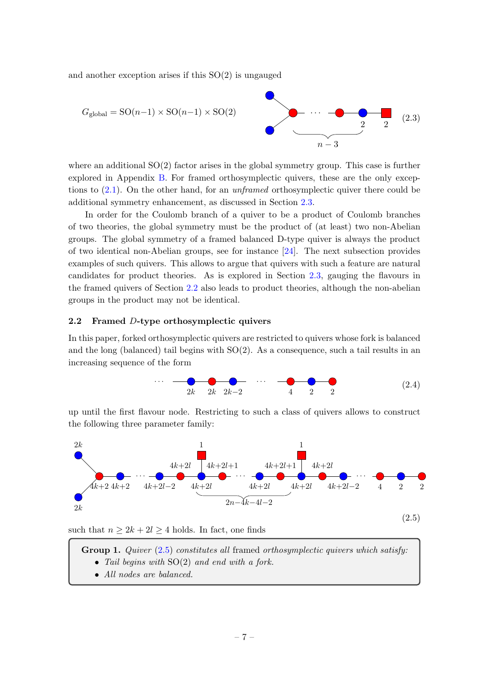and another exception arises if this SO(2) is ungauged

$$
G_{\text{global}} = \text{SO}(n-1) \times \text{SO}(n-1) \times \text{SO}(2)
$$
\n
$$
2 \qquad 2 \qquad 2 \qquad (2.3)
$$

where an additional  $SO(2)$  factor arises in the global symmetry group. This case is further explored in Appendix [B.](#page-52-0) For framed orthosymplectic quivers, these are the only exceptions to  $(2.1)$ . On the other hand, for an *unframed* orthosymplectic quiver there could be additional symmetry enhancement, as discussed in Section [2.3.](#page-10-0)

In order for the Coulomb branch of a quiver to be a product of Coulomb branches of two theories, the global symmetry must be the product of (at least) two non-Abelian groups. The global symmetry of a framed balanced D-type quiver is always the product of two identical non-Abelian groups, see for instance [\[24\]](#page-63-3). The next subsection provides examples of such quivers. This allows to argue that quivers with such a feature are natural candidates for product theories. As is explored in Section [2.3,](#page-10-0) gauging the flavours in the framed quivers of Section [2.2](#page-7-0) also leads to product theories, although the non-abelian groups in the product may not be identical.

## <span id="page-7-0"></span>2.2 Framed D-type orthosymplectic quivers

In this paper, forked orthosymplectic quivers are restricted to quivers whose fork is balanced and the long (balanced) tail begins with SO(2). As a consequence, such a tail results in an increasing sequence of the form



up until the first flavour node. Restricting to such a class of quivers allows to construct the following three parameter family:

<span id="page-7-1"></span>

such that  $n \geq 2k + 2l \geq 4$  holds. In fact, one finds

<span id="page-7-2"></span>**Group 1.** Quiver  $(2.5)$  constitutes all framed orthosymplectic quivers which satisfy:

- Tail begins with SO(2) and end with a fork.
- All nodes are balanced.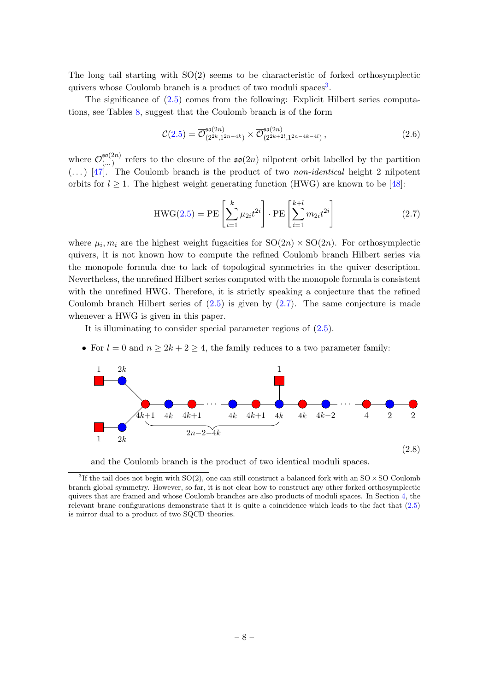The long tail starting with SO(2) seems to be characteristic of forked orthosymplectic quivers whose Coulomb branch is a product of two moduli spaces<sup>[3](#page-0-0)</sup>.

The significance of [\(2.5\)](#page-7-1) comes from the following: Explicit Hilbert series computations, see Tables [8,](#page-54-1) suggest that the Coulomb branch is of the form

<span id="page-8-1"></span>
$$
\mathcal{C}(2.5) = \overline{\mathcal{O}}_{(2^{2k},1^{2n-4k})}^{50(2n)} \times \overline{\mathcal{O}}_{(2^{2k+2l},1^{2n-4k-4l})}^{50(2n)}, \qquad (2.6)
$$

where  $\overline{\mathcal{O}}_0^{\mathfrak{so}(2n)}$  $(\ldots)$  refers to the closure of the  $\mathfrak{so}(2n)$  nilpotent orbit labelled by the partition  $(...)$  [\[47\]](#page-64-4). The Coulomb branch is the product of two non-identical height 2 nilpotent orbits for  $l \geq 1$ . The highest weight generating function (HWG) are known to be [\[48\]](#page-64-5):

<span id="page-8-0"></span>
$$
\text{HWG}(2.5) = \text{PE}\left[\sum_{i=1}^{k} \mu_{2i} t^{2i}\right] \cdot \text{PE}\left[\sum_{i=1}^{k+l} m_{2i} t^{2i}\right] \tag{2.7}
$$

where  $\mu_i, m_i$  are the highest weight fugacities for  $SO(2n) \times SO(2n)$ . For orthosymplectic quivers, it is not known how to compute the refined Coulomb branch Hilbert series via the monopole formula due to lack of topological symmetries in the quiver description. Nevertheless, the unrefined Hilbert series computed with the monopole formula is consistent with the unrefined HWG. Therefore, it is strictly speaking a conjecture that the refined Coulomb branch Hilbert series of  $(2.5)$  is given by  $(2.7)$ . The same conjecture is made whenever a HWG is given in this paper.

It is illuminating to consider special parameter regions of [\(2.5\)](#page-7-1).

• For  $l = 0$  and  $n \geq 2k + 2 \geq 4$ , the family reduces to a two parameter family:

<span id="page-8-2"></span>



<sup>&</sup>lt;sup>3</sup>If the tail does not begin with  $SO(2)$ , one can still construct a balanced fork with an  $SO \times SO$  Coulomb branch global symmetry. However, so far, it is not clear how to construct any other forked orthosymplectic quivers that are framed and whose Coulomb branches are also products of moduli spaces. In Section [4,](#page-24-0) the relevant brane configurations demonstrate that it is quite a coincidence which leads to the fact that [\(2.5\)](#page-7-1) is mirror dual to a product of two SQCD theories.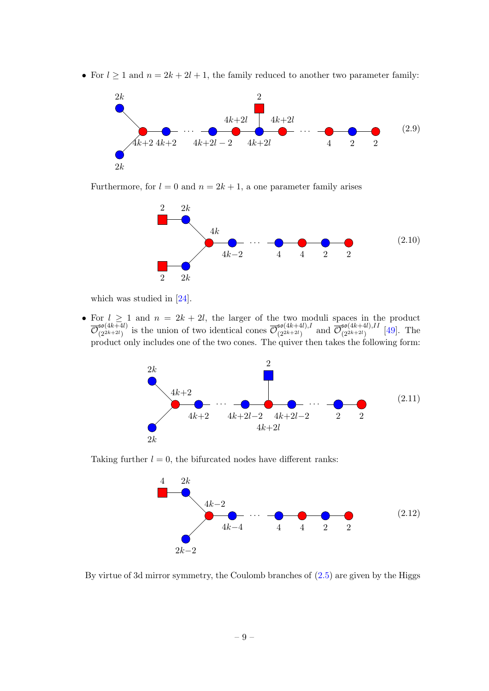• For  $l \geq 1$  and  $n = 2k + 2l + 1$ , the family reduced to another two parameter family:

<span id="page-9-2"></span>

Furthermore, for  $l = 0$  and  $n = 2k + 1$ , a one parameter family arises

<span id="page-9-0"></span>

which was studied in [\[24\]](#page-63-3).

• For  $l \geq 1$  and  $n = 2k + 2l$ , the larger of the two moduli spaces in the product  $\overline{\mathcal{O}}_{(2^{2k+2l})}^{\mathfrak{so}(4k+4l)}$  $\overline{\mathcal{O}}_{(2^{2k+2l})}^{(4k+4l)}$  is the union of two identical cones  $\overline{\mathcal{O}}_{(2^{2k+2l})}^{50(4k+4l),l}$  $\frac{\sigma^{50(4k+4l),I}}{(2^{2k+2l})}$  and  $\overline{\mathcal{O}}_{(2^{2k+2l})}^{50(4k+4l),II}$  $\frac{1}{(2^{2k+2l})}$  [\[49\]](#page-64-6). The product only includes one of the two cones. The quiver then takes the following form:

<span id="page-9-3"></span>

Taking further  $l = 0$ , the bifurcated nodes have different ranks:

<span id="page-9-1"></span>

By virtue of 3d mirror symmetry, the Coulomb branches of [\(2.5\)](#page-7-1) are given by the Higgs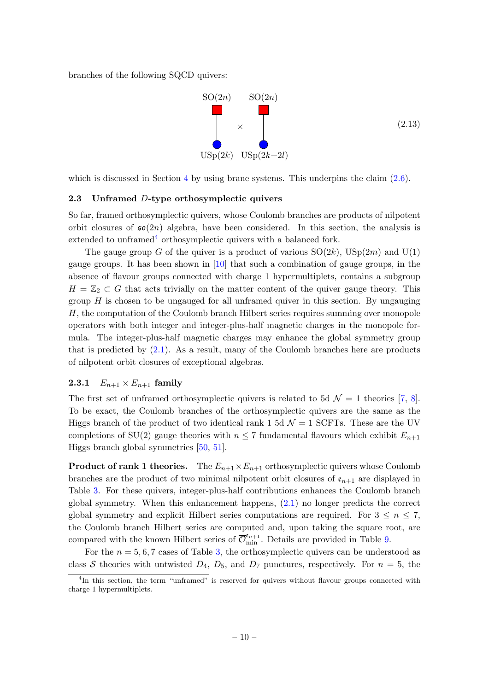branches of the following SQCD quivers:

<span id="page-10-2"></span>

which is discussed in Section [4](#page-24-0) by using brane systems. This underpins the claim  $(2.6)$ .

#### <span id="page-10-0"></span>2.3 Unframed D-type orthosymplectic quivers

So far, framed orthosymplectic quivers, whose Coulomb branches are products of nilpotent orbit closures of  $\mathfrak{so}(2n)$  algebra, have been considered. In this section, the analysis is extended to unframed  $4$  orthosymplectic quivers with a balanced fork.

The gauge group G of the quiver is a product of various  $SO(2k)$ ,  $USp(2m)$  and  $U(1)$ gauge groups. It has been shown in [\[10\]](#page-62-7) that such a combination of gauge groups, in the absence of flavour groups connected with charge 1 hypermultiplets, contains a subgroup  $H = \mathbb{Z}_2 \subset G$  that acts trivially on the matter content of the quiver gauge theory. This group  $H$  is chosen to be ungauged for all unframed quiver in this section. By ungauging H, the computation of the Coulomb branch Hilbert series requires summing over monopole operators with both integer and integer-plus-half magnetic charges in the monopole formula. The integer-plus-half magnetic charges may enhance the global symmetry group that is predicted by  $(2.1)$ . As a result, many of the Coulomb branches here are products of nilpotent orbit closures of exceptional algebras.

#### <span id="page-10-1"></span>**2.3.1**  $E_{n+1} \times E_{n+1}$  family

The first set of unframed orthosymplectic quivers is related to 5d  $\mathcal{N} = 1$  theories [\[7,](#page-62-17) [8\]](#page-62-18). To be exact, the Coulomb branches of the orthosymplectic quivers are the same as the Higgs branch of the product of two identical rank 1 5d  $\mathcal{N}=1$  SCFTs. These are the UV completions of SU(2) gauge theories with  $n \leq 7$  fundamental flavours which exhibit  $E_{n+1}$ Higgs branch global symmetries [\[50,](#page-64-7) [51\]](#page-64-8).

**Product of rank 1 theories.** The  $E_{n+1} \times E_{n+1}$  orthosymplectic quivers whose Coulomb branches are the product of two minimal nilpotent orbit closures of  $\mathfrak{e}_{n+1}$  are displayed in Table [3.](#page-11-0) For these quivers, integer-plus-half contributions enhances the Coulomb branch global symmetry. When this enhancement happens, [\(2.1\)](#page-6-2) no longer predicts the correct global symmetry and explicit Hilbert series computations are required. For  $3 \leq n \leq 7$ , the Coulomb branch Hilbert series are computed and, upon taking the square root, are compared with the known Hilbert series of  $\overline{\mathcal{O}}_{\min}^{\epsilon_{n+1}}$ . Details are provided in Table [9.](#page-55-0)

For the  $n = 5, 6, 7$  cases of Table [3,](#page-11-0) the orthosymplectic quivers can be understood as class S theories with untwisted  $D_4$ ,  $D_5$ , and  $D_7$  punctures, respectively. For  $n = 5$ , the

<sup>&</sup>lt;sup>4</sup>In this section, the term "unframed" is reserved for quivers without flavour groups connected with charge 1 hypermultiplets.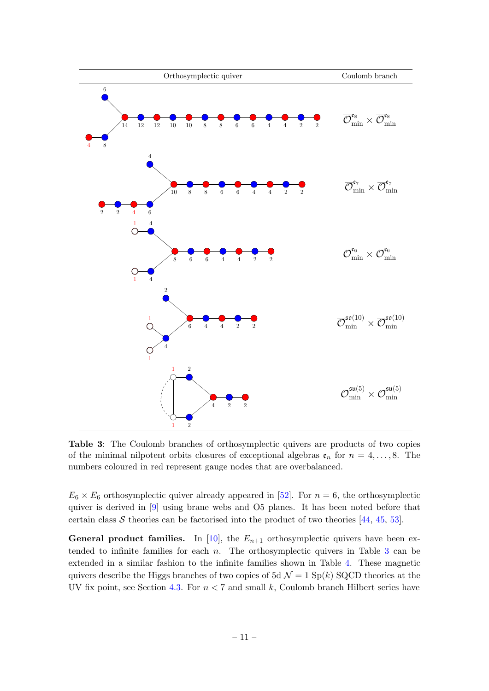<span id="page-11-0"></span>

Table 3: The Coulomb branches of orthosymplectic quivers are products of two copies of the minimal nilpotent orbits closures of exceptional algebras  $e_n$  for  $n = 4, \ldots, 8$ . The numbers coloured in red represent gauge nodes that are overbalanced.

 $E_6 \times E_6$  orthosymplectic quiver already appeared in [\[52\]](#page-64-9). For  $n = 6$ , the orthosymplectic quiver is derived in [\[9\]](#page-62-6) using brane webs and O5 planes. It has been noted before that certain class  $S$  theories can be factorised into the product of two theories [\[44,](#page-64-1) [45,](#page-64-2) [53\]](#page-64-10).

**General product families.** In [\[10\]](#page-62-7), the  $E_{n+1}$  orthosymplectic quivers have been extended to infinite families for each  $n$ . The orthosymplectic quivers in Table  $3$  can be extended in a similar fashion to the infinite families shown in Table [4.](#page-12-0) These magnetic quivers describe the Higgs branches of two copies of 5d  $\mathcal{N} = 1$  Sp(k) SQCD theories at the UV fix point, see Section [4.3.](#page-35-0) For  $n < 7$  and small k, Coulomb branch Hilbert series have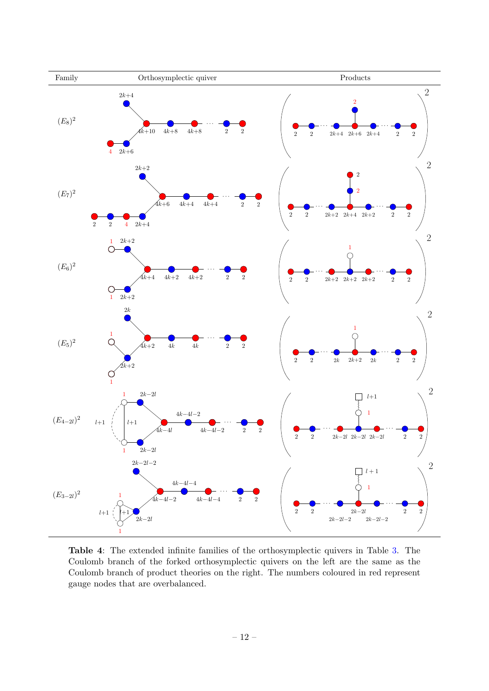<span id="page-12-0"></span>

Table 4: The extended infinite families of the orthosymplectic quivers in Table [3.](#page-11-0) The Coulomb branch of the forked orthosymplectic quivers on the left are the same as the Coulomb branch of product theories on the right. The numbers coloured in red represent gauge nodes that are overbalanced.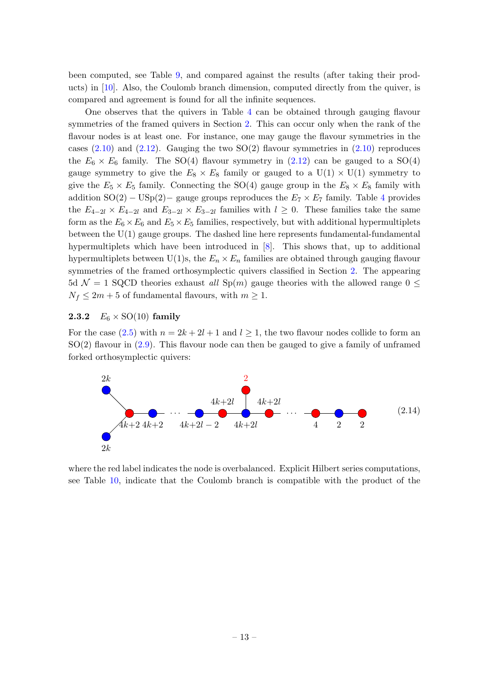been computed, see Table [9,](#page-55-0) and compared against the results (after taking their products) in [\[10\]](#page-62-7). Also, the Coulomb branch dimension, computed directly from the quiver, is compared and agreement is found for all the infinite sequences.

One observes that the quivers in Table [4](#page-12-0) can be obtained through gauging flavour symmetries of the framed quivers in Section [2.](#page-6-0) This can occur only when the rank of the flavour nodes is at least one. For instance, one may gauge the flavour symmetries in the cases  $(2.10)$  and  $(2.12)$ . Gauging the two SO(2) flavour symmetries in  $(2.10)$  reproduces the  $E_6 \times E_6$  family. The SO(4) flavour symmetry in [\(2.12\)](#page-9-1) can be gauged to a SO(4) gauge symmetry to give the  $E_8 \times E_8$  family or gauged to a  $U(1) \times U(1)$  symmetry to give the  $E_5 \times E_5$  family. Connecting the SO(4) gauge group in the  $E_8 \times E_8$  family with addition  $SO(2) - USp(2) - gauge groups$  reproduces the  $E_7 \times E_7$  family. Table [4](#page-12-0) provides the  $E_{4-2l} \times E_{4-2l}$  and  $E_{3-2l} \times E_{3-2l}$  families with  $l \geq 0$ . These families take the same form as the  $E_6 \times E_6$  and  $E_5 \times E_5$  families, respectively, but with additional hypermultiplets between the U(1) gauge groups. The dashed line here represents fundamental-fundamental hypermultiplets which have been introduced in [\[8\]](#page-62-18). This shows that, up to additional hypermultiplets between U(1)s, the  $E_n \times E_n$  families are obtained through gauging flavour symmetries of the framed orthosymplectic quivers classified in Section [2.](#page-6-0) The appearing 5d  $\mathcal{N} = 1$  SQCD theories exhaust all Sp(m) gauge theories with the allowed range 0  $\leq$  $N_f \leq 2m + 5$  of fundamental flavours, with  $m \geq 1$ .

#### <span id="page-13-0"></span>**2.3.2**  $E_6 \times \text{SO}(10)$  family

For the case [\(2.5\)](#page-7-1) with  $n = 2k + 2l + 1$  and  $l \ge 1$ , the two flavour nodes collide to form an  $SO(2)$  flavour in  $(2.9)$ . This flavour node can then be gauged to give a family of unframed forked orthosymplectic quivers:

<span id="page-13-1"></span>

where the red label indicates the node is overbalanced. Explicit Hilbert series computations, see Table [10,](#page-56-0) indicate that the Coulomb branch is compatible with the product of the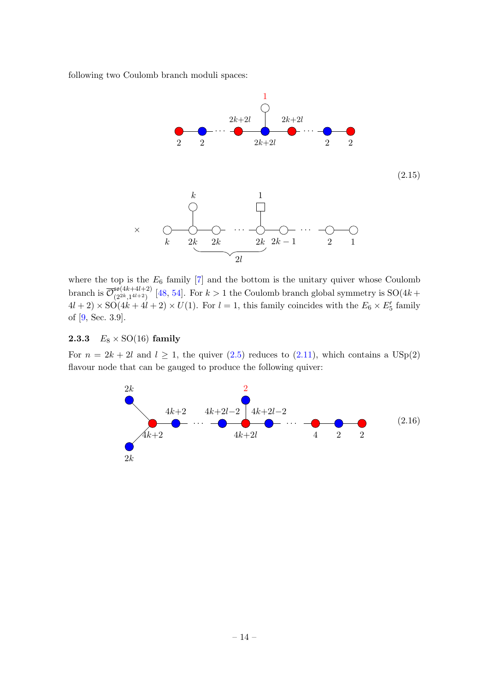following two Coulomb branch moduli spaces:

<span id="page-14-2"></span>

where the top is the  $E_6$  family  $[7]$  and the bottom is the unitary quiver whose Coulomb branch is  $\overline{\mathcal{O}}_{(2^{2k}1^{4l+2})}^{50(4k+4l+2)}$  $\frac{\mathfrak{so}(4k+4k+2)}{(2^{2k},1^{4l+2})}$  [\[48,](#page-64-5) [54\]](#page-64-11). For  $k>1$  the Coulomb branch global symmetry is  $SO(4k+1)$  $4l + 2 \times SO(4k + 4l + 2) \times U(1)$ . For  $l = 1$ , this family coincides with the  $E_6 \times E'_5$  family of [\[9,](#page-62-6) Sec. 3.9].

# <span id="page-14-0"></span>**2.3.3**  $E_8 \times \text{SO}(16)$  family

For  $n = 2k + 2l$  and  $l \ge 1$ , the quiver  $(2.5)$  reduces to  $(2.11)$ , which contains a USp(2) flavour node that can be gauged to produce the following quiver:

<span id="page-14-1"></span>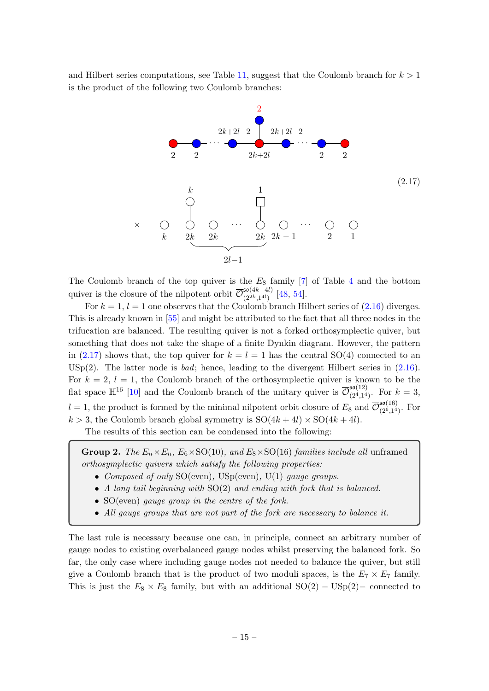and Hilbert series computations, see Table [11,](#page-56-1) suggest that the Coulomb branch for  $k > 1$ is the product of the following two Coulomb branches:

<span id="page-15-0"></span>

The Coulomb branch of the top quiver is the  $E_8$  family [\[7\]](#page-62-17) of Table [4](#page-12-0) and the bottom quiver is the closure of the nilpotent orbit  $\overline{\mathcal{O}}_{(2^{2k}1^{4l})}^{\mathfrak{so}(4k+4l)}$  $\frac{1}{2^{2k},1^{4l}}$  [\[48,](#page-64-5) [54\]](#page-64-11).

For  $k = 1$ ,  $l = 1$  one observes that the Coulomb branch Hilbert series of  $(2.16)$  diverges. This is already known in [\[55\]](#page-64-12) and might be attributed to the fact that all three nodes in the trifucation are balanced. The resulting quiver is not a forked orthosymplectic quiver, but something that does not take the shape of a finite Dynkin diagram. However, the pattern in [\(2.17\)](#page-15-0) shows that, the top quiver for  $k = l = 1$  has the central SO(4) connected to an USp(2). The latter node is *bad*; hence, leading to the divergent Hilbert series in  $(2.16)$ . For  $k = 2$ ,  $l = 1$ , the Coulomb branch of the orthosymplectic quiver is known to be the flat space  $\mathbb{H}^{16}$  [\[10\]](#page-62-7) and the Coulomb branch of the unitary quiver is  $\overline{\mathcal{O}}_{(24)4}^{\mathfrak{so}(12)}$  $\frac{36(12)}{(2^4,1^4)}$ . For  $k=3$ ,  $l = 1$ , the product is formed by the minimal nilpotent orbit closure of  $E_8$  and  $\overline{\mathcal{O}}_{(26,14)}^{50(16)}$  $\frac{10(10)}{(2^6,1^4)}$ . For  $k > 3$ , the Coulomb branch global symmetry is  $SO(4k+4l) \times SO(4k+4l)$ .

The results of this section can be condensed into the following:

Group 2. The  $E_n \times E_n$ ,  $E_6 \times SO(10)$ , and  $E_8 \times SO(16)$  families include all unframed orthosymplectic quivers which satisfy the following properties:

- Composed of only  $SO(even)$ ,  $USp(even)$ ,  $U(1)$  gauge groups.
- A long tail beginning with SO(2) and ending with fork that is balanced.
- SO(even) gauge group in the centre of the fork.
- All gauge groups that are not part of the fork are necessary to balance it.

The last rule is necessary because one can, in principle, connect an arbitrary number of gauge nodes to existing overbalanced gauge nodes whilst preserving the balanced fork. So far, the only case where including gauge nodes not needed to balance the quiver, but still give a Coulomb branch that is the product of two moduli spaces, is the  $E_7 \times E_7$  family. This is just the  $E_8 \times E_8$  family, but with an additional  $SO(2) - USp(2) - connected$  to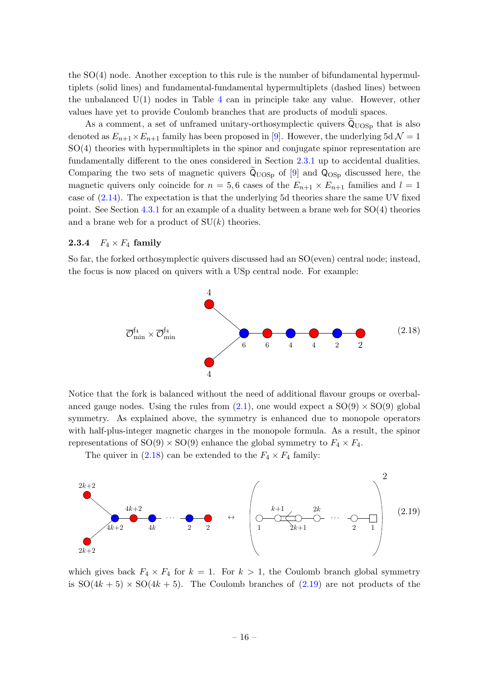the SO(4) node. Another exception to this rule is the number of bifundamental hypermultiplets (solid lines) and fundamental-fundamental hypermultiplets (dashed lines) between the unbalanced  $U(1)$  nodes in Table [4](#page-12-0) can in principle take any value. However, other values have yet to provide Coulomb branches that are products of moduli spaces.

As a comment, a set of unframed unitary-orthosymplectic quivers  $\dot{Q}_{UOSp}$  that is also denoted as  $E_{n+1} \times E_{n+1}$  family has been proposed in [\[9\]](#page-62-6). However, the underlying 5d  $\mathcal{N} = 1$ SO(4) theories with hypermultiplets in the spinor and conjugate spinor representation are fundamentally different to the ones considered in Section [2.3.1](#page-10-1) up to accidental dualities. Comparing the two sets of magnetic quivers  $\tilde{Q}_{UOSp}$  of [\[9\]](#page-62-6) and  $Q_{OSp}$  discussed here, the magnetic quivers only coincide for  $n = 5, 6$  cases of the  $E_{n+1} \times E_{n+1}$  families and  $l = 1$ case of [\(2.14\)](#page-13-1). The expectation is that the underlying 5d theories share the same UV fixed point. See Section [4.3.1](#page-35-1) for an example of a duality between a brane web for SO(4) theories and a brane web for a product of  $SU(k)$  theories.

# <span id="page-16-0"></span>2.3.4  $F_4 \times F_4$  family

So far, the forked orthosymplectic quivers discussed had an SO(even) central node; instead, the focus is now placed on quivers with a USp central node. For example:

<span id="page-16-1"></span>

Notice that the fork is balanced without the need of additional flavour groups or overbalanced gauge nodes. Using the rules from  $(2.1)$ , one would expect a  $SO(9) \times SO(9)$  global symmetry. As explained above, the symmetry is enhanced due to monopole operators with half-plus-integer magnetic charges in the monopole formula. As a result, the spinor representations of  $SO(9) \times SO(9)$  enhance the global symmetry to  $F_4 \times F_4$ .

The quiver in [\(2.18\)](#page-16-1) can be extended to the  $F_4 \times F_4$  family:

<span id="page-16-2"></span>

which gives back  $F_4 \times F_4$  for  $k = 1$ . For  $k > 1$ , the Coulomb branch global symmetry is  $SO(4k+5) \times SO(4k+5)$ . The Coulomb branches of [\(2.19\)](#page-16-2) are not products of the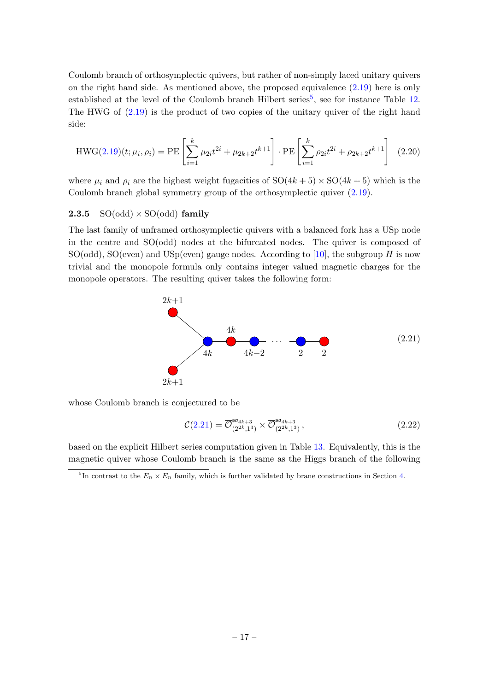Coulomb branch of orthosymplectic quivers, but rather of non-simply laced unitary quivers on the right hand side. As mentioned above, the proposed equivalence [\(2.19\)](#page-16-2) here is only established at the level of the Coulomb branch Hilbert series<sup>[5](#page-0-0)</sup>, see for instance Table [12.](#page-57-0) The HWG of [\(2.19\)](#page-16-2) is the product of two copies of the unitary quiver of the right hand side:

$$
HWG(2.19)(t; \mu_i, \rho_i) = PE\left[\sum_{i=1}^k \mu_{2i}t^{2i} + \mu_{2k+2}t^{k+1}\right] \cdot PE\left[\sum_{i=1}^k \rho_{2i}t^{2i} + \rho_{2k+2}t^{k+1}\right] \tag{2.20}
$$

where  $\mu_i$  and  $\rho_i$  are the highest weight fugacities of  $SO(4k+5) \times SO(4k+5)$  which is the Coulomb branch global symmetry group of the orthosymplectic quiver [\(2.19\)](#page-16-2).

#### <span id="page-17-0"></span>**2.3.5**  $SO(odd) \times SO(odd)$  family

The last family of unframed orthosymplectic quivers with a balanced fork has a USp node in the centre and SO(odd) nodes at the bifurcated nodes. The quiver is composed of SO(odd), SO(even) and USp(even) gauge nodes. According to [\[10\]](#page-62-7), the subgroup  $H$  is now trivial and the monopole formula only contains integer valued magnetic charges for the monopole operators. The resulting quiver takes the following form:

<span id="page-17-1"></span>

whose Coulomb branch is conjectured to be

<span id="page-17-2"></span>
$$
\mathcal{C}(2.21) = \overline{\mathcal{O}}_{(2^{2k},1^3)}^{60_{4k+3}} \times \overline{\mathcal{O}}_{(2^{2k},1^3)}^{60_{4k+3}}, \qquad (2.22)
$$

based on the explicit Hilbert series computation given in Table [13.](#page-57-1) Equivalently, this is the magnetic quiver whose Coulomb branch is the same as the Higgs branch of the following

<sup>&</sup>lt;sup>5</sup>In contrast to the  $E_n \times E_n$  family, which is further validated by brane constructions in Section [4.](#page-24-0)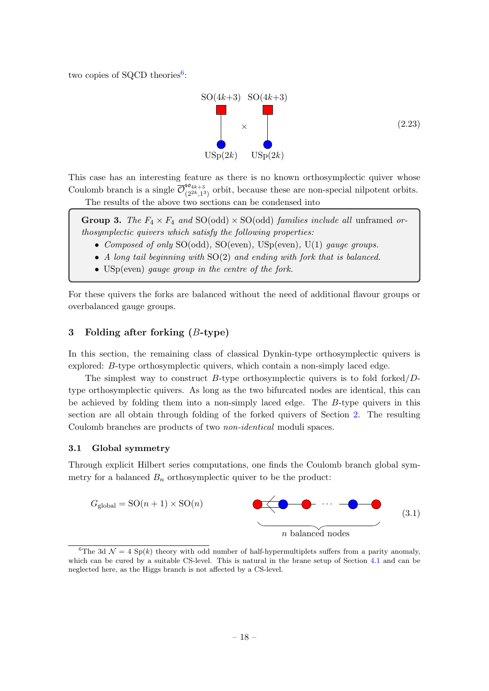two copies of SQCD theories<sup>[6](#page-0-0)</sup>:



This case has an interesting feature as there is no known orthosymplectic quiver whose Coulomb branch is a single  $\overline{\mathcal{O}}_{02k-1}^{\mathfrak{so}_{4k+3}}$  $\frac{\partial^2 u_{4k+3}}{\partial^2 u_{4k+3}}$  orbit, because these are non-special nilpotent orbits. The results of the above two sections can be condensed into

**Group 3.** The  $F_4 \times F_4$  and SO(odd)  $\times$  SO(odd) families include all unframed orthosymplectic quivers which satisfy the following properties:

- Composed of only SO(odd), SO(even), USp(even), U(1) gauge groups.
- A long tail beginning with SO(2) and ending with fork that is balanced.
- USp(even) gauge group in the centre of the fork.

For these quivers the forks are balanced without the need of additional flavour groups or overbalanced gauge groups.

## <span id="page-18-0"></span>3 Folding after forking  $(B\text{-type})$

In this section, the remaining class of classical Dynkin-type orthosymplectic quivers is explored: B-type orthosymplectic quivers, which contain a non-simply laced edge.

The simplest way to construct B-type orthosymplectic quivers is to fold forked/ $D$ type orthosymplectic quivers. As long as the two bifurcated nodes are identical, this can be achieved by folding them into a non-simply laced edge. The B-type quivers in this section are all obtain through folding of the forked quivers of Section [2.](#page-6-0) The resulting Coulomb branches are products of two non-identical moduli spaces.

#### <span id="page-18-1"></span>3.1 Global symmetry

Through explicit Hilbert series computations, one finds the Coulomb branch global symmetry for a balanced  $B_n$  orthosymplectic quiver to be the product:



<sup>&</sup>lt;sup>6</sup>The 3d  $\mathcal{N} = 4$  Sp(k) theory with odd number of half-hypermultiplets suffers from a parity anomaly, which can be cured by a suitable CS-level. This is natural in the brane setup of Section [4.1](#page-24-1) and can be neglected here, as the Higgs branch is not affected by a CS-level.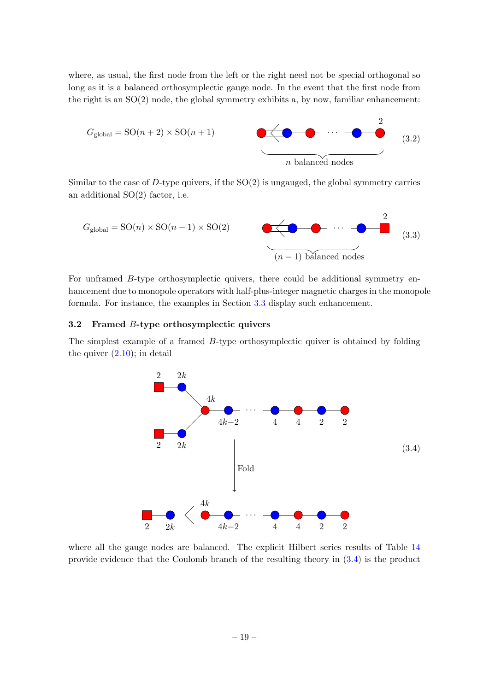where, as usual, the first node from the left or the right need not be special orthogonal so long as it is a balanced orthosymplectic gauge node. In the event that the first node from the right is an  $SO(2)$  node, the global symmetry exhibits a, by now, familiar enhancement:



Similar to the case of  $D$ -type quivers, if the  $SO(2)$  is ungauged, the global symmetry carries an additional SO(2) factor, i.e.

<span id="page-19-2"></span>

For unframed B-type orthosymplectic quivers, there could be additional symmetry enhancement due to monopole operators with half-plus-integer magnetic charges in the monopole formula. For instance, the examples in Section [3.3](#page-20-0) display such enhancement.

#### <span id="page-19-0"></span>3.2 Framed B-type orthosymplectic quivers

The simplest example of a framed B-type orthosymplectic quiver is obtained by folding the quiver  $(2.10)$ ; in detail

<span id="page-19-1"></span>

where all the gauge nodes are balanced. The explicit Hilbert series results of Table [14](#page-57-2) provide evidence that the Coulomb branch of the resulting theory in [\(3.4\)](#page-19-1) is the product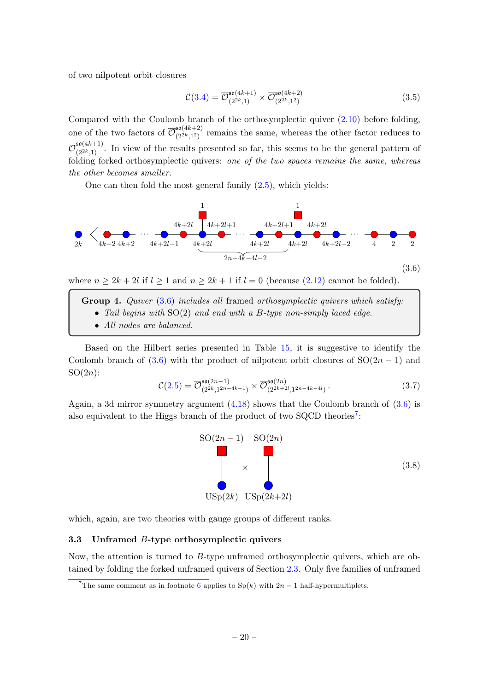of two nilpotent orbit closures

$$
\mathcal{C}(3.4) = \overline{\mathcal{O}}_{(2^{2k},1)}^{\mathfrak{so}(4k+1)} \times \overline{\mathcal{O}}_{(2^{2k},1^2)}^{\mathfrak{so}(4k+2)} \tag{3.5}
$$

Compared with the Coulomb branch of the orthosymplectic quiver [\(2.10\)](#page-9-0) before folding, one of the two factors of  $\overline{\mathcal{O}}_{(2k+12)}^{\mathfrak{so}(4k+2)}$  $\frac{\mathfrak{so}(4k+2)}{(2^{2k},1^2)}$  remains the same, whereas the other factor reduces to  $\overline{\mathcal{O}}_{(2^{2k},1)}^{\mathfrak{so}(4k+1)}$ . In view of the results presented so far, this seems to be the general pattern of folding forked orthosymplectic quivers: one of the two spaces remains the same, whereas the other becomes smaller.

One can then fold the most general family  $(2.5)$ , which yields:

<span id="page-20-1"></span>

where  $n \geq 2k + 2l$  if  $l \geq 1$  and  $n \geq 2k + 1$  if  $l = 0$  (because [\(2.12\)](#page-9-1) cannot be folded).

- Group 4. Quiver [\(3.6\)](#page-20-1) includes all framed orthosymplectic quivers which satisfy:
	- Tail begins with SO(2) and end with a B-type non-simply laced edge.
	- All nodes are balanced.

Based on the Hilbert series presented in Table [15,](#page-58-0) it is suggestive to identify the Coulomb branch of [\(3.6\)](#page-20-1) with the product of nilpotent orbit closures of  $SO(2n-1)$  and  $SO(2n)$ :

$$
\mathcal{C}(2.5) = \overline{\mathcal{O}}_{(2^{2k},1^{2n-4k-1})}^{50(2n-1)} \times \overline{\mathcal{O}}_{(2^{2k+2l},1^{2n-4k-4l})}^{50(2n)}.
$$
 (3.7)

Again, a 3d mirror symmetry argument  $(4.18)$  shows that the Coulomb branch of  $(3.6)$  is also equivalent to the Higgs branch of the product of two SQCD theories<sup>[7](#page-0-0)</sup>:



which, again, are two theories with gauge groups of different ranks.

#### <span id="page-20-0"></span>3.3 Unframed  $B$ -type orthosymplectic quivers

Now, the attention is turned to  $B$ -type unframed orthosymplectic quivers, which are obtained by folding the forked unframed quivers of Section [2.3.](#page-10-0) Only five families of unframed

<sup>&</sup>lt;sup>7</sup>The same comment as in footnote [6](#page-17-2) applies to  $Sp(k)$  with  $2n-1$  half-hypermultiplets.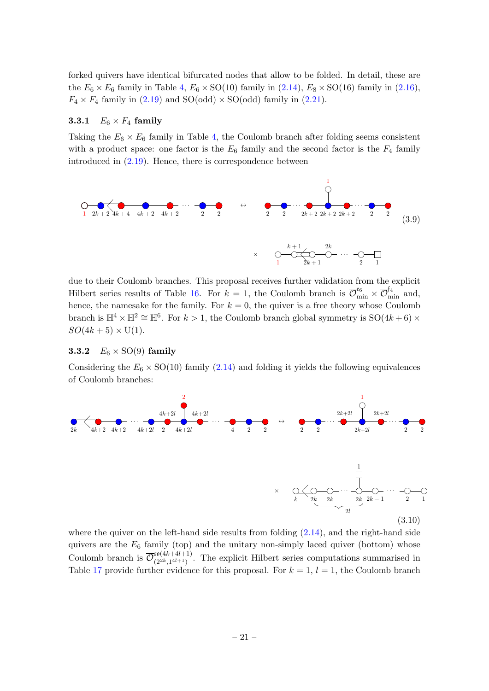forked quivers have identical bifurcated nodes that allow to be folded. In detail, these are the  $E_6 \times E_6$  family in Table [4,](#page-12-0)  $E_6 \times SO(10)$  family in  $(2.14)$ ,  $E_8 \times SO(16)$  family in  $(2.16)$ ,  $F_4 \times F_4$  family in [\(2.19\)](#page-16-2) and SO(odd)  $\times$  SO(odd) family in [\(2.21\)](#page-17-1).

# <span id="page-21-0"></span>**3.3.1**  $E_6 \times F_4$  family

Taking the  $E_6 \times E_6$  family in Table [4,](#page-12-0) the Coulomb branch after folding seems consistent with a product space: one factor is the  $E_6$  family and the second factor is the  $F_4$  family introduced in  $(2.19)$ . Hence, there is correspondence between

<span id="page-21-2"></span>

due to their Coulomb branches. This proposal receives further validation from the explicit Hilbert series results of Table [16.](#page-58-1) For  $k = 1$ , the Coulomb branch is  $\overline{\mathcal{O}}_{\text{min}}^{\epsilon_6} \times \overline{\mathcal{O}}_{\text{min}}^{\epsilon_4}$  and, hence, the namesake for the family. For  $k = 0$ , the quiver is a free theory whose Coulomb branch is  $\mathbb{H}^4 \times \mathbb{H}^2 \cong \mathbb{H}^6$ . For  $k > 1$ , the Coulomb branch global symmetry is SO(4k + 6) ×  $SO(4k+5) \times U(1)$ .

#### <span id="page-21-1"></span>**3.3.2**  $E_6 \times \text{SO}(9)$  family

Considering the  $E_6 \times SO(10)$  family [\(2.14\)](#page-13-1) and folding it yields the following equivalences of Coulomb branches:

<span id="page-21-3"></span>

where the quiver on the left-hand side results from folding  $(2.14)$ , and the right-hand side quivers are the  $E_6$  family (top) and the unitary non-simply laced quiver (bottom) whose Coulomb branch is  $\overline{\mathcal{O}}_{(2^{2k} 14l+1)}^{50(4k+4l+1)}$  $\frac{\mathfrak{so}(4k+4k+1)}{(2^{2k},1^{4l+1})}$ . The explicit Hilbert series computations summarised in Table [17](#page-59-0) provide further evidence for this proposal. For  $k = 1$ ,  $l = 1$ , the Coulomb branch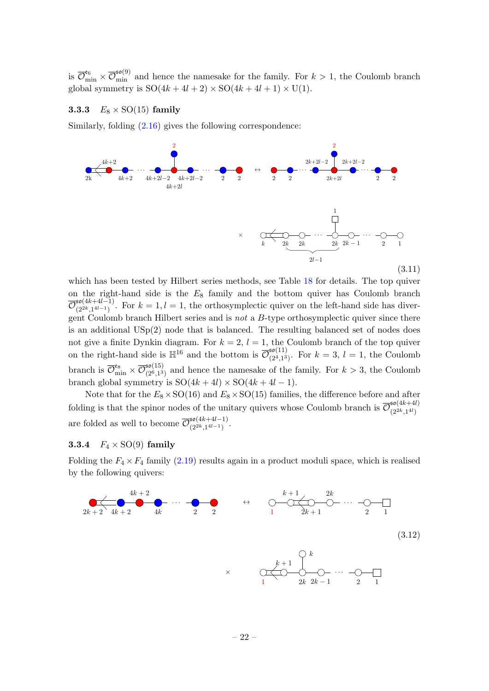is  $\overline{\mathcal{O}}_{\min}^{\epsilon_6} \times \overline{\mathcal{O}}_{\min}^{\epsilon_6(9)}$  and hence the namesake for the family. For  $k > 1$ , the Coulomb branch global symmetry is  $SO(4k+4l+2) \times SO(4k+4l+1) \times U(1)$ .

#### <span id="page-22-0"></span>**3.3.3**  $E_8 \times \text{SO}(15)$  family

Similarly, folding [\(2.16\)](#page-14-1) gives the following correspondence:

<span id="page-22-3"></span>

which has been tested by Hilbert series methods, see Table [18](#page-59-1) for details. The top quiver on the right-hand side is the  $E_8$  family and the bottom quiver has Coulomb branch  $\overline{\mathcal{O}}_{(2^{2k}1^{4l-1})}^{\mathfrak{so}(4k+4l-1)}$  $\sum_{(2^{2k},1^{4l-1})}^{30(4k+4l-1)}$ . For  $k=1, l=1$ , the orthosymplectic quiver on the left-hand side has divergent Coulomb branch Hilbert series and is not a  $B$ -type orthosymplectic quiver since there is an additional USp(2) node that is balanced. The resulting balanced set of nodes does not give a finite Dynkin diagram. For  $k = 2$ ,  $l = 1$ , the Coulomb branch of the top quiver on the right-hand side is  $\mathbb{H}^{16}$  and the bottom is  $\overline{\mathcal{O}}_{Q_4}^{\mathfrak{so}(11)}$  $\sum_{(2^4,1^3)}^{30(11)}$ . For  $k=3, l=1$ , the Coulomb branch is  $\overline{\mathcal{O}}_{\rm min}^{\mathfrak{e}_8} \times \overline{\mathcal{O}}_{(2^6,1^3}^{\mathfrak{so}(15)}$  $\frac{\mathfrak{so}(10)}{(2^6,1^3)}$  and hence the namesake of the family. For  $k > 3$ , the Coulomb branch global symmetry is  $SO(4k + 4l) \times SO(4k + 4l - 1)$ .

Note that for the  $E_8 \times SO(16)$  and  $E_8 \times SO(15)$  families, the difference before and after folding is that the spinor nodes of the unitary quivers whose Coulomb branch is  $\overline{\mathcal{O}}_{(2k+14)}^{50(4k+4l)}$  $(2^{2k}, 1^{4l})$ are folded as well to become  $\overline{\mathcal{O}}_{(2k+1l-1)}^{\mathfrak{so}(4k+4l-1)}$  $\frac{30(4k+4l-1)}{(2^{2k},1^{4l-1})}$ .

#### <span id="page-22-1"></span>**3.3.4**  $F_4 \times SO(9)$  family

Folding the  $F_4 \times F_4$  family [\(2.19\)](#page-16-2) results again in a product moduli space, which is realised by the following quivers:

<span id="page-22-2"></span>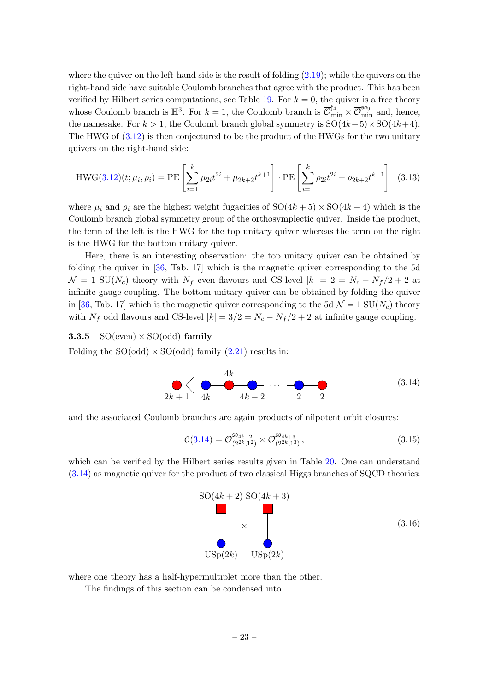where the quiver on the left-hand side is the result of folding [\(2.19\)](#page-16-2); while the quivers on the right-hand side have suitable Coulomb branches that agree with the product. This has been verified by Hilbert series computations, see Table [19.](#page-59-2) For  $k = 0$ , the quiver is a free theory whose Coulomb branch is  $\mathbb{H}^3$ . For  $k = 1$ , the Coulomb branch is  $\overline{\mathcal{O}}_{\min}^{\mathfrak{f}_4} \times \overline{\mathcal{O}}_{\min}^{\mathfrak{so}_9}$  and, hence, the namesake. For  $k > 1$ , the Coulomb branch global symmetry is  $SO(4k+5) \times SO(4k+4)$ . The HWG of [\(3.12\)](#page-22-2) is then conjectured to be the product of the HWGs for the two unitary quivers on the right-hand side:

$$
HWG(3.12)(t; \mu_i, \rho_i) = PE\left[\sum_{i=1}^k \mu_{2i} t^{2i} + \mu_{2k+2} t^{k+1}\right] \cdot PE\left[\sum_{i=1}^k \rho_{2i} t^{2i} + \rho_{2k+2} t^{k+1}\right]
$$
(3.13)

where  $\mu_i$  and  $\rho_i$  are the highest weight fugacities of  $SO(4k+5) \times SO(4k+4)$  which is the Coulomb branch global symmetry group of the orthosymplectic quiver. Inside the product, the term of the left is the HWG for the top unitary quiver whereas the term on the right is the HWG for the bottom unitary quiver.

Here, there is an interesting observation: the top unitary quiver can be obtained by folding the quiver in [\[36,](#page-63-9) Tab. 17] which is the magnetic quiver corresponding to the 5d  $\mathcal{N} = 1$  SU(N<sub>c</sub>) theory with N<sub>f</sub> even flavours and CS-level  $|k| = 2 = N_c - N_f/2 + 2$  at infinite gauge coupling. The bottom unitary quiver can be obtained by folding the quiver in [\[36,](#page-63-9) Tab. 17] which is the magnetic quiver corresponding to the 5d  $\mathcal{N} = 1$  SU( $N_c$ ) theory with  $N_f$  odd flavours and CS-level  $|k| = 3/2 = N_c - N_f/2 + 2$  at infinite gauge coupling.

#### <span id="page-23-0"></span>**3.3.5** SO(even)  $\times$  SO(odd) family

Folding the  $SO(odd) \times SO(odd)$  family  $(2.21)$  results in:

<span id="page-23-1"></span>

and the associated Coulomb branches are again products of nilpotent orbit closures:

$$
\mathcal{C}(3.14) = \overline{\mathcal{O}}_{(2^{2k},1^2)}^{50_{4k+2}} \times \overline{\mathcal{O}}_{(2^{2k},1^3)}^{50_{4k+3}}, \tag{3.15}
$$

which can be verified by the Hilbert series results given in Table [20.](#page-60-0) One can understand [\(3.14\)](#page-23-1) as magnetic quiver for the product of two classical Higgs branches of SQCD theories:



where one theory has a half-hypermultiplet more than the other.

The findings of this section can be condensed into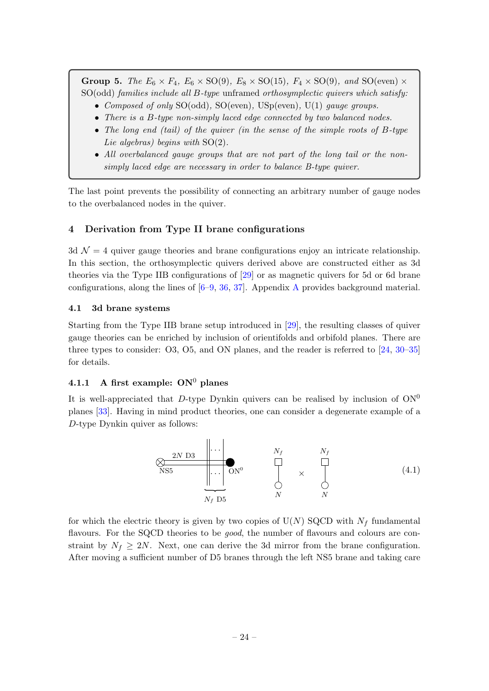Group 5. The  $E_6 \times F_4$ ,  $E_6 \times SO(9)$ ,  $E_8 \times SO(15)$ ,  $F_4 \times SO(9)$ , and  $SO(\text{even}) \times$ SO(odd) families include all B-type unframed orthosymplectic quivers which satisfy:

- Composed of only SO(odd), SO(even), USp(even), U(1) gauge groups.
- There is a B-type non-simply laced edge connected by two balanced nodes.
- The long end (tail) of the quiver (in the sense of the simple roots of B-type Lie algebras) begins with  $SO(2)$ .
- All overbalanced gauge groups that are not part of the long tail or the nonsimply laced edge are necessary in order to balance B-type quiver.

The last point prevents the possibility of connecting an arbitrary number of gauge nodes to the overbalanced nodes in the quiver.

# <span id="page-24-0"></span>4 Derivation from Type II brane configurations

3d  $\mathcal{N} = 4$  quiver gauge theories and brane configurations enjoy an intricate relationship. In this section, the orthosymplectic quivers derived above are constructed either as 3d theories via the Type IIB configurations of [\[29\]](#page-63-6) or as magnetic quivers for 5d or 6d brane configurations, along the lines of  $[6-9, 36, 37]$  $[6-9, 36, 37]$  $[6-9, 36, 37]$  $[6-9, 36, 37]$  $[6-9, 36, 37]$  $[6-9, 36, 37]$ . [A](#page-49-0)ppendix A provides background material.

## <span id="page-24-1"></span>4.1 3d brane systems

Starting from the Type IIB brane setup introduced in [\[29\]](#page-63-6), the resulting classes of quiver gauge theories can be enriched by inclusion of orientifolds and orbifold planes. There are three types to consider: O3, O5, and ON planes, and the reader is referred to [\[24,](#page-63-3) [30–](#page-63-7)[35\]](#page-63-8) for details.

# <span id="page-24-2"></span>4.1.1 A first example:  $ON^0$  planes

It is well-appreciated that D-type Dynkin quivers can be realised by inclusion of  $ON<sup>0</sup>$ planes [\[33\]](#page-63-11). Having in mind product theories, one can consider a degenerate example of a D-type Dynkin quiver as follows:



for which the electric theory is given by two copies of  $U(N)$  SQCD with  $N_f$  fundamental flavours. For the SQCD theories to be *good*, the number of flavours and colours are constraint by  $N_f \geq 2N$ . Next, one can derive the 3d mirror from the brane configuration. After moving a sufficient number of D5 branes through the left NS5 brane and taking care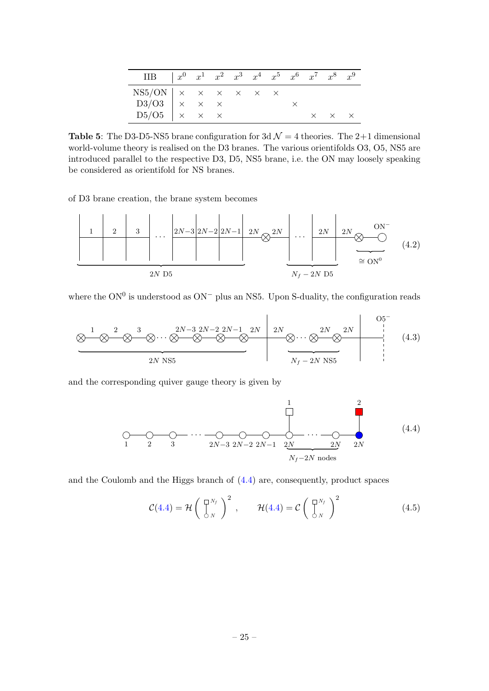| $\begin{array}{ccccccccc}\n\text{IIB} & & x^0 & x^1 & x^2 & x^3 & x^4 & x^5 & x^6 & x^7 & x^8 & x^9\n\end{array}$                                                                                                |  |  |  |                            |  |
|------------------------------------------------------------------------------------------------------------------------------------------------------------------------------------------------------------------|--|--|--|----------------------------|--|
|                                                                                                                                                                                                                  |  |  |  |                            |  |
|                                                                                                                                                                                                                  |  |  |  |                            |  |
| $\begin{array}{l ccc}\n\text{NS5/ON} & \times & \times & \times & \times & \times & \times \\ \text{D3/O3} & \times & \times & \times & \times \\ \text{D5/O5} & \times & \times & \times & \times\n\end{array}$ |  |  |  | $\times$ $\times$ $\times$ |  |

**Table 5:** The D3-D5-NS5 brane configuration for 3d  $\mathcal{N} = 4$  theories. The 2+1 dimensional world-volume theory is realised on the D3 branes. The various orientifolds O3, O5, NS5 are introduced parallel to the respective D3, D5, NS5 brane, i.e. the ON may loosely speaking be considered as orientifold for NS branes.

of D3 brane creation, the brane system becomes



where the  $ON^0$  is understood as  $ON^-$  plus an NS5. Upon S-duality, the configuration reads



and the corresponding quiver gauge theory is given by

1 2 3 . . . 2N−3 2N−2 2N−1 2N . . . 2N 2N 1 2 Nf−2N nodes (4.4)

and the Coulomb and the Higgs branch of [\(4.4\)](#page-25-0) are, consequently, product spaces

<span id="page-25-0"></span>
$$
\mathcal{C}(4.4) = \mathcal{H}\left(\begin{array}{c} \square^{N_f} \\ \bigcirc^{N_f} \end{array}\right)^2, \qquad \mathcal{H}(4.4) = \mathcal{C}\left(\begin{array}{c} \square^{N_f} \\ \bigcirc^{N_f} \end{array}\right)^2 \tag{4.5}
$$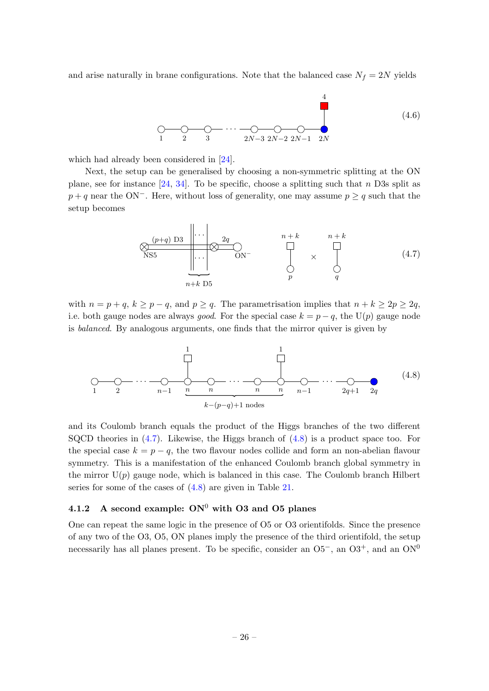and arise naturally in brane configurations. Note that the balanced case  $N_f = 2N$  yields

<span id="page-26-3"></span>

which had already been considered in [\[24\]](#page-63-3).

Next, the setup can be generalised by choosing a non-symmetric splitting at the ON plane, see for instance  $[24, 34]$  $[24, 34]$ . To be specific, choose a splitting such that n D3s split as  $p + q$  near the ON<sup>-</sup>. Here, without loss of generality, one may assume  $p \geq q$  such that the setup becomes

<span id="page-26-2"></span><span id="page-26-1"></span>
$$
\underbrace{\otimes}_{\text{NS5}} \underbrace{\begin{array}{c} (p+q) \text{ D3} \\ \vdots \\ \vdots \\ \vdots \\ \vdots \\ n+k \text{ D5} \end{array}}_{n+k} \underbrace{\begin{array}{c} 2q \\ \text{O} \\ \text{O} \\ \text{O} \end{array}}_{p} \qquad \qquad \underbrace{\begin{array}{c} n+k \\ \vdots \\ n+k \\ \vdots \\ n+k \end{array}}_{p} \qquad \qquad \underbrace{\begin{array}{c} n+k \\ \text{O} \\ \text{O} \end{array}}_{q} \qquad (4.7)
$$

with  $n = p + q$ ,  $k \ge p - q$ , and  $p \ge q$ . The parametrisation implies that  $n + k \ge 2p \ge 2q$ , i.e. both gauge nodes are always *good*. For the special case  $k = p - q$ , the U(p) gauge node is balanced. By analogous arguments, one finds that the mirror quiver is given by

1 2 . . . n−1 n n . . . n n n−1 . . . 2q+1 2q 1 1 k−(p−q)+1 nodes (4.8)

and its Coulomb branch equals the product of the Higgs branches of the two different SQCD theories in  $(4.7)$ . Likewise, the Higgs branch of  $(4.8)$  is a product space too. For the special case  $k = p - q$ , the two flavour nodes collide and form an non-abelian flavour symmetry. This is a manifestation of the enhanced Coulomb branch global symmetry in the mirror  $U(p)$  gauge node, which is balanced in this case. The Coulomb branch Hilbert series for some of the cases of  $(4.8)$  are given in Table [21.](#page-60-1)

# <span id="page-26-0"></span>4.1.2 A second example:  $ON^0$  with O3 and O5 planes

One can repeat the same logic in the presence of O5 or O3 orientifolds. Since the presence of any two of the O3, O5, ON planes imply the presence of the third orientifold, the setup necessarily has all planes present. To be specific, consider an  $05^-$ , an  $03^+$ , and an  $0N^0$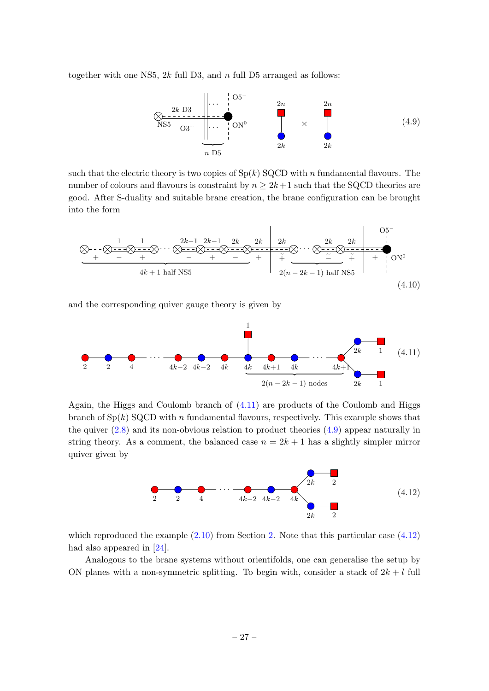together with one NS5,  $2k$  full D3, and n full D5 arranged as follows:

<span id="page-27-1"></span>

such that the electric theory is two copies of  $Sp(k)$  SQCD with n fundamental flavours. The number of colours and flavours is constraint by  $n \geq 2k+1$  such that the SQCD theories are good. After S-duality and suitable brane creation, the brane configuration can be brought into the form



and the corresponding quiver gauge theory is given by



Again, the Higgs and Coulomb branch of [\(4.11\)](#page-27-0) are products of the Coulomb and Higgs branch of  $Sp(k)$  SQCD with n fundamental flavours, respectively. This example shows that the quiver  $(2.8)$  and its non-obvious relation to product theories  $(4.9)$  appear naturally in string theory. As a comment, the balanced case  $n = 2k + 1$  has a slightly simpler mirror quiver given by

<span id="page-27-2"></span><span id="page-27-0"></span>

which reproduced the example  $(2.10)$  $(2.10)$  $(2.10)$  from Section 2. Note that this particular case  $(4.12)$ had also appeared in [\[24\]](#page-63-3).

Analogous to the brane systems without orientifolds, one can generalise the setup by ON planes with a non-symmetric splitting. To begin with, consider a stack of  $2k + l$  full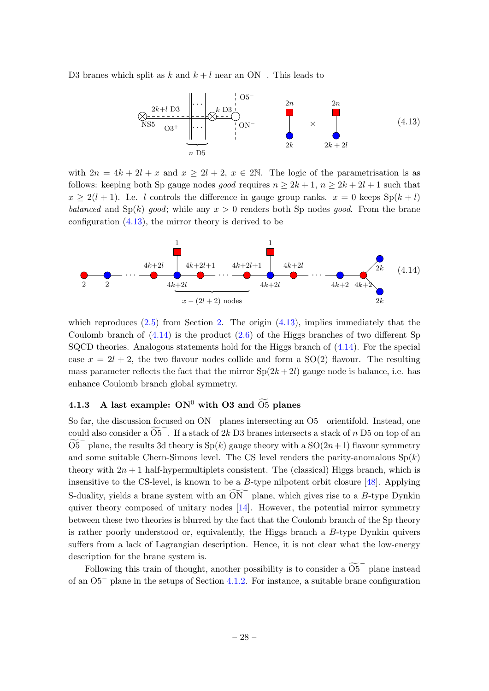D3 branes which split as k and  $k + l$  near an ON<sup>-</sup>. This leads to

<span id="page-28-2"></span><span id="page-28-1"></span>

with  $2n = 4k + 2l + x$  and  $x \ge 2l + 2$ ,  $x \in 2N$ . The logic of the parametrisation is as follows: keeping both Sp gauge nodes good requires  $n \geq 2k+1$ ,  $n \geq 2k+2l+1$  such that  $x \ge 2(l+1)$ . I.e. l controls the difference in gauge group ranks.  $x = 0$  keeps  $Sp(k+l)$ balanced and  $Sp(k)$  good; while any  $x > 0$  renders both Sp nodes good. From the brane configuration [\(4.13\)](#page-28-1), the mirror theory is derived to be



which reproduces  $(2.5)$  $(2.5)$  $(2.5)$  from Section 2. The origin  $(4.13)$ , implies immediately that the Coulomb branch of  $(4.14)$  is the product  $(2.6)$  of the Higgs branches of two different Sp SQCD theories. Analogous statements hold for the Higgs branch of [\(4.14\)](#page-28-2). For the special case  $x = 2l + 2$ , the two flavour nodes collide and form a SO(2) flavour. The resulting mass parameter reflects the fact that the mirror  $Sp(2k+2l)$  gauge node is balance, i.e. has enhance Coulomb branch global symmetry.

# <span id="page-28-0"></span>4.1.3 A last example:  $ON^0$  with O3 and  $\overline{O5}$  planes

So far, the discussion focused on ON<sup>−</sup> planes intersecting an O5<sup>−</sup> orientifold. Instead, one could also consider a  $\widetilde{O5}^-$ . If a stack of 2k D3 branes intersects a stack of n D5 on top of an  $\widetilde{\mathrm{O5}}^-$  plane, the results 3d theory is Sp(k) gauge theory with a SO(2n+1) flavour symmetry and some suitable Chern-Simons level. The CS level renders the parity-anomalous  $Sp(k)$ theory with  $2n + 1$  half-hypermultiplets consistent. The (classical) Higgs branch, which is insensitive to the CS-level, is known to be a  $B$ -type nilpotent orbit closure [\[48\]](#page-64-5). Applying S-duality, yields a brane system with an  $\widetilde{ON}^-$  plane, which gives rise to a B-type Dynkin quiver theory composed of unitary nodes [\[14\]](#page-62-11). However, the potential mirror symmetry between these two theories is blurred by the fact that the Coulomb branch of the Sp theory is rather poorly understood or, equivalently, the Higgs branch a B-type Dynkin quivers suffers from a lack of Lagrangian description. Hence, it is not clear what the low-energy description for the brane system is.

Following this train of thought, another possibility is to consider a  $\widetilde{O5}^-$  plane instead of an O5<sup>−</sup> plane in the setups of Section [4.1.2.](#page-26-0) For instance, a suitable brane configuration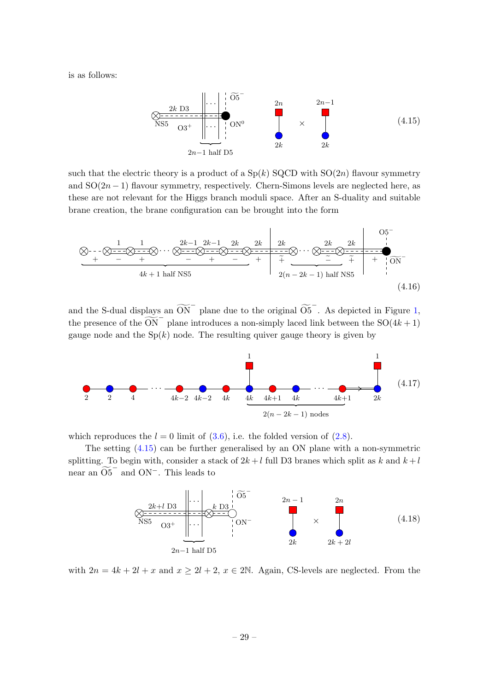is as follows:

<span id="page-29-1"></span>

such that the electric theory is a product of a  $Sp(k)$  SQCD with  $SO(2n)$  flavour symmetry and  $SO(2n-1)$  flavour symmetry, respectively. Chern-Simons levels are neglected here, as these are not relevant for the Higgs branch moduli space. After an S-duality and suitable brane creation, the brane configuration can be brought into the form



and the S-dual displays an  $\widetilde{ON}^-$  plane due to the original  $\widetilde{O5}^-$ . As depicted in Figure [1,](#page-52-1) the presence of the  $\overline{ON}^-$  plane introduces a non-simply laced link between the SO(4k + 1) gauge node and the  $Sp(k)$  node. The resulting quiver gauge theory is given by



which reproduces the  $l = 0$  limit of [\(3.6\)](#page-20-1), i.e. the folded version of [\(2.8\)](#page-8-2).

The setting [\(4.15\)](#page-29-1) can be further generalised by an ON plane with a non-symmetric splitting. To begin with, consider a stack of  $2k+l$  full D3 branes which split as k and  $k+l$ near an  $\widetilde{O5}^-$  and  $ON^-$ . This leads to

<span id="page-29-0"></span>

with  $2n = 4k + 2l + x$  and  $x \ge 2l + 2$ ,  $x \in 2N$ . Again, CS-levels are neglected. From the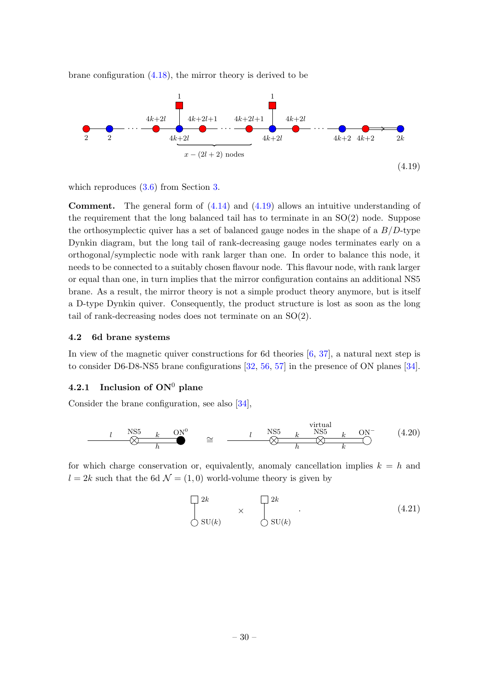brane configuration  $(4.18)$ , the mirror theory is derived to be



<span id="page-30-2"></span>which reproduces  $(3.6)$  $(3.6)$  $(3.6)$  from Section 3.

**Comment.** The general form of  $(4.14)$  and  $(4.19)$  allows an intuitive understanding of the requirement that the long balanced tail has to terminate in an  $SO(2)$  node. Suppose the orthosymplectic quiver has a set of balanced gauge nodes in the shape of a  $B/D$ -type Dynkin diagram, but the long tail of rank-decreasing gauge nodes terminates early on a orthogonal/symplectic node with rank larger than one. In order to balance this node, it needs to be connected to a suitably chosen flavour node. This flavour node, with rank larger or equal than one, in turn implies that the mirror configuration contains an additional NS5 brane. As a result, the mirror theory is not a simple product theory anymore, but is itself a D-type Dynkin quiver. Consequently, the product structure is lost as soon as the long tail of rank-decreasing nodes does not terminate on an SO(2).

#### <span id="page-30-0"></span>4.2 6d brane systems

In view of the magnetic quiver constructions for 6d theories [\[6,](#page-62-5) [37\]](#page-63-10), a natural next step is to consider D6-D8-NS5 brane configurations [\[32,](#page-63-13) [56,](#page-64-13) [57\]](#page-64-14) in the presence of ON planes [\[34\]](#page-63-12).

# <span id="page-30-1"></span>4.2.1 Inclusion of  $ON^0$  plane

Consider the brane configuration, see also [\[34\]](#page-63-12),

$$
l \longrightarrow \frac{NSS \t k \t ON^0}{h} \approx \frac{l \quad NS5 \t k \quad NS5 \t k \quad ON^-}{h} \tag{4.20}
$$

for which charge conservation or, equivalently, anomaly cancellation implies  $k = h$  and  $l = 2k$  such that the 6d  $\mathcal{N} = (1, 0)$  world-volume theory is given by

<span id="page-30-3"></span>
$$
\begin{array}{ccc}\n\Box^{2k} & & \Box^{2k} \\
\Diamond \operatorname{SU}(k) & & \Diamond \operatorname{SU}(k)\n\end{array}.
$$
\n(4.21)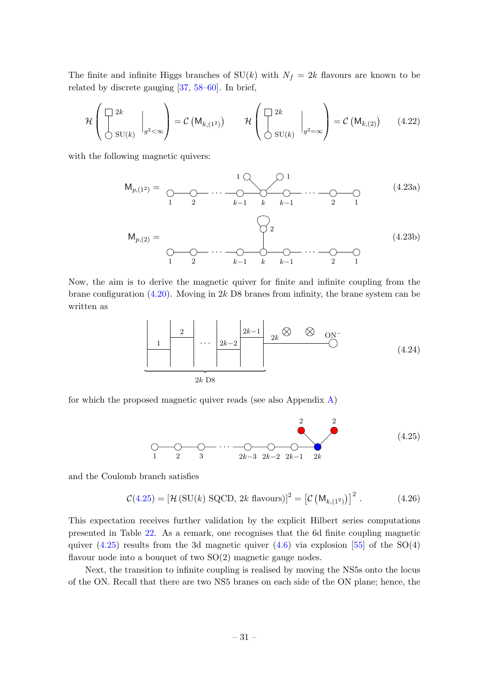The finite and infinite Higgs branches of  $SU(k)$  with  $N_f = 2k$  flavours are known to be related by discrete gauging [\[37,](#page-63-10) [58–](#page-64-15)[60\]](#page-64-16). In brief,

$$
\mathcal{H}\left(\begin{bmatrix} 2k \\ \vdots \\ 2k \end{bmatrix} \bigg|_{g^2<\infty}\right) = \mathcal{C}\left(\mathsf{M}_{k,(1^2)}\right) \qquad \mathcal{H}\left(\begin{bmatrix} 2k \\ \vdots \\ 2k \end{bmatrix} \bigg|_{g^2=\infty}\right) = \mathcal{C}\left(\mathsf{M}_{k,(2)}\right) \qquad (4.22)
$$

with the following magnetic quivers:

Mp,(12) = 1 2 . . . k−1 k k−1 . . . 2 1 1 1 (4.23a) Mp,(2) = 1 2 . . . k−1 k k−1 . . . 2 1 2 (4.23b)

Now, the aim is to derive the magnetic quiver for finite and infinite coupling from the brane configuration  $(4.20)$ . Moving in 2k D8 branes from infinity, the brane system can be written as

$$
\begin{array}{|c|c|c|c|c|}\hline 1 & 2 & 2k-2 & 2k-1 & 2k & \textcircled{6} & \textcircled{7} \\ & & 2k-2 & 2k & \textcircled{7} & \textcircled{8} & \textcircled{9} & \textcircled{1} \\ & & & 2k & \textcircled{18} & & & \textcircled{1} \\\hline & & & & & & 2k & \textcircled{18} & & \textcircled{1} \\\hline & & & & & & & 2k & \textcircled{18} & & \textcircled{1} \\\hline & & & & & & & & 2k & \textcircled{18} & & \textcircled{18} & & \textcircled{18} & & \textcircled{18} & & \textcircled{18} & & \textcircled{18} & & \textcircled{18} & & \textcircled{18} & & \textcircled{18} & & \textcircled{18} & & \textcircled{18} & & \textcircled{18} & & \textcircled{18} & & \textcircled{18} & & \textcircled{18} & & \textcircled{18} & & \textcircled{18} & & \textcircled{18} & & \textcircled{18} & & \textcircled{18} & & \textcircled{18} & & \textcircled{18} & & \textcircled{18} & & \textcircled{18} & & \textcircled{18} & & \textcircled{18} & & \textcircled{18} & & \textcircled{18} & & \textcircled{18} & & \textcircled{18} & & \textcircled{18} & & \textcircled{18} & & \textcircled{18} & & \textcircled{18} & & \textcircled{18} & & \textcircled{18} & & \textcircled{18} & & \textcircled{18} & & \textcircled{18} & & \textcircled{18} & & \textcircled{18} & & \textcircled{18} & & \textcircled{18} & & \textcircled{18} & & \textcircled{18} & & \textcircled{18} & & \textcircled{18} & & \textcircled{18} & & \textcircled{18} & & \textcircled{18} & & \textcircled{18} & & \textcircled{18} & & \textcircled{18} & & \textcircled{18} & & \textcircled{18} & & \textcircled{
$$

for which the proposed magnetic quiver reads (see also Appendix  $\bf{A}$ )

<span id="page-31-0"></span>
$$
\begin{array}{ccc}\n & & & & 2 & & 2 \\
\hline\n0 & & & & & \n\end{array}
$$
\n
$$
\begin{array}{ccc}\n & & & & 2 & & 2 \\
\hline\n0 & & & & & \n\end{array}
$$
\n
$$
\begin{array}{ccc}\n & & & & 2 & & 2 \\
\hline\n & & & & & \n\end{array}
$$
\n
$$
\begin{array}{ccc}\n & & & 2 & & 2 \\
\hline\n & & & & & \n\end{array}
$$
\n
$$
\begin{array}{ccc}\n & & & 2 & & \n\end{array}
$$
\n
$$
\begin{array}{ccc}\n & & & 2 & & \n\end{array}
$$
\n
$$
\begin{array}{ccc}\n & & & 2 & \n\end{array}
$$
\n
$$
\begin{array}{ccc}\n & & & 2 & \n\end{array}
$$
\n
$$
\begin{array}{ccc}\n & & & 2 & \n\end{array}
$$
\n
$$
\begin{array}{ccc}\n & & & 2 & \n\end{array}
$$
\n
$$
\begin{array}{ccc}\n & & & 2 & \n\end{array}
$$
\n
$$
\begin{array}{ccc}\n & & & 2 & \n\end{array}
$$
\n
$$
\begin{array}{ccc}\n & & & 2 & \n\end{array}
$$
\n
$$
\begin{array}{ccc}\n & & & 2 & \n\end{array}
$$
\n
$$
\begin{array}{ccc}\n & & & 2 & \n\end{array}
$$
\n
$$
\begin{array}{ccc}\n & & & 2 & \n\end{array}
$$
\n
$$
\begin{array}{ccc}\n & & & 2 & \n\end{array}
$$
\n
$$
\begin{array}{ccc}\n & & & 2 & \n\end{array}
$$
\n
$$
\begin{array}{ccc}\n & & & 2 & \n\end{array}
$$
\n
$$
\begin{array}{ccc}\n & & & 2 & \n\end{array}
$$
\n
$$
\begin{array}{ccc}\n & & & 2 & \n\end{array}
$$
\n
$$
\begin{array}{ccc}\n & & & 2 & \n\end{array}
$$
\n
$$
\begin{array}{ccc}\n & & & 2 & \n\end{array}
$$
\n
$$
\begin{array}{ccc}\n & & & 2 & \n\end{array}
$$
\n
$$
\begin{array}{
$$

and the Coulomb branch satisfies

$$
\mathcal{C}(4.25) = \left[\mathcal{H}\left(\text{SU}(k)\ \text{SQCD},\ 2k\ \text{flavours}\right)\right]^2 = \left[\mathcal{C}\left(\mathsf{M}_{k,(1^2)}\right)\right]^2. \tag{4.26}
$$

This expectation receives further validation by the explicit Hilbert series computations presented in Table [22.](#page-61-0) As a remark, one recognises that the 6d finite coupling magnetic quiver  $(4.25)$  results from the 3d magnetic quiver  $(4.6)$  via explosion [\[55\]](#page-64-12) of the SO(4) flavour node into a bouquet of two  $SO(2)$  magnetic gauge nodes.

Next, the transition to infinite coupling is realised by moving the NS5s onto the locus of the ON. Recall that there are two NS5 branes on each side of the ON plane; hence, the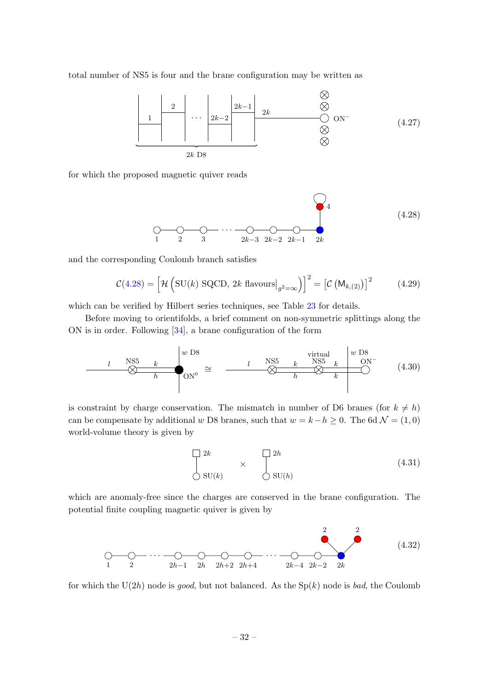total number of NS5 is four and the brane configuration may be written as



for which the proposed magnetic quiver reads

<span id="page-32-0"></span>
$$
\begin{array}{ccc}\n & & & \\
\bigcirc & \bigcirc & \bigcirc \\
1 & 2 & 3 & 2k-3 & 2k-2 & 2k-1 & 2k\n\end{array}
$$
\n(4.28)

and the corresponding Coulomb branch satisfies

$$
\mathcal{C}(4.28) = \left[ \mathcal{H} \left( \text{SU}(k) \text{ SQCD}, 2k \text{ flavours} \big|_{g^2 = \infty} \right) \right]^2 = \left[ \mathcal{C} \left( \mathsf{M}_{k,(2)} \right) \right]^2 \tag{4.29}
$$

which can be verified by Hilbert series techniques, see Table [23](#page-61-1) for details.

Before moving to orientifolds, a brief comment on non-symmetric splittings along the ON is in order. Following [\[34\]](#page-63-12), a brane configuration of the form

$$
l \longrightarrow 1
$$
NS5 k\n
$$
l \longrightarrow 0
$$
NS5 k\n
$$
l \longrightarrow 0
$$
NS5 k\n
$$
l \longrightarrow 0
$$
NS5 k\n
$$
l \longrightarrow 0
$$
NS5 k\n
$$
l \longrightarrow 0
$$
NS5 k\n(4.30)

is constraint by charge conservation. The mismatch in number of D6 branes (for  $k \neq h$ ) can be compensate by additional w D8 branes, such that  $w = k - h \ge 0$ . The 6d  $\mathcal{N} = (1, 0)$ world-volume theory is given by

$$
\begin{array}{ccc}\n2k & & \longrightarrow & 2h \\
& \times & & \downarrow \\
& \text{SU}(k) & & \text{SU}(h)\n\end{array}
$$
\n(4.31)

which are anomaly-free since the charges are conserved in the brane configuration. The potential finite coupling magnetic quiver is given by

1 2 . . . 2h−1 2h 2h+2 2h+4 . . . 2k−4 2k−2 2k 2 2 (4.32)

for which the  $U(2h)$  node is good, but not balanced. As the  $Sp(k)$  node is bad, the Coulomb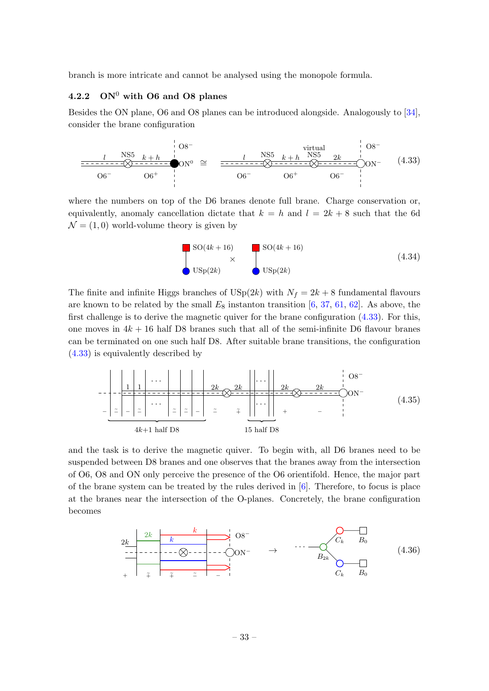branch is more intricate and cannot be analysed using the monopole formula.

# <span id="page-33-0"></span>4.2.2  $\rm ON^0$  with O6 and O8 planes

Besides the ON plane, O6 and O8 planes can be introduced alongside. Analogously to [\[34\]](#page-63-12), consider the brane configuration



where the numbers on top of the D6 branes denote full brane. Charge conservation or, equivalently, anomaly cancellation dictate that  $k = h$  and  $l = 2k + 8$  such that the 6d  $\mathcal{N} = (1, 0)$  world-volume theory is given by

<span id="page-33-1"></span>
$$
\begin{array}{c}\n\text{SO}(4k+16) \\
\times \\
\text{USp}(2k)\n\end{array}
$$
\nSO(4k+16)\n  
\n(4.34)

The finite and infinite Higgs branches of  $\text{USp}(2k)$  with  $N_f = 2k + 8$  fundamental flavours are known to be related by the small  $E_8$  instanton transition [\[6,](#page-62-5) [37,](#page-63-10) [61,](#page-64-17) [62\]](#page-65-0). As above, the first challenge is to derive the magnetic quiver for the brane configuration  $(4.33)$ . For this, one moves in  $4k + 16$  half D8 branes such that all of the semi-infinite D6 flavour branes can be terminated on one such half D8. After suitable brane transitions, the configuration [\(4.33\)](#page-33-1) is equivalently described by

$$
-\left[\frac{1}{z}\left|\frac{1}{z}\right|\cdots\right]\left|\frac{2k}{z}\right|\frac{2k}{z}\right]\left|\frac{2k}{z}\right|\left|\frac{2k}{z}\right|\right|\left|\frac{2k}{z}\right|\left|\frac{2k}{z}\right|\left|\frac{2k}{z}\right|\left|\frac{2k}{z}\right|\left|\frac{2k}{z}\right|\left|\frac{2k}{z}\right|\left|\frac{2k}{z}\right|\left|\frac{2k}{z}\right|\left|\frac{2k}{z}\right|\left|\frac{2k}{z}\right|\left|\frac{2k}{z}\right|\left|\frac{2k}{z}\right|\left|\frac{2k}{z}\right|\left|\frac{2k}{z}\right|\left|\frac{2k}{z}\right|\left|\frac{2k}{z}\right|\left|\frac{2k}{z}\right|\left|\frac{2k}{z}\right|\left|\frac{2k}{z}\right|\left|\frac{2k}{z}\right|\left|\frac{2k}{z}\right|\left|\frac{2k}{z}\right|\left|\frac{2k}{z}\right|\left|\frac{2k}{z}\right|\left|\frac{2k}{z}\right|\left|\frac{2k}{z}\right|\left|\frac{2k}{z}\right|\left|\frac{2k}{z}\right|\left|\frac{2k}{z}\right|\left|\frac{2k}{z}\right|\left|\frac{2k}{z}\right|\left|\frac{2k}{z}\right|\left|\frac{2k}{z}\right|\left|\frac{2k}{z}\right|\left|\frac{2k}{z}\right|\left|\frac{2k}{z}\right|\left|\frac{2k}{z}\right|\left|\frac{2k}{z}\right|\left|\frac{2k}{z}\right|\left|\frac{2k}{z}\right|\left|\frac{2k}{z}\right|\left|\frac{2k}{z}\right|\left|\frac{2k}{z}\right|\left|\frac{2k}{z}\right|\left|\frac{2k}{z}\right|\left|\frac{2k}{z}\right|\left|\frac{2k}{z}\right|\left|\frac{2k}{z}\right|\left|\frac{2k}{z}\right|\left|\frac{2k}{z}\right|\left|\frac{2k}{z}\right|\left|\frac{2k}{z}\right|\left|\frac{2k}{z}\right|\left|\frac{2k}{z}\right|\left|\frac{2k}{z}\right|\left|\frac{2k}{z}\right|\left|\frac{2k}{z}\right|\left|\frac{2k}{z}\right|\left|\frac{2k}{z}\right|\left|\frac{2k}{z}\right|\left|\frac{2k}{z}\right|\left|\frac{2k}{z}\right|\left|\frac{2k}{z}\
$$

and the task is to derive the magnetic quiver. To begin with, all D6 branes need to be suspended between D8 branes and one observes that the branes away from the intersection of O6, O8 and ON only perceive the presence of the O6 orientifold. Hence, the major part of the brane system can be treated by the rules derived in  $[6]$ . Therefore, to focus is place at the branes near the intersection of the O-planes. Concretely, the brane configuration becomes

ON<sup>−</sup> 2k 2k k k <sup>+</sup> <sup>+</sup><sup>e</sup> <sup>+</sup><sup>e</sup> <sup>−</sup><sup>e</sup> <sup>−</sup> O8<sup>−</sup> → . . . B2<sup>k</sup> C<sup>k</sup> C<sup>k</sup> B<sup>0</sup> B<sup>0</sup> (4.36)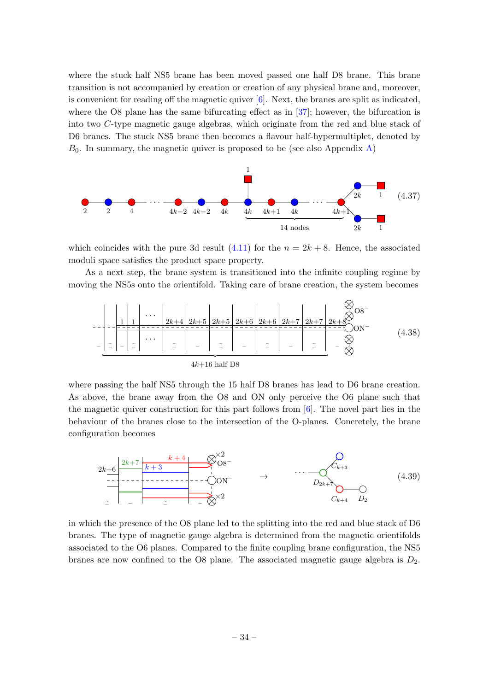where the stuck half NS5 brane has been moved passed one half D8 brane. This brane transition is not accompanied by creation or creation of any physical brane and, moreover, is convenient for reading off the magnetic quiver  $[6]$ . Next, the branes are split as indicated, where the O8 plane has the same bifurcating effect as in [\[37\]](#page-63-10); however, the bifurcation is into two C-type magnetic gauge algebras, which originate from the red and blue stack of D6 branes. The stuck NS5 brane then becomes a flavour half-hypermultiplet, denoted by  $B_0$ . In summary, the magnetic quiver is proposed to be (see also Appendix [A\)](#page-49-0)



which coincides with the pure 3d result  $(4.11)$  for the  $n = 2k + 8$ . Hence, the associated moduli space satisfies the product space property.

As a next step, the brane system is transitioned into the infinite coupling regime by moving the NS5s onto the orientifold. Taking care of brane creation, the system becomes

$$
-\left[\begin{array}{c|c|c|c|c} & & & \\ \hline \hline 1 & 1 & & \\ \hline - & - & - & - \\ \hline - & - & - \\ \hline - & - & - \\ \hline \end{array}\right] \xrightarrow{\begin{subarray}{l} 2k+4 & 2k+5 & 2k+5 & 2k+6 & 2k+6 & 2k+7 & 2k+7 & 2k+8 & 2k+8 \\ \hline - & - & - & - \\ \hline - & - & - \\ \hline \end{subarray}\right] \xrightarrow{\begin{subarray}{l} 2k+5 & 2k+6 & 2k+6 & 2k+7 & 2k+7 & 2k+8 & 2k+8 & 2k+8 & 2k+8 & 2k+8 & 2k+8 & 2k+8 & 2k+8 & 2k+8 & 2k+8 & 2k+8 & 2k+8 & 2k+8 & 2k+8 & 2k+8 & 2k+8 & 2k+8 & 2k+8 & 2k+8 & 2k+8 & 2k+8 & 2k+8 & 2k+8 & 2k+8 & 2k+8 & 2k+8 & 2k+8 & 2k+8 & 2k+8 & 2k+8 & 2k+8 & 2k+8 & 2k+8 & 2k+8 & 2k+8 & 2k+8 & 2k+8 & 2k+8 & 2k+8 & 2k+8 & 2k+8 & 2k+8 & 2k+8 & 2k+8 & 2k+8 & 2k+8 & 2k+8 & 2k+8 & 2k+8 & 2k+8 & 2k+8 & 2k+8 & 2k+8 & 2k+8 & 2k+8 & 2k+8 & 2k+8 & 2k+8 & 2k+8 & 2k+8 & 2k+8 &
$$

where passing the half NS5 through the 15 half D8 branes has lead to D6 brane creation. As above, the brane away from the O8 and ON only perceive the O6 plane such that the magnetic quiver construction for this part follows from [\[6\]](#page-62-5). The novel part lies in the behaviour of the branes close to the intersection of the O-planes. Concretely, the brane configuration becomes



in which the presence of the O8 plane led to the splitting into the red and blue stack of D6 branes. The type of magnetic gauge algebra is determined from the magnetic orientifolds associated to the O6 planes. Compared to the finite coupling brane configuration, the NS5 branes are now confined to the O8 plane. The associated magnetic gauge algebra is  $D_2$ .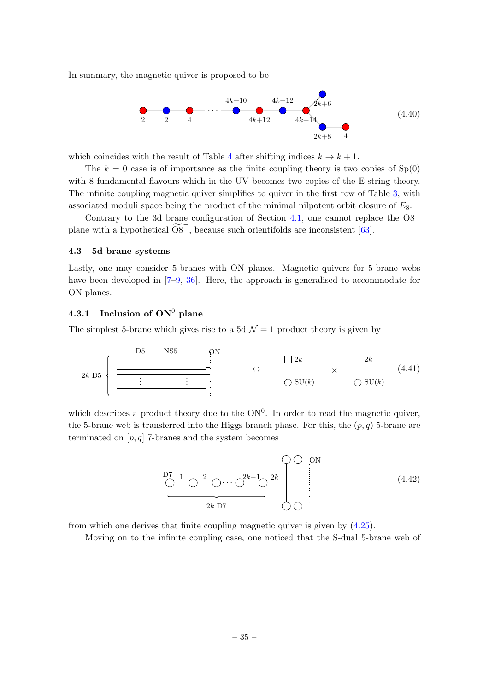In summary, the magnetic quiver is proposed to be



which coincides with the result of Table [4](#page-12-0) after shifting indices  $k \to k+1$ .

The  $k = 0$  case is of importance as the finite coupling theory is two copies of  $Sp(0)$ with 8 fundamental flavours which in the UV becomes two copies of the E-string theory. The infinite coupling magnetic quiver simplifies to quiver in the first row of Table [3,](#page-11-0) with associated moduli space being the product of the minimal nilpotent orbit closure of  $E_8$ .

Contrary to the 3d brane configuration of Section [4.1,](#page-24-1) one cannot replace the O8<sup>−</sup> plane with a hypothetical  $\widetilde{OS}^-$ , because such orientifolds are inconsistent [\[63\]](#page-65-1).

## <span id="page-35-0"></span>4.3 5d brane systems

Lastly, one may consider 5-branes with ON planes. Magnetic quivers for 5-brane webs have been developed in [\[7–](#page-62-17)[9,](#page-62-6) [36\]](#page-63-9). Here, the approach is generalised to accommodate for ON planes.

# <span id="page-35-1"></span>4.3.1 Inclusion of  $ON^0$  plane

The simplest 5-brane which gives rise to a 5d  $\mathcal{N}=1$  product theory is given by



which describes a product theory due to the  $ON<sup>0</sup>$ . In order to read the magnetic quiver, the 5-brane web is transferred into the Higgs branch phase. For this, the  $(p, q)$  5-brane are terminated on  $[p, q]$  7-branes and the system becomes

<span id="page-35-2"></span>

from which one derives that finite coupling magnetic quiver is given by [\(4.25\)](#page-31-0).

Moving on to the infinite coupling case, one noticed that the S-dual 5-brane web of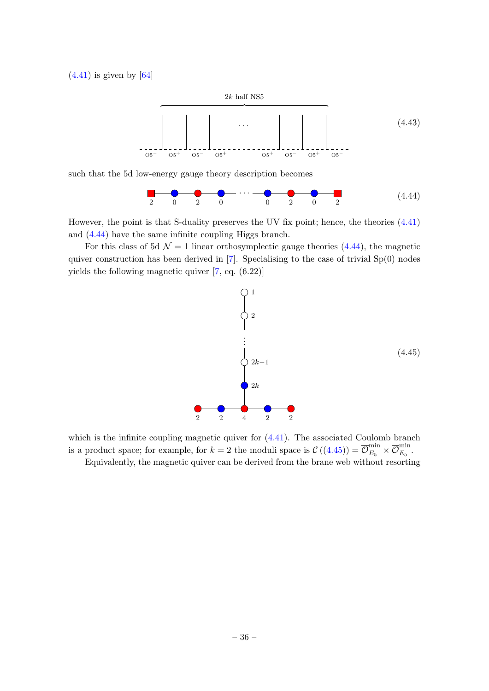$(4.41)$  is given by  $[64]$ 



such that the 5d low-energy gauge theory description becomes

0 2 0 . . . 2 0 2 0 2 (4.44)

However, the point is that S-duality preserves the UV fix point; hence, the theories [\(4.41\)](#page-35-2) and [\(4.44\)](#page-36-0) have the same infinite coupling Higgs branch.

For this class of 5d  $\mathcal{N} = 1$  linear orthosymplectic gauge theories [\(4.44\)](#page-36-0), the magnetic quiver construction has been derived in  $[7]$ . Specialising to the case of trivial  $Sp(0)$  nodes yields the following magnetic quiver [\[7,](#page-62-17) eq. (6.22)]

<span id="page-36-1"></span><span id="page-36-0"></span>

which is the infinite coupling magnetic quiver for  $(4.41)$ . The associated Coulomb branch is a product space; for example, for  $k = 2$  the moduli space is  $\mathcal{C}((4.45)) = \overline{\mathcal{O}}_{E_5}^{\min} \times \overline{\mathcal{O}}_{E_5}^{\min}$  $\mathcal{C}((4.45)) = \overline{\mathcal{O}}_{E_5}^{\min} \times \overline{\mathcal{O}}_{E_5}^{\min}$  $\mathcal{C}((4.45)) = \overline{\mathcal{O}}_{E_5}^{\min} \times \overline{\mathcal{O}}_{E_5}^{\min}$  $E_5$ . Equivalently, the magnetic quiver can be derived from the brane web without resorting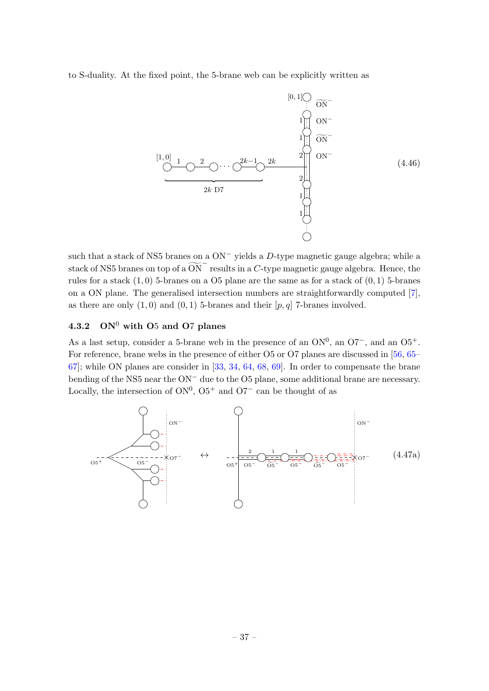to S-duality. At the fixed point, the 5-brane web can be explicitly written as



such that a stack of NS5 branes on a  $ON^-$  yields a D-type magnetic gauge algebra; while a stack of NS5 branes on top of a  $\widetilde{ON}^-$  results in a C-type magnetic gauge algebra. Hence, the rules for a stack  $(1,0)$  5-branes on a O5 plane are the same as for a stack of  $(0,1)$  5-branes on a ON plane. The generalised intersection numbers are straightforwardly computed [\[7\]](#page-62-17), as there are only  $(1,0)$  and  $(0,1)$  5-branes and their  $[p,q]$  7-branes involved.

# <span id="page-37-0"></span>4.3.2  $\text{ON}^0$  with O<sub>5</sub> and O<sub>7</sub> planes

As a last setup, consider a 5-brane web in the presence of an  $ON^0$ , an  $O7^-$ , and an  $O5^+$ . For reference, brane webs in the presence of either O5 or O7 planes are discussed in [\[56,](#page-64-13) [65–](#page-65-3) [67\]](#page-65-4); while ON planes are consider in [\[33,](#page-63-11) [34,](#page-63-12) [64,](#page-65-2) [68,](#page-65-5) [69\]](#page-65-6). In order to compensate the brane bending of the NS5 near the ON<sup>−</sup> due to the O5 plane, some additional brane are necessary. Locally, the intersection of  $ON^0$ ,  $O5^+$  and  $O7^-$  can be thought of as

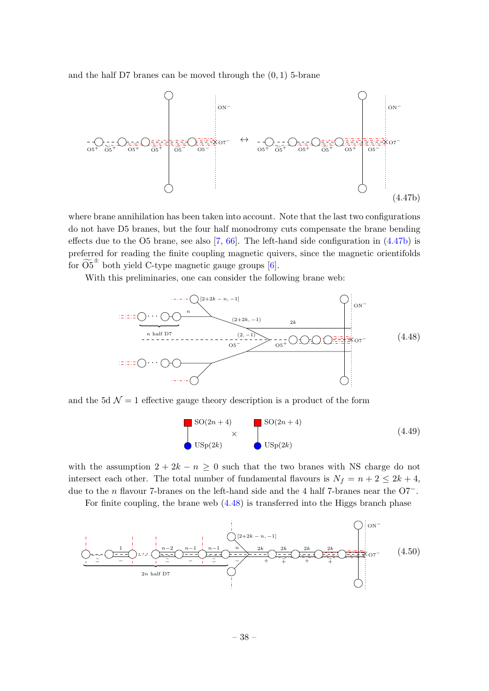and the half D7 branes can be moved through the  $(0, 1)$  5-brane



where brane annihilation has been taken into account. Note that the last two configurations do not have D5 branes, but the four half monodromy cuts compensate the brane bending effects due to the O5 brane, see also  $[7, 66]$  $[7, 66]$ . The left-hand side configuration in  $(4.47b)$  is preferred for reading the finite coupling magnetic quivers, since the magnetic orientifolds for  $\widetilde{O5}^{\pm}$  both yield C-type magnetic gauge groups [\[6\]](#page-62-5).

With this preliminaries, one can consider the following brane web:

<span id="page-38-0"></span>

and the 5d  $\mathcal{N} = 1$  effective gauge theory description is a product of the form

<span id="page-38-2"></span><span id="page-38-1"></span>
$$
\begin{array}{c}\n\text{SO}(2n+4) \\
\times \\
\text{USp}(2k)\n\end{array}
$$
\n(SO(2n+4))\n  
\n(Sp(2k) (4.49)

with the assumption  $2 + 2k - n \geq 0$  such that the two branes with NS charge do not intersect each other. The total number of fundamental flavours is  $N_f = n + 2 \leq 2k + 4$ , due to the n flavour 7-branes on the left-hand side and the 4 half 7-branes near the O7−.

For finite coupling, the brane web [\(4.48\)](#page-38-1) is transferred into the Higgs branch phase

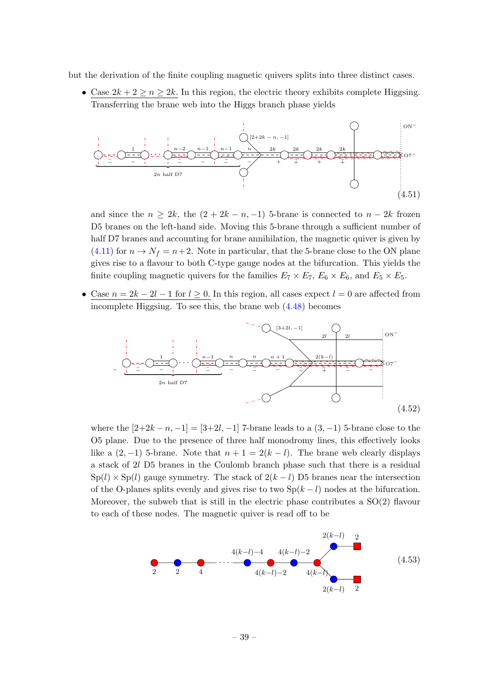but the derivation of the finite coupling magnetic quivers splits into three distinct cases.

• Case  $2k + 2 \geq n \geq 2k$ . In this region, the electric theory exhibits complete Higgsing. Transferring the brane web into the Higgs branch phase yields



and since the  $n \geq 2k$ , the  $(2 + 2k - n, -1)$  5-brane is connected to  $n - 2k$  frozen D5 branes on the left-hand side. Moving this 5-brane through a sufficient number of half D7 branes and accounting for brane annihilation, the magnetic quiver is given by  $(4.11)$  for  $n \to N_f = n+2$ . Note in particular, that the 5-brane close to the ON plane gives rise to a flavour to both C-type gauge nodes at the bifurcation. This yields the finite coupling magnetic quivers for the families  $E_7 \times E_7$ ,  $E_6 \times E_6$ , and  $E_5 \times E_5$ .

• Case  $n = 2k - 2l - 1$  for  $l \geq 0$ . In this region, all cases expect  $l = 0$  are affected from incomplete Higgsing. To see this, the brane web [\(4.48\)](#page-38-1) becomes



where the  $[2+2k-n,-1] = [3+2l,-1]$  7-brane leads to a  $(3,-1)$  5-brane close to the O5 plane. Due to the presence of three half monodromy lines, this effectively looks like a  $(2, -1)$  5-brane. Note that  $n + 1 = 2(k - l)$ . The brane web clearly displays a stack of 2l D5 branes in the Coulomb branch phase such that there is a residual  $Sp(l) \times Sp(l)$  gauge symmetry. The stack of  $2(k-l)$  D5 branes near the intersection of the O-planes splits evenly and gives rise to two  $Sp(k-l)$  nodes at the bifurcation. Moreover, the subweb that is still in the electric phase contributes a  $SO(2)$  flavour to each of these nodes. The magnetic quiver is read off to be

<span id="page-39-0"></span>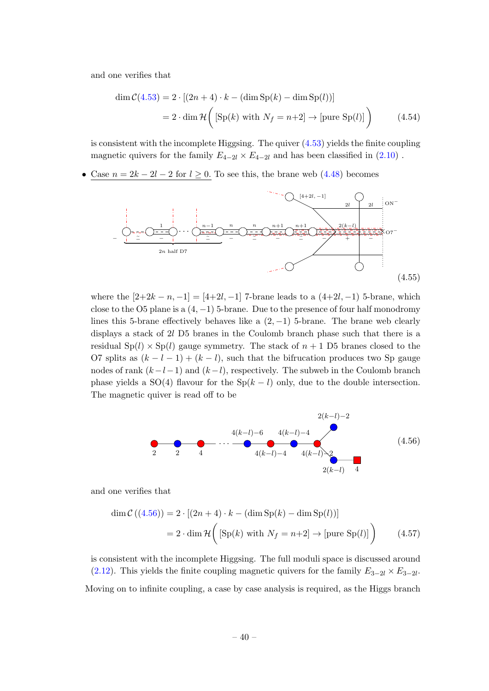and one verifies that

$$
\dim \mathcal{C}(4.53) = 2 \cdot [(2n+4) \cdot k - (\dim \mathrm{Sp}(k) - \dim \mathrm{Sp}(l))]
$$
  
=  $2 \cdot \dim \mathcal{H}\left( [\mathrm{Sp}(k) \text{ with } N_f = n+2] \to [\text{pure Sp}(l)] \right)$  (4.54)

is consistent with the incomplete Higgsing. The quiver  $(4.53)$  yields the finite coupling magnetic quivers for the family  $E_{4-2l} \times E_{4-2l}$  and has been classified in  $(2.10)$ .

Case  $n = 2k - 2l - 2$  for  $l ≥ 0$ . To see this, the brane web  $(4.48)$  becomes



where the  $[2+2k-n,-1] = [4+2l,-1]$  7-brane leads to a  $(4+2l,-1)$  5-brane, which close to the O5 plane is a  $(4, -1)$  5-brane. Due to the presence of four half monodromy lines this 5-brane effectively behaves like a  $(2, -1)$  5-brane. The brane web clearly displays a stack of 2l D5 branes in the Coulomb branch phase such that there is a residual  $Sp(l) \times Sp(l)$  gauge symmetry. The stack of  $n+1$  D5 branes closed to the O7 splits as  $(k - l - 1) + (k - l)$ , such that the bifrucation produces two Sp gauge nodes of rank  $(k-l-1)$  and  $(k-l)$ , respectively. The subweb in the Coulomb branch phase yields a SO(4) flavour for the Sp( $k - l$ ) only, due to the double intersection. The magnetic quiver is read off to be

<span id="page-40-0"></span>
$$
\begin{array}{cccc}\n & & 2(k-l)-2 \\
 & 4(k-l)-6 & 4(k-l)-4 & \\
 & 4(k-l)-4 & 4(k-l)-2 & \\
 & 2(k-l) & 4 & \\
\end{array}
$$
\n(4.56)

and one verifies that

$$
\dim \mathcal{C}((4.56)) = 2 \cdot [(2n+4) \cdot k - (\dim \text{Sp}(k) - \dim \text{Sp}(l))]
$$
  
=  $2 \cdot \dim \mathcal{H} \bigg( [\text{Sp}(k) \text{ with } N_f = n+2] \to [\text{pure Sp}(l)] \bigg)$  (4.57)

is consistent with the incomplete Higgsing. The full moduli space is discussed around [\(2.12\)](#page-9-1). This yields the finite coupling magnetic quivers for the family  $E_{3-2l} \times E_{3-2l}$ . Moving on to infinite coupling, a case by case analysis is required, as the Higgs branch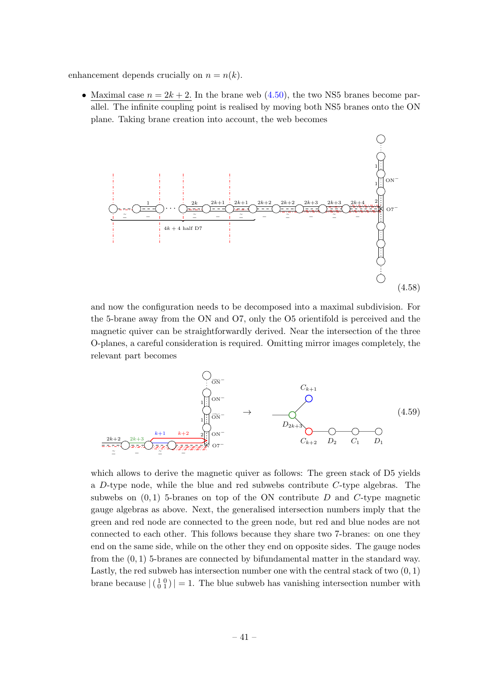enhancement depends crucially on  $n = n(k)$ .

• Maximal case  $n = 2k + 2$ . In the brane web  $(4.50)$ , the two NS5 branes become parallel. The infinite coupling point is realised by moving both NS5 branes onto the ON plane. Taking brane creation into account, the web becomes



and now the configuration needs to be decomposed into a maximal subdivision. For the 5-brane away from the ON and O7, only the O5 orientifold is perceived and the magnetic quiver can be straightforwardly derived. Near the intersection of the three O-planes, a careful consideration is required. Omitting mirror images completely, the relevant part becomes

$$
\bigcup_{\substack{i=0 \text{odd } k+1}} C_{k+1}
$$
\n
$$
\bigcup_{\substack{i=0 \text{odd } k+2}} C_{k+2}
$$
\n
$$
\bigcup_{\substack{i=0 \text{odd } k+2}} C_{k+2} \bigcup_{\substack{i=0 \text{odd } k+2}} C_{k+2} \bigcap_{\substack{D_{2k+3}} C_{k+2} \bigcup_{\substack{D_2 \subset \bigcup_{i=1}^k C_{i+2} \cup \bigcup_{i=1}^k C_{i+2}}} C_{i} \bigcap_{D_1}
$$
\n
$$
\bigcup_{\substack{i=0 \text{odd } k+2}} C_{k+2} \bigcup_{\substack{D_2 \subset \bigcup_{i=1}^k C_{i+2} \cup \bigcup_{i=1}^k C_{i+2}}} C_{k+2} \bigcap_{\substack{D_2 \subset \bigcup_{i=1}^k C_{i+2} \cup \bigcup_{i=1}^k C_{i+2}}} C_{k+1}
$$
\n
$$
(4.59)
$$

which allows to derive the magnetic quiver as follows: The green stack of D5 yields a  $D$ -type node, while the blue and red subwebs contribute  $C$ -type algebras. The subwebs on  $(0, 1)$  5-branes on top of the ON contribute D and C-type magnetic gauge algebras as above. Next, the generalised intersection numbers imply that the green and red node are connected to the green node, but red and blue nodes are not connected to each other. This follows because they share two 7-branes: on one they end on the same side, while on the other they end on opposite sides. The gauge nodes from the (0, 1) 5-branes are connected by bifundamental matter in the standard way. Lastly, the red subweb has intersection number one with the central stack of two  $(0, 1)$ brane because  $|\begin{pmatrix} 1 & 0 \\ 0 & 1 \end{pmatrix}| = 1$ . The blue subweb has vanishing intersection number with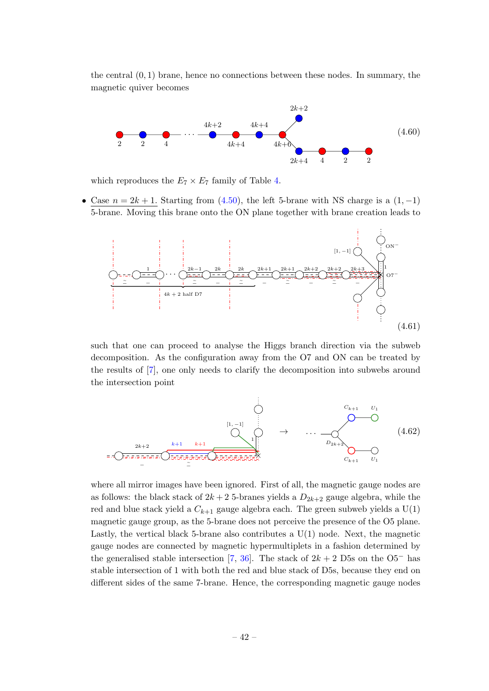the central  $(0, 1)$  brane, hence no connections between these nodes. In summary, the magnetic quiver becomes



which reproduces the  $E_7 \times E_7$  family of Table [4.](#page-12-0)

• Case  $n = 2k + 1$ . Starting from [\(4.50\)](#page-38-2), the left 5-brane with NS charge is a (1, -1) 5-brane. Moving this brane onto the ON plane together with brane creation leads to



such that one can proceed to analyse the Higgs branch direction via the subweb decomposition. As the configuration away from the O7 and ON can be treated by the results of [\[7\]](#page-62-17), one only needs to clarify the decomposition into subwebs around the intersection point



where all mirror images have been ignored. First of all, the magnetic gauge nodes are as follows: the black stack of  $2k + 2$  5-branes yields a  $D_{2k+2}$  gauge algebra, while the red and blue stack yield a  $C_{k+1}$  gauge algebra each. The green subweb yields a  $U(1)$ magnetic gauge group, as the 5-brane does not perceive the presence of the O5 plane. Lastly, the vertical black 5-brane also contributes a  $U(1)$  node. Next, the magnetic gauge nodes are connected by magnetic hypermultiplets in a fashion determined by the generalised stable intersection [\[7,](#page-62-17) [36\]](#page-63-9). The stack of  $2k + 2$  D5s on the O5<sup>-</sup> has stable intersection of 1 with both the red and blue stack of D5s, because they end on different sides of the same 7-brane. Hence, the corresponding magnetic gauge nodes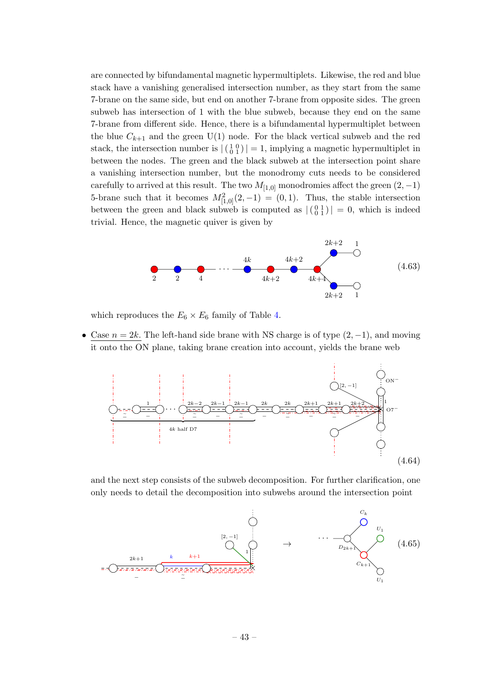are connected by bifundamental magnetic hypermultiplets. Likewise, the red and blue stack have a vanishing generalised intersection number, as they start from the same 7-brane on the same side, but end on another 7-brane from opposite sides. The green subweb has intersection of 1 with the blue subweb, because they end on the same 7-brane from different side. Hence, there is a bifundamental hypermultiplet between the blue  $C_{k+1}$  and the green U(1) node. For the black vertical subweb and the red stack, the intersection number is  $|\left(\begin{smallmatrix} 1 & 0 \\ 0 & 1 \end{smallmatrix}\right)| = 1$ , implying a magnetic hypermultiplet in between the nodes. The green and the black subweb at the intersection point share a vanishing intersection number, but the monodromy cuts needs to be considered carefully to arrived at this result. The two  $M_{[1,0]}$  monodromies affect the green  $(2, -1)$ 5-brane such that it becomes  $M_{[1,0]}^2(2,-1) = (0,1)$ . Thus, the stable intersection between the green and black subweb is computed as  $|(0101)(010)$  = 0, which is indeed trivial. Hence, the magnetic quiver is given by



which reproduces the  $E_6 \times E_6$  family of Table [4.](#page-12-0)

• Case  $n = 2k$ . The left-hand side brane with NS charge is of type  $(2, -1)$ , and moving it onto the ON plane, taking brane creation into account, yields the brane web



and the next step consists of the subweb decomposition. For further clarification, one only needs to detail the decomposition into subwebs around the intersection point

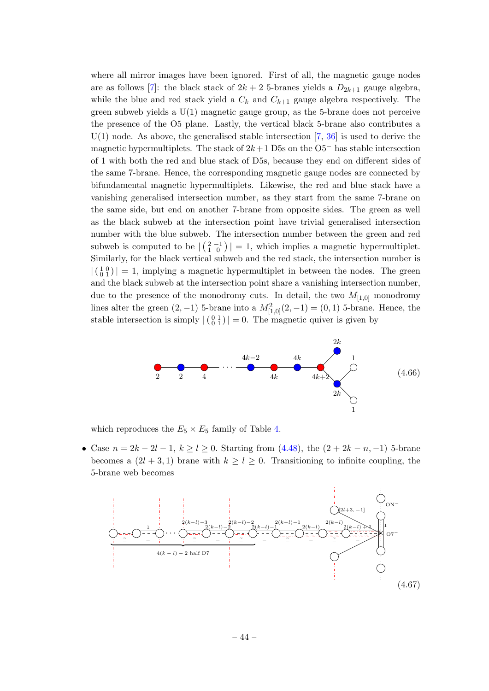where all mirror images have been ignored. First of all, the magnetic gauge nodes are as follows [\[7\]](#page-62-17): the black stack of  $2k + 2$  5-branes yields a  $D_{2k+1}$  gauge algebra, while the blue and red stack yield a  $C_k$  and  $C_{k+1}$  gauge algebra respectively. The green subweb yields a  $U(1)$  magnetic gauge group, as the 5-brane does not perceive the presence of the O5 plane. Lastly, the vertical black 5-brane also contributes a  $U(1)$  node. As above, the generalised stable intersection [\[7,](#page-62-17) [36\]](#page-63-9) is used to derive the magnetic hypermultiplets. The stack of  $2k+1$  D5s on the O5<sup>-</sup> has stable intersection of 1 with both the red and blue stack of D5s, because they end on different sides of the same 7-brane. Hence, the corresponding magnetic gauge nodes are connected by bifundamental magnetic hypermultiplets. Likewise, the red and blue stack have a vanishing generalised intersection number, as they start from the same 7-brane on the same side, but end on another 7-brane from opposite sides. The green as well as the black subweb at the intersection point have trivial generalised intersection number with the blue subweb. The intersection number between the green and red subweb is computed to be  $\left| \binom{2}{1} 0 \right| = 1$ , which implies a magnetic hypermultiplet. Similarly, for the black vertical subweb and the red stack, the intersection number is  $|\binom{1}{0}\nmid = 1$ , implying a magnetic hypermultiplet in between the nodes. The green and the black subweb at the intersection point share a vanishing intersection number, due to the presence of the monodromy cuts. In detail, the two  $M_{[1,0]}$  monodromy lines alter the green  $(2, -1)$  5-brane into a  $M_{[1,0]}^2(2, -1) = (0, 1)$  5-brane. Hence, the stable intersection is simply  $| \begin{pmatrix} 0 & 1 \\ 0 & 1 \end{pmatrix} | = 0$ . The magnetic quiver is given by



which reproduces the  $E_5 \times E_5$  family of Table [4.](#page-12-0)

<u>Case  $n = 2k - 2l - 1$ ,  $k \ge l \ge 0$ .</u> Starting from [\(4.48\)](#page-38-1), the (2 + 2k − n, −1) 5-brane becomes a  $(2l + 3, 1)$  brane with  $k \geq l \geq 0$ . Transitioning to infinite coupling, the 5-brane web becomes

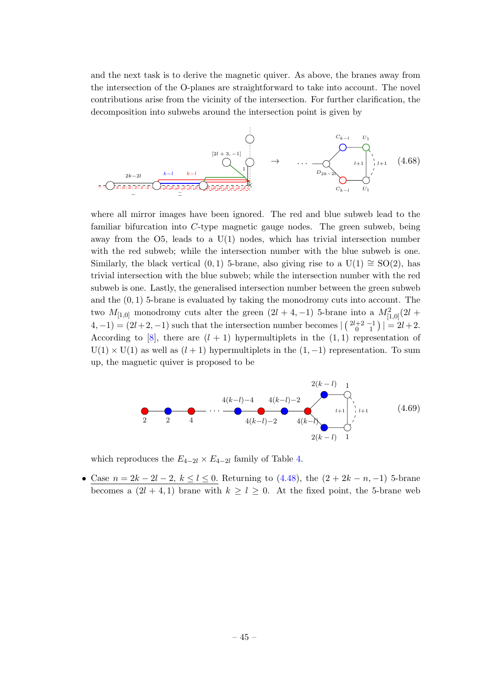and the next task is to derive the magnetic quiver. As above, the branes away from the intersection of the O-planes are straightforward to take into account. The novel contributions arise from the vicinity of the intersection. For further clarification, the decomposition into subwebs around the intersection point is given by



where all mirror images have been ignored. The red and blue subweb lead to the familiar bifurcation into C-type magnetic gauge nodes. The green subweb, being away from the O5, leads to a U(1) nodes, which has trivial intersection number with the red subweb; while the intersection number with the blue subweb is one. Similarly, the black vertical  $(0, 1)$  5-brane, also giving rise to a U(1) ≅ SO(2), has trivial intersection with the blue subweb; while the intersection number with the red subweb is one. Lastly, the generalised intersection number between the green subweb and the  $(0, 1)$  5-brane is evaluated by taking the monodromy cuts into account. The two  $M_{[1,0]}$  monodromy cuts alter the green  $(2l + 4, -1)$  5-brane into a  $M_{[1,0]}^2(2l +$  $(4, -1) = (2l + 2, -1)$  such that the intersection number becomes  $\left| \binom{2l+2}{0} \right| = 2l + 2$ . According to [\[8\]](#page-62-18), there are  $(l + 1)$  hypermultiplets in the  $(1, 1)$  representation of  $U(1) \times U(1)$  as well as  $(l + 1)$  hypermultiplets in the  $(1, -1)$  representation. To sum up, the magnetic quiver is proposed to be



which reproduces the  $E_{4-2l} \times E_{4-2l}$  family of Table [4.](#page-12-0)

• Case  $n = 2k - 2l - 2$ ,  $k \leq l \leq 0$ . Returning to  $(4.48)$ , the  $(2 + 2k - n, -1)$  5-brane becomes a  $(2l + 4, 1)$  brane with  $k \geq l \geq 0$ . At the fixed point, the 5-brane web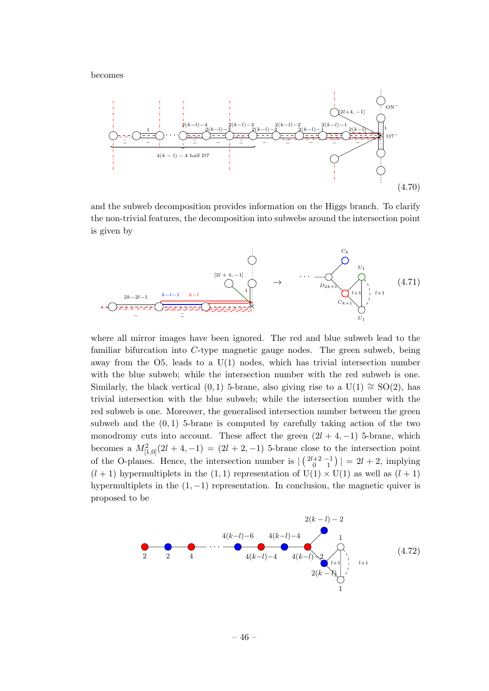becomes



and the subweb decomposition provides information on the Higgs branch. To clarify the non-trivial features, the decomposition into subwebs around the intersection point is given by



where all mirror images have been ignored. The red and blue subweb lead to the familiar bifurcation into C-type magnetic gauge nodes. The green subweb, being away from the O5, leads to a U(1) nodes, which has trivial intersection number with the blue subweb; while the intersection number with the red subweb is one. Similarly, the black vertical  $(0, 1)$  5-brane, also giving rise to a U(1)  $\cong$  SO(2), has trivial intersection with the blue subweb; while the intersection number with the red subweb is one. Moreover, the generalised intersection number between the green subweb and the  $(0, 1)$  5-brane is computed by carefully taking action of the two monodromy cuts into account. These affect the green  $(2l + 4, -1)$  5-brane, which becomes a  $M_{[1,0]}^2(2l + 4, -1) = (2l + 2, -1)$  5-brane close to the intersection point of the O-planes. Hence, the intersection number is  $\left| \binom{2l+2}{0} - 1 \right| = 2l + 2$ , implying  $(l + 1)$  hypermultiplets in the  $(1, 1)$  representation of  $U(1) \times U(1)$  as well as  $(l + 1)$ hypermultiplets in the  $(1, -1)$  representation. In conclusion, the magnetic quiver is proposed to be

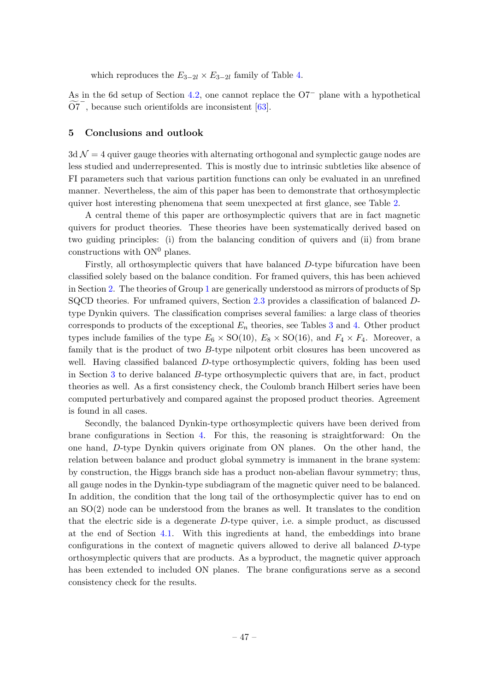which reproduces the  $E_{3-2l} \times E_{3-2l}$  family of Table [4.](#page-12-0)

As in the 6d setup of Section [4.2,](#page-30-0) one cannot replace the O7<sup>−</sup> plane with a hypothetical  $\widetilde{\text{O7}}^-$ , because such orientifolds are inconsistent [\[63\]](#page-65-1).

#### <span id="page-47-0"></span>5 Conclusions and outlook

 $3d\mathcal{N}=4$  quiver gauge theories with alternating orthogonal and symplectic gauge nodes are less studied and underrepresented. This is mostly due to intrinsic subtleties like absence of FI parameters such that various partition functions can only be evaluated in an unrefined manner. Nevertheless, the aim of this paper has been to demonstrate that orthosymplectic quiver host interesting phenomena that seem unexpected at first glance, see Table [2.](#page-4-0)

A central theme of this paper are orthosymplectic quivers that are in fact magnetic quivers for product theories. These theories have been systematically derived based on two guiding principles: (i) from the balancing condition of quivers and (ii) from brane constructions with  $ON^0$  planes.

Firstly, all orthosymplectic quivers that have balanced D-type bifurcation have been classified solely based on the balance condition. For framed quivers, this has been achieved in Section [2.](#page-6-0) The theories of Group [1](#page-7-2) are generically understood as mirrors of products of Sp SQCD theories. For unframed quivers, Section [2.3](#page-10-0) provides a classification of balanced Dtype Dynkin quivers. The classification comprises several families: a large class of theories corresponds to products of the exceptional  $E_n$  theories, see Tables [3](#page-11-0) and [4.](#page-12-0) Other product types include families of the type  $E_6 \times SO(10)$ ,  $E_8 \times SO(16)$ , and  $F_4 \times F_4$ . Moreover, a family that is the product of two B-type nilpotent orbit closures has been uncovered as well. Having classified balanced D-type orthosymplectic quivers, folding has been used in Section [3](#page-18-0) to derive balanced B-type orthosymplectic quivers that are, in fact, product theories as well. As a first consistency check, the Coulomb branch Hilbert series have been computed perturbatively and compared against the proposed product theories. Agreement is found in all cases.

Secondly, the balanced Dynkin-type orthosymplectic quivers have been derived from brane configurations in Section [4.](#page-24-0) For this, the reasoning is straightforward: On the one hand, D-type Dynkin quivers originate from ON planes. On the other hand, the relation between balance and product global symmetry is immanent in the brane system: by construction, the Higgs branch side has a product non-abelian flavour symmetry; thus, all gauge nodes in the Dynkin-type subdiagram of the magnetic quiver need to be balanced. In addition, the condition that the long tail of the orthosymplectic quiver has to end on an SO(2) node can be understood from the branes as well. It translates to the condition that the electric side is a degenerate  $D$ -type quiver, i.e. a simple product, as discussed at the end of Section [4.1.](#page-24-1) With this ingredients at hand, the embeddings into brane configurations in the context of magnetic quivers allowed to derive all balanced D-type orthosymplectic quivers that are products. As a byproduct, the magnetic quiver approach has been extended to included ON planes. The brane configurations serve as a second consistency check for the results.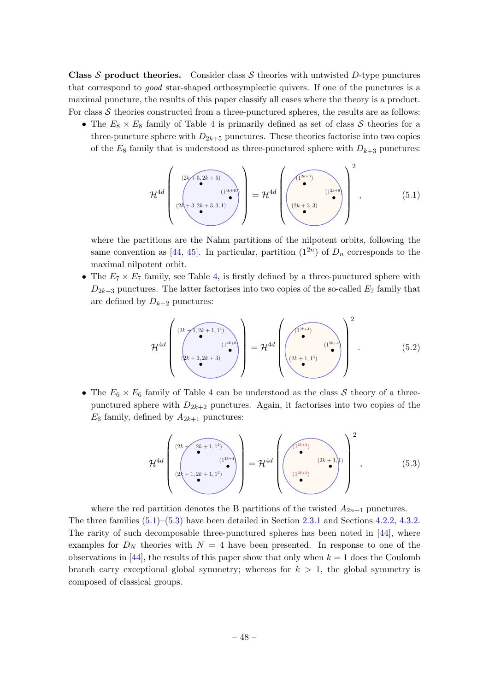**Class S product theories.** Consider class S theories with untwisted D-type punctures that correspond to good star-shaped orthosymplectic quivers. If one of the punctures is a maximal puncture, the results of this paper classify all cases where the theory is a product. For class  $S$  theories constructed from a three-punctured spheres, the results are as follows:

• The  $E_8 \times E_8$  family of Table [4](#page-12-0) is primarily defined as set of class S theories for a three-puncture sphere with  $D_{2k+5}$  punctures. These theories factorise into two copies of the  $E_8$  family that is understood as three-punctured sphere with  $D_{k+3}$  punctures:

<span id="page-48-0"></span>
$$
\mathcal{H}^{4d}\left(\begin{array}{c}\n(2k+5,2k+5) \\
(2k+3,2k+3,3,1)\n\end{array}\right) = \mathcal{H}^{4d}\left(\begin{array}{cc}\n(1^{2k+6}) \\
(2k+3,3)\n\end{array}\right)^{2},
$$
\n(5.1)

where the partitions are the Nahm partitions of the nilpotent orbits, following the same convention as [\[44,](#page-64-1) [45\]](#page-64-2). In particular, partition  $(1^{2n})$  of  $D_n$  corresponds to the maximal nilpotent orbit.

• The  $E_7 \times E_7$  family, see Table [4,](#page-12-0) is firstly defined by a three-punctured sphere with  $D_{2k+3}$  punctures. The latter factorises into two copies of the so-called  $E_7$  family that are defined by  $D_{k+2}$  punctures:

$$
\mathcal{H}^{4d}\left(\begin{array}{c}\n(2k+1,2k+1,1^{4}) \\
(1^{4k+6})\n\end{array}\right) = \mathcal{H}^{4d}\left(\begin{array}{c}\n(1^{2k+4})\n\end{array}\right)^{2}.
$$
\n(5.2)

• The  $E_6 \times E_6$  family of Table [4](#page-12-0) can be understood as the class S theory of a threepunctured sphere with  $D_{2k+2}$  punctures. Again, it factorises into two copies of the  $E_6$  family, defined by  $A_{2k+1}$  punctures:

<span id="page-48-1"></span>
$$
\mathcal{H}^{4d}\left(\begin{array}{c}\n(2k+1,2k+1,1^{2}) \\
(1^{4k+4} \\
(2k+1,2k+1,1^{2})\n\end{array}\right) = \mathcal{H}^{4d}\left(\begin{array}{c}\n(1^{2k+3}) \\
(2k+1,1) \\
(1^{2k+3})\n\end{array}\right)^{2},
$$
\n(5.3)

where the red partition denotes the B partitions of the twisted  $A_{2n+1}$  punctures. The three families  $(5.1)$ – $(5.3)$  have been detailed in Section [2.3.1](#page-10-1) and Sections [4.2.2,](#page-33-0) [4.3.2.](#page-37-0) The rarity of such decomposable three-punctured spheres has been noted in [\[44\]](#page-64-1), where examples for  $D<sub>N</sub>$  theories with  $N = 4$  have been presented. In response to one of the observations in [\[44\]](#page-64-1), the results of this paper show that only when  $k = 1$  does the Coulomb branch carry exceptional global symmetry; whereas for  $k > 1$ , the global symmetry is composed of classical groups.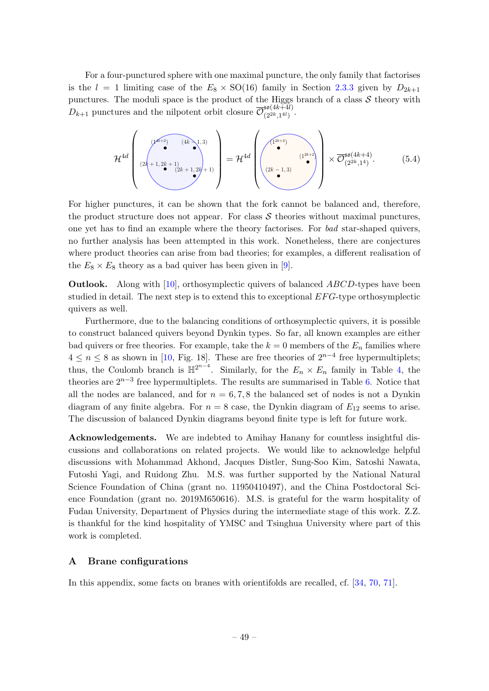For a four-punctured sphere with one maximal puncture, the only family that factorises is the  $l = 1$  limiting case of the  $E_8 \times SO(16)$  family in Section [2.3.3](#page-14-0) given by  $D_{2k+1}$ punctures. The moduli space is the product of the Higgs branch of a class  $S$  theory with  $D_{k+1}$  punctures and the nilpotent orbit closure  $\overline{\mathcal{O}}_{(2^{2k},1^{4l})}^{50(4k+4l)}$  $\frac{30(4k+4l)}{(2^{2k},1^{4l})}$ .

$$
\mathcal{H}^{4d}\left(\begin{array}{c}\n\sqrt{\mu^{k+2} \cdot \mu^{(4k-1,3)}} \\
(2k+1,2k+1) \\
(2k+1,2k+1)\n\end{array}\right) = \mathcal{H}^{4d}\left(\begin{array}{c}\n\sqrt{1^{2k+2} \cdot \mu^{(4k+2)}} \\
(2k-1,3)\n\end{array}\right) \times \overline{\mathcal{O}}_{(2^{2k},1^{4})}^{50(4k+4)}.\n\tag{5.4}
$$

For higher punctures, it can be shown that the fork cannot be balanced and, therefore, the product structure does not appear. For class  $S$  theories without maximal punctures, one yet has to find an example where the theory factorises. For bad star-shaped quivers, no further analysis has been attempted in this work. Nonetheless, there are conjectures where product theories can arise from bad theories; for examples, a different realisation of the  $E_8 \times E_8$  theory as a bad quiver has been given in [\[9\]](#page-62-6).

**Outlook.** Along with  $[10]$ , orthosymplectic quivers of balanced ABCD-types have been studied in detail. The next step is to extend this to exceptional  $EFG$ -type orthosymplectic quivers as well.

Furthermore, due to the balancing conditions of orthosymplectic quivers, it is possible to construct balanced quivers beyond Dynkin types. So far, all known examples are either bad quivers or free theories. For example, take the  $k = 0$  members of the  $E_n$  families where  $4 \leq n \leq 8$  as shown in [\[10,](#page-62-7) Fig. 18]. These are free theories of  $2^{n-4}$  free hypermultiplets; thus, the Coulomb branch is  $\mathbb{H}^{2^{n-4}}$ . Similarly, for the  $E_n \times E_n$  family in Table [4,](#page-12-0) the theories are  $2^{n-3}$  free hypermultiplets. The results are summarised in Table [6.](#page-50-0) Notice that all the nodes are balanced, and for  $n = 6, 7, 8$  the balanced set of nodes is not a Dynkin diagram of any finite algebra. For  $n = 8$  case, the Dynkin diagram of  $E_{12}$  seems to arise. The discussion of balanced Dynkin diagrams beyond finite type is left for future work.

Acknowledgements. We are indebted to Amihay Hanany for countless insightful discussions and collaborations on related projects. We would like to acknowledge helpful discussions with Mohammad Akhond, Jacques Distler, Sung-Soo Kim, Satoshi Nawata, Futoshi Yagi, and Ruidong Zhu. M.S. was further supported by the National Natural Science Foundation of China (grant no. 11950410497), and the China Postdoctoral Science Foundation (grant no. 2019M650616). M.S. is grateful for the warm hospitality of Fudan University, Department of Physics during the intermediate stage of this work. Z.Z. is thankful for the kind hospitality of YMSC and Tsinghua University where part of this work is completed.

## <span id="page-49-0"></span>A Brane configurations

In this appendix, some facts on branes with orientifolds are recalled, cf. [\[34,](#page-63-12) [70,](#page-65-8) [71\]](#page-65-9).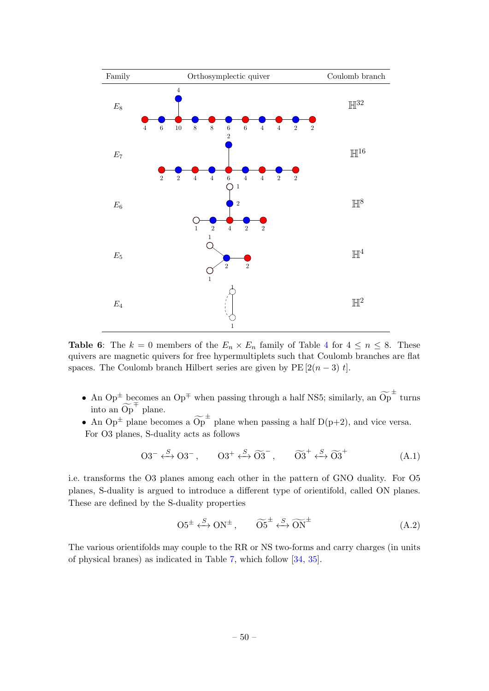<span id="page-50-0"></span>

**Table 6:** The  $k = 0$  members of the  $E_n \times E_n$  family of Table [4](#page-12-0) for  $4 \le n \le 8$ . These quivers are magnetic quivers for free hypermultiplets such that Coulomb branches are flat spaces. The Coulomb branch Hilbert series are given by  $PE[2(n-3) t]$ .

- An Op<sup> $\pm$ </sup> becomes an Op<sup> $\mp$ </sup> when passing through a half NS5; similarly, an  $\widetilde{Op}^{\pm}$  turns into an  $\widetilde{Op}^{\mp}$  plane.
- An Op<sup> $\pm$ </sup> plane becomes a  $\widetilde{Op}^{\pm}$  plane when passing a half D(p+2), and vice versa. For O3 planes, S-duality acts as follows

$$
O3^{-} \xleftarrow{S} O3^{-}, \qquad O3^{+} \xleftarrow{S} \widetilde{O3}^{-}, \qquad \widetilde{O3}^{+} \xleftarrow{S} \widetilde{O3}^{+} \tag{A.1}
$$

i.e. transforms the O3 planes among each other in the pattern of GNO duality. For O5 planes, S-duality is argued to introduce a different type of orientifold, called ON planes. These are defined by the S-duality properties

$$
O5^{\pm} \xleftarrow{S} ON^{\pm}, \qquad \widetilde{O5}^{\pm} \xleftarrow{S} \widetilde{ON}^{\pm}
$$
 (A.2)

The various orientifolds may couple to the RR or NS two-forms and carry charges (in units of physical branes) as indicated in Table [7,](#page-51-0) which follow [\[34,](#page-63-12) [35\]](#page-63-8).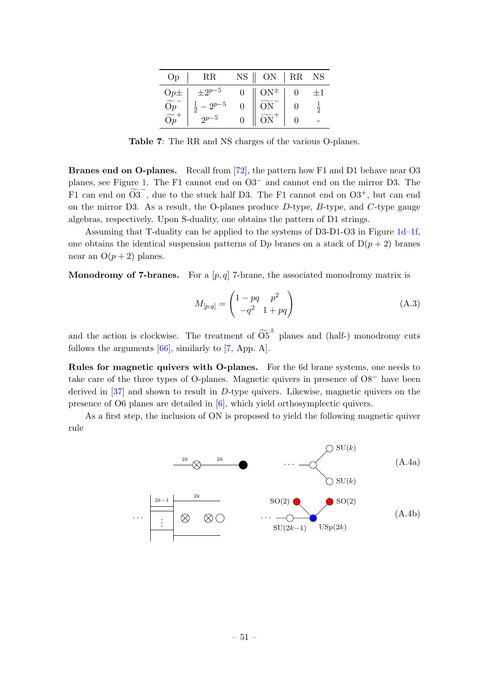<span id="page-51-0"></span>

| Op             | $_{\rm RR}$                   | NS | ON         | RR | <b>NS</b>      |
|----------------|-------------------------------|----|------------|----|----------------|
| $Op\pm$        | $\pm 2^{p-5}$                 | ∩  | $ON^{\pm}$ |    | $+1$           |
| $\frac{Op}{2}$ | $-2^{p-5}$<br>$\frac{1}{2}$ . |    |            |    | $\overline{2}$ |
|                |                               |    |            |    |                |

Table 7: The RR and NS charges of the various O-planes.

Branes end on O-planes. Recall from [\[72\]](#page-65-10), the pattern how F1 and D1 behave near O3 planes, see Figure [1.](#page-52-1) The F1 cannot end on O3<sup>−</sup> and cannot end on the mirror D3. The F1 can end on  $\widetilde{O3}^-$ , due to the stuck half D3. The F1 cannot end on  $O3^+$ , but can end on the mirror D3. As a result, the O-planes produce  $D$ -type,  $B$ -type, and  $C$ -type gauge algebras, respectively. Upon S-duality, one obtains the pattern of D1 strings.

Assuming that T-duality can be applied to the systems of D3-D1-O3 in Figure [1d–1f,](#page-52-1) one obtains the identical suspension patterns of D<sub>p</sub> branes on a stack of  $D(p+2)$  branes near an  $O(p+2)$  planes.

**Monodromy of 7-branes.** For a  $[p, q]$  7-brane, the associated monodromy matrix is

$$
M_{[p,q]} = \begin{pmatrix} 1 - pq & p^2 \\ -q^2 & 1 + pq \end{pmatrix}
$$
 (A.3)

and the action is clockwise. The treatment of  $\widetilde{\mathrm{O5}}^{\pm}$  planes and (half-) monodromy cuts follows the arguments [\[66\]](#page-65-7), similarly to [\[7,](#page-62-17) App. A].

Rules for magnetic quivers with O-planes. For the 6d brane systems, one needs to take care of the three types of O-planes. Magnetic quivers in presence of O8<sup>−</sup> have been derived in [\[37\]](#page-63-10) and shown to result in D-type quivers. Likewise, magnetic quivers on the presence of O6 planes are detailed in [\[6\]](#page-62-5), which yield orthosymplectic quivers.

As a first step, the inclusion of ON is proposed to yield the following magnetic quiver rule

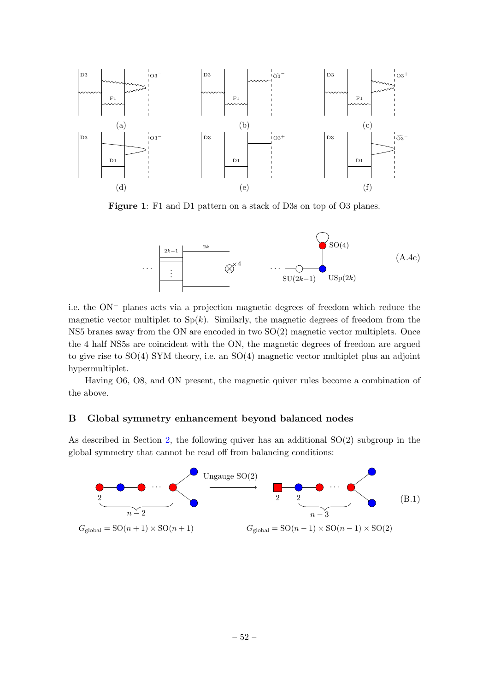<span id="page-52-1"></span>

Figure 1: F1 and D1 pattern on a stack of D3s on top of O3 planes.



i.e. the ON<sup>−</sup> planes acts via a projection magnetic degrees of freedom which reduce the magnetic vector multiplet to  $Sp(k)$ . Similarly, the magnetic degrees of freedom from the NS5 branes away from the ON are encoded in two SO(2) magnetic vector multiplets. Once the 4 half NS5s are coincident with the ON, the magnetic degrees of freedom are argued to give rise to SO(4) SYM theory, i.e. an SO(4) magnetic vector multiplet plus an adjoint hypermultiplet.

Having O6, O8, and ON present, the magnetic quiver rules become a combination of the above.

## <span id="page-52-0"></span>B Global symmetry enhancement beyond balanced nodes

As described in Section [2,](#page-6-0) the following quiver has an additional SO(2) subgroup in the global symmetry that cannot be read off from balancing conditions:

<span id="page-52-2"></span>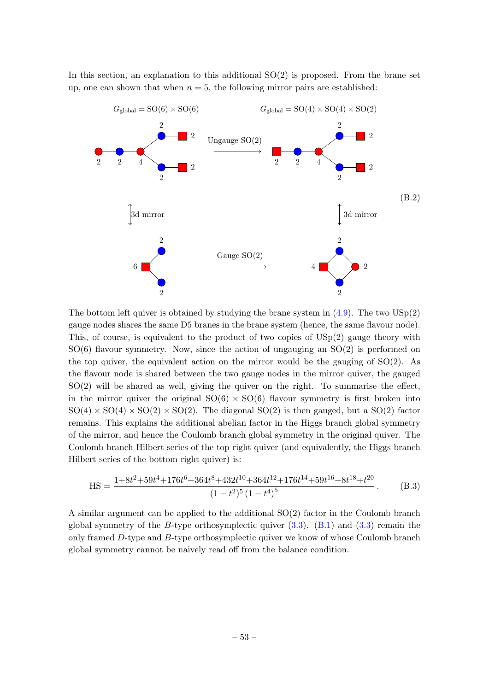In this section, an explanation to this additional  $SO(2)$  is proposed. From the brane set up, one can shown that when  $n = 5$ , the following mirror pairs are established:



The bottom left quiver is obtained by studying the brane system in  $(4.9)$ . The two  $\text{USp}(2)$ gauge nodes shares the same D5 branes in the brane system (hence, the same flavour node). This, of course, is equivalent to the product of two copies of USp(2) gauge theory with  $SO(6)$  flavour symmetry. Now, since the action of ungauging an  $SO(2)$  is performed on the top quiver, the equivalent action on the mirror would be the gauging of  $SO(2)$ . As the flavour node is shared between the two gauge nodes in the mirror quiver, the gauged  $SO(2)$  will be shared as well, giving the quiver on the right. To summarise the effect, in the mirror quiver the original  $SO(6) \times SO(6)$  flavour symmetry is first broken into  $SO(4) \times SO(4) \times SO(2) \times SO(2)$ . The diagonal  $SO(2)$  is then gauged, but a  $SO(2)$  factor remains. This explains the additional abelian factor in the Higgs branch global symmetry of the mirror, and hence the Coulomb branch global symmetry in the original quiver. The Coulomb branch Hilbert series of the top right quiver (and equivalently, the Higgs branch Hilbert series of the bottom right quiver) is:

$$
HS = \frac{1+8t^2+59t^4+176t^6+364t^8+432t^{10}+364t^{12}+176t^{14}+59t^{16}+8t^{18}+t^{20}}{(1-t^2)^5(1-t^4)^5}.
$$
 (B.3)

A similar argument can be applied to the additional SO(2) factor in the Coulomb branch global symmetry of the B-type orthosymplectic quiver  $(3.3)$ .  $(B.1)$  and  $(3.3)$  remain the only framed D-type and B-type orthosymplectic quiver we know of whose Coulomb branch global symmetry cannot be naively read off from the balance condition.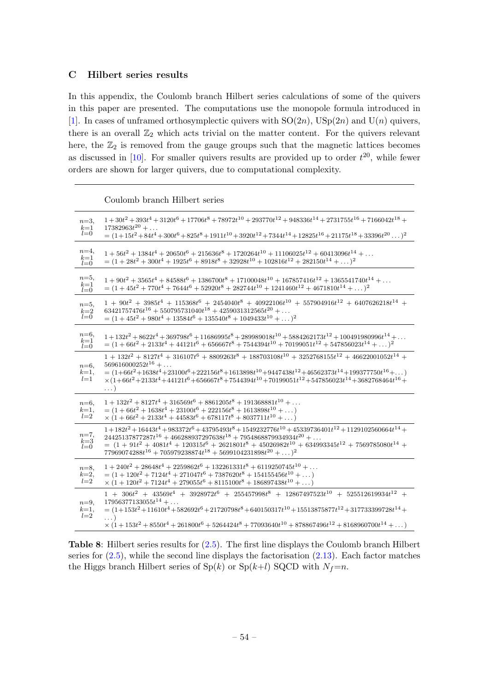## <span id="page-54-0"></span>C Hilbert series results

In this appendix, the Coulomb branch Hilbert series calculations of some of the quivers in this paper are presented. The computations use the monopole formula introduced in [\[1\]](#page-62-0). In cases of unframed orthosymplectic quivers with  $SO(2n)$ ,  $USp(2n)$  and  $U(n)$  quivers, there is an overall  $\mathbb{Z}_2$  which acts trivial on the matter content. For the quivers relevant here, the  $\mathbb{Z}_2$  is removed from the gauge groups such that the magnetic lattices becomes as discussed in [\[10\]](#page-62-7). For smaller quivers results are provided up to order  $t^{20}$ , while fewer orders are shown for larger quivers, due to computational complexity.

Coulomb branch Hilbert series

<span id="page-54-1"></span>

| $n=3$                                                                  | $1+30t^2+393t^4+3120t^6+17706t^8+78972t^{10}+293770t^{12}+948336t^{14}+2731755t^{16}+7166042t^{18}+$                                                                                                                                                                                                                                                                                  |
|------------------------------------------------------------------------|---------------------------------------------------------------------------------------------------------------------------------------------------------------------------------------------------------------------------------------------------------------------------------------------------------------------------------------------------------------------------------------|
| $k=1$                                                                  | $17382963t^{20} + \ldots$                                                                                                                                                                                                                                                                                                                                                             |
| $l=0$                                                                  | $=(1+15t^2+84t^4+300t^6+825t^8+1911t^{10}+3920t^{12}+7344t^{14}+12825t^{16}+21175t^{18}+33396t^{20})^2$                                                                                                                                                                                                                                                                               |
| $n=4$ ,                                                                | $1+56t^2+1384t^4+20650t^6+215636t^8+1720264t^{10}+11106025t^{12}+60413096t^{14}+\ldots$                                                                                                                                                                                                                                                                                               |
| $_{l=0}^{k=1}$                                                         | $= (1 + 28t2 + 300t4 + 1925t6 + 8918t8 + 32928t10 + 102816t12 + 282150t14 + )$ <sup>2</sup>                                                                                                                                                                                                                                                                                           |
| $n=5,$                                                                 | $1 + 90t^2 + 3565t^4 + 84588t^6 + 1386700t^8 + 17100048t^{10} + 167857416t^{12} + 1365541740t^{14} + \ldots$                                                                                                                                                                                                                                                                          |
| $k=1 \atop l=0$                                                        | $= (1 + 45t2 + 770t4 + 7644t6 + 52920t8 + 282744t10 + 1241460t12 + 4671810t14 + )$ <sup>2</sup>                                                                                                                                                                                                                                                                                       |
| $n=5$ ,                                                                | $1 + 90t2 + 3985t4 + 115368t6 + 2454040t8 + 40922106t10 + 557904916t12 + 6407626218t14 +$                                                                                                                                                                                                                                                                                             |
| $k=2$                                                                  | $63421757476t^{16} + 550795731040t^{18} + 4259031312565t^{20} + \ldots$                                                                                                                                                                                                                                                                                                               |
| $l=0$                                                                  | $= (1 + 45t2 + 980t4 + 13584t6 + 135540t8 + 1049433t10 + )2$                                                                                                                                                                                                                                                                                                                          |
| $n=6$ ,<br>$k=1$<br>$l=0$                                              | $1+132t^2+8622t^4+369798t^6+11686995t^8+289989018t^{10}+5884262173t^{12}+100491980996t^{14}+\ldots$<br>$= (1 + 66t2 + 2133t4 + 44121t6 + 656667t8 + 7544394t10 + 70199051t12 + 547856023t14 + )$ <sup>2</sup>                                                                                                                                                                         |
| $n=6$<br>$k=1$ ,<br>$l=1$                                              | $1 + 132t^2 + 8127t^4 + 316107t^6 + 8809263t^8 + 188703108t^{10} + 3252768155t^{12} + 46622001052t^{14} +$<br>$569616000252t^{16} + \ldots$<br>$= (1+66t^2+1638t^4+23100t^6+222156t^8+1613898t^{10}+9447438t^{12}+46562373t^{14}+199377750t^{16}+\ldots)$<br>$\times (1+66t^2+2133t^4+44121t^6+656667t^8+7544394t^{10}+70199051t^{12}+547856023t^{14}+3682768464t^{16}+$<br>. )       |
| $n=6$                                                                  | $1 + 132t^2 + 8127t^4 + 316569t^6 + 8861205t^8 + 191368881t^{10} + \ldots$                                                                                                                                                                                                                                                                                                            |
| $k=1,$                                                                 | $= (1 + 66t^2 + 1638t^4 + 23100t^6 + 222156t^8 + 1613898t^{10} + )$                                                                                                                                                                                                                                                                                                                   |
| $l=2$                                                                  | $\times (1 + 66t^2 + 2133t^4 + 44583t^6 + 678117t^8 + 8037711t^{10} + )$                                                                                                                                                                                                                                                                                                              |
| $n=7$ ,<br>$\underset{l=0}{\overset{k=3}{\scriptscriptstyle -\infty}}$ | $1+182t^2+16443t^4+983372t^6+43795493t^8+1549232776t^{10}+45339736401t^{12}+1129102560664t^{14}+$<br>$24425137877287t^{16} + 466288937297638t^{18} + 7954868879934934t^{20} + \ldots$<br>$= (1 + 91t^2 + 4081t^4 + 120315t^6 + 2621801t^8 + 45026982t^{10} + 634993345t^{12} + 7569785080t^{14} +$<br>$77969074288t^{16} + 705979238874t^{18} + 5699104231898t^{20} + )$ <sup>2</sup> |
| $n=8$ ,                                                                | $1+240t^2+28648t^4+2259862t^6+132261331t^8+6119250745t^{10}+\ldots$                                                                                                                                                                                                                                                                                                                   |
| $k=2$ ,                                                                | $= (1 + 120t^2 + 7124t^4 + 271047t^6 + 7387620t^8 + 154155456t^{10} + )$                                                                                                                                                                                                                                                                                                              |
| $l=2$                                                                  | $\times (1+120t^2+7124t^4+279055t^6+8115100t^8+186897438t^{10}+\dots)$                                                                                                                                                                                                                                                                                                                |
| $n=9$ ,<br>$k=1,$<br>$l=2$                                             | $1\ + \ 306 t^2 \ + \ 43569 t^4 \ + \ 3928972 t^6 \ + \ 255457998 t^8 \ + \ 12867497523 t^{10} \ + \ 525512619934 t^{12} \ +$<br>$17956377133055t^{14} + \ldots$<br>$=(1+153t^2+11610t^4+582692t^6+21720798t^8+640150317t^{10}+15513875877t^{12}+317733399728t^{14}+$<br>$\times (1+153t^2+8550t^4+261800t^6+5264424t^8+77093640t^{10}+878867496t^{12}+8168960700t^{14}+\ldots)$      |

Table 8: Hilbert series results for [\(2.5\)](#page-7-1). The first line displays the Coulomb branch Hilbert series for  $(2.5)$ , while the second line displays the factorisation  $(2.13)$ . Each factor matches the Higgs branch Hilbert series of  $\text{Sp}(k)$  or  $\text{Sp}(k+l)$  SQCD with  $N_f=n$ .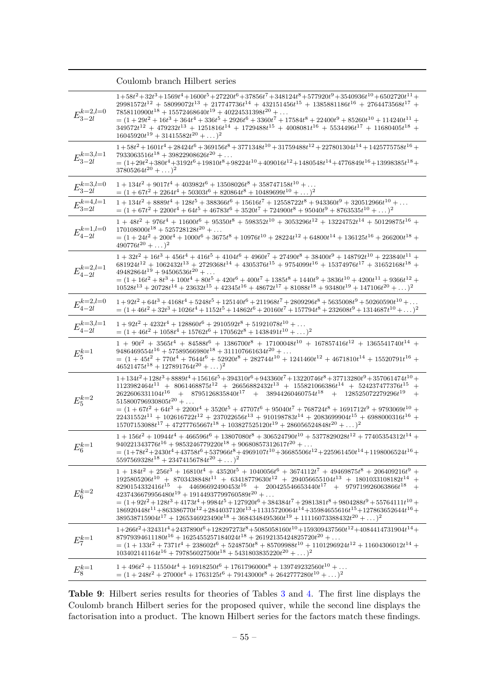<span id="page-55-0"></span>

|                             | Coulomb branch Hilbert series                                                                                                                                                                                                                                                                                                                                                                                                                                                                                                                                                                                                                                                                                                |
|-----------------------------|------------------------------------------------------------------------------------------------------------------------------------------------------------------------------------------------------------------------------------------------------------------------------------------------------------------------------------------------------------------------------------------------------------------------------------------------------------------------------------------------------------------------------------------------------------------------------------------------------------------------------------------------------------------------------------------------------------------------------|
| $E_{3-2l}^{k=2,l=0}$        | $1+58t^2+32t^3+1569t^4+1600t^5+27220t^6+37856t^7+348124t^8+577920t^9+3540936t^{10}+6502720t^{11}+$<br>$29981572t^{12} + 58099072t^{13} + 217747736t^{14} + 432151456t^{15} + 1385881186t^{16} + 2764473568t^{17} +$<br>$7858110900t^{18} + 15572468640t^{19} + 40224531398t^{20} + \ldots$<br>$= (1 + 29t2 + 16t3 + 364t4 + 336t5 + 2926t6 + 3360t7 + 17584t8 + 22400t9 + 85260t10 + 114240t11 +$<br>$349572t^{12} + 479232t^{13} + 1251816t^{14} + 1729488t^{15} + 4008081t^{16} + 5534496t^{17} + 11680405t^{18} +$<br>$16045920t^{19} + 31415582t^{20} + \dots)^2$                                                                                                                                                        |
| ${\cal E}^{k=3,l=1}_{3-2l}$ | $1+58t^2+1601t^4+28424t^6+369156t^8+3771348t^{10}+31759488t^{12}+227801304t^{14}+1425775758t^{16}+\quad \,$<br>$7933063516t^{18} + 39822908626t^{20} + \ldots$<br>$=(1+29t^2+380t^4+3192t^6+19810t^8+98224t^{10}+409016t^{12}+1480548t^{14}+4776849t^{16}+13998385t^{18}+$<br>$37805264t^{20} + \dots)^2$                                                                                                                                                                                                                                                                                                                                                                                                                    |
| $E_{3-2l}^{k=3,l=0}$        | $1 + 134t^2 + 9017t^4 + 403982t^6 + 13508026t^8 + 358747158t^{10} + \dots$<br>$= (1 + 67t2 + 2264t4 + 50303t6 + 820864t8 + 10489699t10 + )2$                                                                                                                                                                                                                                                                                                                                                                                                                                                                                                                                                                                 |
| $E^{k=4,l=1}_{3=2l}$        | $1 + 134t^2 + 8889t^4 + 128t^5 + 388366t^6 + 15616t^7 + 12558722t^8 + 943360t^9 + 320512966t^{10} + \ldots$<br>$= (1 + 67t2 + 2200t4 + 64t5 + 46783t6 + 3520t7 + 724900t8 + 95040t9 + 8763535t10 + )2$                                                                                                                                                                                                                                                                                                                                                                                                                                                                                                                       |
| ${\cal E}^{k=1,l=0}_{4-2l}$ | $1 + 48t^2 + 976t^4 + 11600t^6 + 95350t^8 + 598352t^{10} + 3053296t^{12} + 13224752t^{14} + 50129875t^{16} +$<br>$170108000t^{18} + 525728128t^{20} + \ldots$<br>$= (1 + 24t2 + 200t4 + 1000t6 + 3675t8 + 10976t10 + 28224t12 + 64800t14 + 136125t16 + 266200t18 +$<br>$490776t^{20} + \dots)^2$                                                                                                                                                                                                                                                                                                                                                                                                                             |
| ${\cal E}^{k=2,l=1}_{4-2l}$ | $1+32t^2+16t^3+456t^4+416t^5+4104t^6+4960t^7+27490t^8+38400t^9+148792t^{10}+223840t^{11}+$<br>$681924t^{12} + 1062432t^{13} + 2729368t^{14} + 4305376t^{15} + 9754099t^{16} + 15374976t^{17} + 31652168t^{18} +$<br>$49482864t^{19} + 94506536t^{20} + \ldots$<br>$= (1 + 16t2 + 8t3 + 100t4 + 80t5 + 420t6 + 400t7 + 1385t8 + 1440t9 + 3836t10 + 4200t11 + 9366t12 +$<br>$10528t^{13} + 20728t^{14} + 23632t^{15} + 42345t^{16} + 48672t^{17} + 81088t^{18} + 93480t^{19} + 147106t^{20} + )$ <sup>2</sup>                                                                                                                                                                                                                  |
| ${\cal E}^{k=2,l=0}_{4-2l}$ | $1+92t^2+64t^3+4168t^4+5248t^5+125140t^6+211968t^7+2809296t^8+5635008t^9+50260590t^{10}+\ldots$<br>$=(1+46t^2+32t^3+1026t^4+1152t^5+14862t^6+20160t^7+157794t^8+232608t^9+1314687t^{10}+\ldots)^2$                                                                                                                                                                                                                                                                                                                                                                                                                                                                                                                           |
| ${\cal E}^{k=3,l=1}_{4-2l}$ | $1+92t^2+4232t^4+128860t^6+2910592t^8+51921078t^{10}+\ldots$<br>$= (1 + 46t2 + 1058t4 + 15762t6 + 170562t8 + 1438491t10 + )$ <sup>2</sup>                                                                                                                                                                                                                                                                                                                                                                                                                                                                                                                                                                                    |
| $E_5^{k=1}$                 | $1 + 90t2 + 3565t4 + 84588t6 + 1386700t8 + 17100048t10 + 167857416t12 + 1365541740t14 +$<br>$9486469554t^{16} + 57589566980t^{18} + 311107661634t^{20} + \ldots$<br>$= (1 + 45t2 + 770t4 + 7644t6 + 52920t8 + 282744t10 + 1241460t12 + 4671810t14 + 15520791t16 +$<br>$46521475t^{18} + 127891764t^{20} + )$ <sup>2</sup>                                                                                                                                                                                                                                                                                                                                                                                                    |
| $E_5^{k=2}$                 | $1+134t^2+128t^3+8889t^4+15616t^5+394310t^6+943360t^7+13220746t^8+37713280t^9+357061474t^{10}+$<br>$1123982464t^{11} + 8061468875t^{12} + 26656882432t^{13} + 155821066386t^{14} + 524237477376t^{15} +$<br>$+\quad 8795126835840 t^{17} \quad +\quad 38944260460754 t^{18} \quad +\quad 128525072279296 t^{19} \quad +$<br>$2622606331104t^{16}$<br>$515800796930805t^{20} + \ldots$<br>$= (1 + 67t^2 + 64t^3 + 2200t^4 + 3520t^5 + 47707t^6 + 95040t^7 + 768724t^8 + 1691712t^9 + 9793069t^{10} +$<br>$22431552t^{11} + 102616722t^{12} + 237022656t^{13} + 910198783t^{14} + 2083699904t^{15} + 6988000316t^{16} +$<br>$15707153088t^{17} + 47277765667t^{18} + 103827525120t^{19} + 286056524848t^{20} + )$ <sup>2</sup> |
| $E_6^{k=1}$                 | $1+156t^2+10944t^4+466596t^6+13807080t^8+306524790t^{10}+5377829028t^{12}+77405354312t^{14}+$<br>$940221343776t^{16} + 9853246779220t^{18} + 90680857312617t^{20} + \ldots$<br>$\quad \  \  = (1+78t^2+2430t^4+43758t^6+537966t^8+4969107t^{10}+36685506t^{12}+225961450t^{14}+1198006524t^{16}+$<br>$5597569328t^{18} + 23474156784t^{20} + )$ <sup>2</sup>                                                                                                                                                                                                                                                                                                                                                                 |
| $E_6^{k=2}$                 | $1+184t^2+256t^3+16810t^4+43520t^5+1040056t^6+3674112t^7+49469875t^8+206409216t^9+$<br>$1925805206t^{10} + 8703438848t^{11} + 63418779630t^{12} + 294056655104t^{13} + 1801033108182t^{14} +$<br>$8290154332416t^{15} + 44696692490453t^{16} + 200425546653440t^{17} + 979719926063866t^{18} +$<br>$4237436679956480t^{19} + 19144937799760589t^{20} + \ldots$<br>$=(1+92t^2+128t^3+4173t^4+9984t^5+127920t^6+384384t^7+2981381t^8+9804288t^9+55764111t^{10}+$<br>$186920448t^{11} + 863386770t^{12} + 2844037120t^{13} + 11315720064t^{14} + 35984655616t^{15} + 127863652644t^{16} +$<br>$389538715904t^{17} + 1265346923490t^{18} + 3684348495360t^{19} + 11116073388432t^{20} + )$ <sup>2</sup>                          |
| $E_7^{k=1}$                 | $1+266t^2+32431t^4+2437890t^6+128297273t^8+5085058160t^{10}+159309437560t^{12}+4084414731904t^{14}+$<br>$87979394611180t^{16} + 1625455257184024t^{18} + 26192135424825720t^{20} + \ldots$<br>$= (1 + 133t2 + 7371t4 + 238602t6 + 5248750t8 + 85709988t10 + 1101296924t12 + 11604306012t14 +$<br>$103402141164t^{16} + 797856027500t^{18} + 5431803835220t^{20} + )$ <sup>2</sup>                                                                                                                                                                                                                                                                                                                                            |
| $E_8^{k=1}$                 | $1 + 496t^2 + 115504t^4 + 16918250t^6 + 1761796000t^8 + 139749232560t^{10} + $<br>$= (1 + 248t2 + 27000t4 + 1763125t6 + 79143000t8 + 2642777280t10 + )$ <sup>2</sup>                                                                                                                                                                                                                                                                                                                                                                                                                                                                                                                                                         |

Table 9: Hilbert series results for theories of Tables [3](#page-11-0) and [4.](#page-12-0) The first line displays the Coulomb branch Hilbert series for the proposed quiver, while the second line displays the factorisation into a product. The known Hilbert series for the factors match these findings.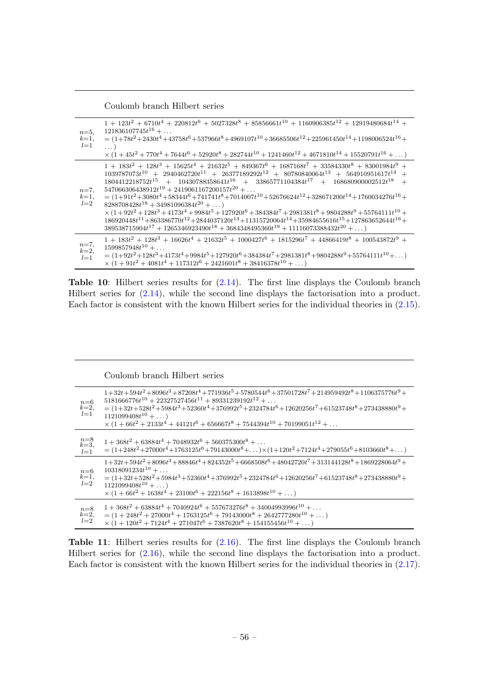Coulomb branch Hilbert series

<span id="page-56-0"></span>

| $n=5$ .<br>$k=1$ ,<br>$l=1$ | $1 + 123t^2 + 6710t^4 + 220812t^6 + 5027328t^8 + 85856661t^{10} + 1160906385t^{12} + 12919480684t^{14} +$<br>$121836107745t^{16} + \ldots$<br>$=(1+78t^2+2430t^4+43758t^6+537966t^8+4969107t^{10}+36685506t^{12}+225961450t^{14}+1198006524t^{16}+$<br>$\ldots$<br>$\times (1+45t^2+770t^4+7644t^6+52920t^8+282744t^{10}+1241460t^{12}+4671810t^{14}+15520791t^{16}+\ldots)$                                                                                                                                                                                                                                                                                                                                                                                                                                                                          |
|-----------------------------|-------------------------------------------------------------------------------------------------------------------------------------------------------------------------------------------------------------------------------------------------------------------------------------------------------------------------------------------------------------------------------------------------------------------------------------------------------------------------------------------------------------------------------------------------------------------------------------------------------------------------------------------------------------------------------------------------------------------------------------------------------------------------------------------------------------------------------------------------------|
| $n=7$<br>$k=1$ ,<br>$l=2$   | $1+183t^2+128t^3+15625t^4+21632t^5+849367t^6+1687168t^7+33584330t^8+83001984t^9+$<br>$1039787073t^{10} + 2940462720t^{11} + 26377189292t^{12} + 80780840064t^{13} + 564910951617t^{14} +$<br>$1804412218752t^{15} + 10430788358641t^{16} + 33865771104384t^{17} + 168680900002512t^{18}$<br>$547066306438912t^{19} + 2419061167200157t^{20} + \ldots$<br>$=(1+91t^2+3080t^4+58344t^6+741741t^8+7014007t^{10}+52676624t^{12}+328671200t^{14}+1760034276t^{16}+$<br>$8288708428t^{18} + 34981096384t^{20} + \ldots$<br>$\times (1+92t^2+128t^3+4173t^4+9984t^5+127920t^6+384384t^7+2981381t^8+9804288t^9+55764111t^{10}+$<br>$186920448t^{11} + 863386770t^{12} + 2844037120t^{13} + 11315720064t^{14} + 35984655616t^{15} + 127863652644t^{16} +$<br>$389538715904t^{17} + 1265346923490t^{18} + 3684348495360t^{19} + 11116073388432t^{20} + \ldots)$ |
| $n=7,$<br>$k=2$ ,<br>$l=1$  | $1+183t^2+128t^3+16626t^4+21632t^5+1000427t^6+1815296t^7+44866419t^8+100543872t^9+$<br>$1599857948t^{10} + \ldots$<br>$=(1+92t^2+128t^3+4173t^4+9984t^5+127920t^6+384384t^7+2981381t^8+9804288t^9+55764111t^{10}+\ldots)$<br>$\times (1+91t^2+4081t^4+117312t^6+2421601t^8+38416378t^{10}+\dots)$                                                                                                                                                                                                                                                                                                                                                                                                                                                                                                                                                     |

Table 10: Hilbert series results for [\(2.14\)](#page-13-1). The first line displays the Coulomb branch Hilbert series for [\(2.14\)](#page-13-1), while the second line displays the factorisation into a product. Each factor is consistent with the known Hilbert series for the individual theories in [\(2.15\)](#page-14-2).

## Coulomb branch Hilbert series

<span id="page-56-1"></span>

| $n=6$<br>$k=2,$<br>$l=1$              | $1+32t+594t^2+8096t^3+87208t^4+771936t^5+5780544t^6+37501728t^7+214959492t^8+1106375776t^9+$<br>$5181666776t^{10} + 22327527456t^{11} + 89331239192t^{12} + \ldots$<br>$=(1+32t+528t^2+5984t^3+52360t^4+376992t^5+2324784t^6+12620256t^7+61523748t^8+273438880t^9+$<br>$1121099408t^{10} + \ldots$<br>$\times (1+66t^2+2133t^4+44121t^6+656667t^8+7544394t^{10}+70199051t^{12}+\ldots$ |
|---------------------------------------|----------------------------------------------------------------------------------------------------------------------------------------------------------------------------------------------------------------------------------------------------------------------------------------------------------------------------------------------------------------------------------------|
|                                       |                                                                                                                                                                                                                                                                                                                                                                                        |
| $\stackrel{n=8}{\stackrel{k=3}{l=1}}$ | $1+368t^2+63884t^4+7048932t^6+560375300t^8+\ldots$<br>$=(1+248t^2+27000t^4+1763125t^6+79143000t^8+\ldots)\times(1+120t^2+7124t^4+279055t^6+8103660t^8+\ldots)$                                                                                                                                                                                                                         |
| $_{k=1}^{n=6}$<br>$l=2$               | $1+32t+594t^2+8096t^3+88846t^4+824352t^5+6668508t^6+48042720t^7+313144128t^8+1869228064t^9+$<br>$10318091234t^{10} + \ldots$<br>$=(1+32t+528t^2+5984t^3+52360t^4+376992t^5+2324784t^6+12620256t^7+61523748t^8+273438880t^9+$<br>$1121099408t^{10} + \ldots$                                                                                                                            |
|                                       | $\times (1+66t^2+1638t^4+23100t^6+222156t^8+1613898t^{10}+\dots)$                                                                                                                                                                                                                                                                                                                      |
| $n=8, k=2,$<br>$l=2$                  | $1+368t^2+63884t^4+7040924t^6+557673276t^8+34004993996t^{10}+\ldots$<br>$= (1 + 248t^2 + 27000t^4 + 1763125t^6 + 79143000t^8 + 2642777280t^{10} + )$<br>$\times (1 + 120t^2 + 7124t^4 + 271047t^6 + 7387620t^8 + 154155456t^{10} + )$                                                                                                                                                  |

Table 11: Hilbert series results for  $(2.16)$ . The first line displays the Coulomb branch Hilbert series for [\(2.16\)](#page-14-1), while the second line displays the factorisation into a product. Each factor is consistent with the known Hilbert series for the individual theories in [\(2.17\)](#page-15-0).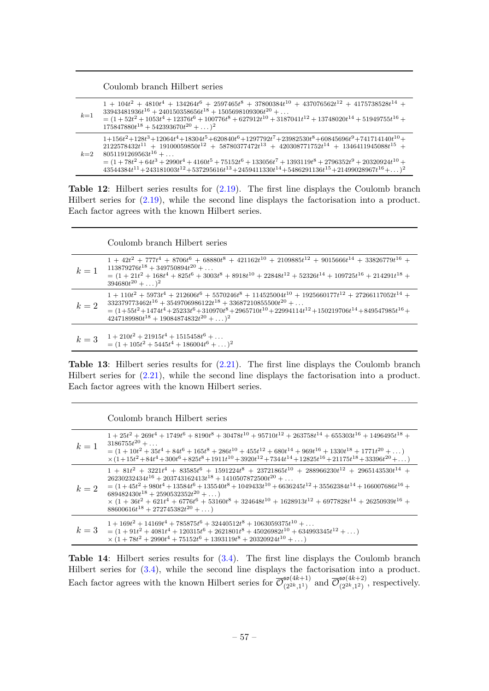Coulomb branch Hilbert series

<span id="page-57-0"></span>

| $k=1$ | $1 + 104t^2 + 4810t^4 + 134264t^6 + 2597465t^8 + 37800384t^{10} + 437076562t^{12} + 4175738528t^{14} +$<br>$33943481936t^{16} + 240150358656t^{18} + 1505698109306t^{20} + \ldots$<br>$= (1 + 52t2 + 1053t4 + 12376t6 + 100776t8 + 627912t10 + 3187041t12 + 13748020t14 + 51949755t16 +$<br>$175847880t^{18} + 542393670t^{20} + \ldots)^2$                                                                                                                                 |
|-------|-----------------------------------------------------------------------------------------------------------------------------------------------------------------------------------------------------------------------------------------------------------------------------------------------------------------------------------------------------------------------------------------------------------------------------------------------------------------------------|
| $k=2$ | $1+156t^2+128t^3+12064t^4+18304t^5+620840t^6+1297792t^7+23982530t^8+60845696t^9+741714140t^{10}+$<br>$2122578432t^{11} + 19100059850t^{12} + 58780377472t^{13} + 420308771752t^{14} + 1346411945088t^{15} +$<br>$8051191269563t^{16} + \ldots$<br>$= (1+78t^2+64t^3+2990t^4+4160t^5+75152t^6+133056t^7+1393119t^8+2796352t^9+20320924t^{10}+$<br>$43544384t^{11} + 243181003t^{12} + 537295616t^{13} + 2459411330t^{14} + 5486291136t^{15} + 21499028967t^{16} + \ldots)^2$ |

Table 12: Hilbert series results for [\(2.19\)](#page-16-2). The first line displays the Coulomb branch Hilbert series for [\(2.19\)](#page-16-2), while the second line displays the factorisation into a product. Each factor agrees with the known Hilbert series.

Coulomb branch Hilbert series

<span id="page-57-1"></span>

| $k=1$ | $1+42t^2+777t^4+8706t^6+68880t^8+421162t^{10}+2109885t^{12}+9015666t^{14}+33826779t^{16}+$<br>$113879276t^{18} + 349750894t^{20} + \ldots$<br>$= (1 + 21t^2 + 168t^4 + 825t^6 + 3003t^8 + 8918t^{10} + 22848t^{12} + 52326t^{14} + 109725t^{16} + 214291t^{18} +$<br>$394680t^{20} +  )^2$                                                             |
|-------|--------------------------------------------------------------------------------------------------------------------------------------------------------------------------------------------------------------------------------------------------------------------------------------------------------------------------------------------------------|
| $k=2$ | $1 + 110t^2 + 5973t^4 + 212606t^6 + 5570246t^8 + 114525004t^{10} + 1925660177t^{12} + 27266117052t^{14} +$<br>$332379773462t^{16} + 3549706986122t^{18} + 33687210855500t^{20} + \ldots$<br>$=(1+55t^2+1474t^4+25233t^6+310970t^8+2965710t^{10}+22994114t^{12}+150219706t^{14}+849547985t^{16}+$<br>$4247189980t^{18} + 19084874832t^{20} + \ldots)^2$ |
| $k=3$ | $1 + 210t^2 + 21915t^4 + 1515458t^6 + \dots$<br>$=(1+105t^2+5445t^4+186004t^6+\ldots)^2$                                                                                                                                                                                                                                                               |

Table 13: Hilbert series results for  $(2.21)$ . The first line displays the Coulomb branch Hilbert series for [\(2.21\)](#page-17-1), while the second line displays the factorisation into a product. Each factor agrees with the known Hilbert series.

Coulomb branch Hilbert series

<span id="page-57-2"></span>

| $k=1$ | $1+25t^2+269t^4+1749t^6+8190t^8+30478t^{10}+95710t^{12}+263758t^{14}+655303t^{16}+1496495t^{18}+$<br>$3186755t^{20} + \ldots$<br>$= (1 + 10t^2 + 35t^4 + 84t^6 + 165t^8 + 286t^{10} + 455t^{12} + 680t^{14} + 969t^{16} + 1330t^{18} + 1771t^{20} + )$<br>$\times (1+15t^2+84t^4+300t^6+825t^8+1911t^{10}+3920t^{12}+7344t^{14}+12825t^{16}+21175t^{18}+33396t^{20}+\ldots)$                                                                                                                                    |
|-------|-----------------------------------------------------------------------------------------------------------------------------------------------------------------------------------------------------------------------------------------------------------------------------------------------------------------------------------------------------------------------------------------------------------------------------------------------------------------------------------------------------------------|
| $k=2$ | $1+81t^2+3221t^4+83585t^6+1591224t^8+23721865t^{10}+288966230t^{12}+2965143530t^{14}+$<br>$26230232434t^{16} + 203743162413t^{18} + 1410507872500t^{20} + \ldots$<br>$=(1+45t^2+980t^4+13584t^6+135540t^8+1049433t^{10}+6636245t^{12}+35562384t^{14}+166007686t^{16}+$<br>$689482430t^{18} + 2590532352t^{20} + \ldots$<br>$\times~(1\,+\,36t^2\,+\,621t^4\,+\,6776t^6\,+\,53160t^8\,+\,324648t^{10}\,+\,1628913t^{12}\,+\,6977828t^{14}\,+\,26250939t^{16}\,+\,$<br>$88600616t^{18} + 272745382t^{20} + \dots$ |
| $k=3$ | $1 + 169t^2 + 14169t^4 + 785875t^6 + 32440512t^8 + 1063059375t^{10} + \ldots$<br>$= (1 + 91t^2 + 4081t^4 + 120315t^6 + 2621801t^8 + 45026982t^{10} + 634993345t^{12} + )$<br>$\times (1+78t^2+2990t^4+75152t^6+1393119t^8+20320924t^{10}+\dots)$                                                                                                                                                                                                                                                                |

Table 14: Hilbert series results for [\(3.4\)](#page-19-1). The first line displays the Coulomb branch Hilbert series for [\(3.4\)](#page-19-1), while the second line displays the factorisation into a product. Each factor agrees with the known Hilbert series for  $\overline{\mathcal{O}}_{(2^{2k} 1)}^{so(4k+1)}$  $\frac{\mathfrak{so}(4k+1)}{(2^{2k},1^1)}$  and  $\overline{\mathcal{O}}_{(2^{2k},1^2)}^{\mathfrak{so}(4k+2)}$  $\int_{(2^{2k},1^2)}^{(4k+2)}$ , respectively.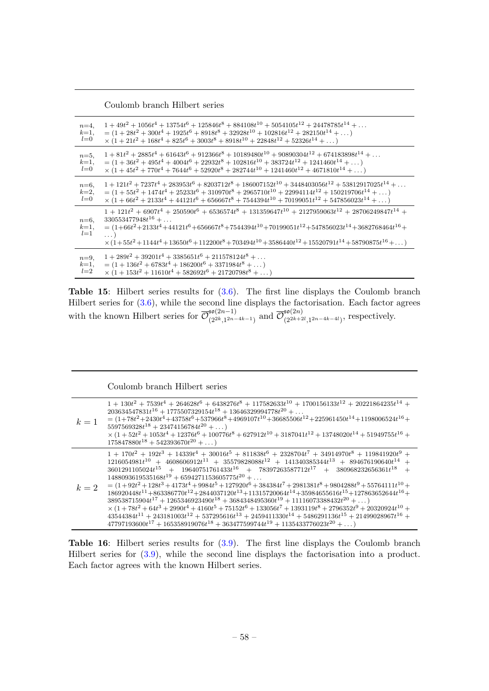| Coulomb branch Hilbert series |  |  |  |
|-------------------------------|--|--|--|
|-------------------------------|--|--|--|

<span id="page-58-0"></span>

| $n=4$ .                   | $1+49t^2+1056t^4+13754t^6+125846t^8+884108t^{10}+5054105t^{12}+24478785t^{14}+\ldots$                                                                                                                                                                                                                                                                                            |
|---------------------------|----------------------------------------------------------------------------------------------------------------------------------------------------------------------------------------------------------------------------------------------------------------------------------------------------------------------------------------------------------------------------------|
| $k=1$ ,                   | $= (1 + 28t2 + 300t4 + 1925t6 + 8918t8 + 32928t10 + 102816t12 + 282150t14 + )$                                                                                                                                                                                                                                                                                                   |
| $l=0$                     | $\times (1+21t^2+168t^4+825t^6+3003t^8+8918t^{10}+22848t^{12}+52326t^{14}+\dots)$                                                                                                                                                                                                                                                                                                |
| $n=5$ ,                   | $1+81t^2+2885t^4+61643t^6+912366t^8+10189480t^{10}+90890304t^{12}+674183898t^{14}+\ldots$                                                                                                                                                                                                                                                                                        |
| $k=1$ ,                   | $= (1 + 36t2 + 495t4 + 4004t6 + 22932t8 + 102816t10 + 383724t12 + 1241460t14 + )$                                                                                                                                                                                                                                                                                                |
| $l=0$                     | $\times (1+45t^2+770t^4+7644t^6+52920t^8+282744t^{10}+1241460t^{12}+4671810t^{14}+\ldots)$                                                                                                                                                                                                                                                                                       |
| $n=6$ .                   | $1+121t^2+7237t^4+283953t^6+8203712t^8+186007152t^{10}+3448403056t^{12}+53812917025t^{14}+\ldots$                                                                                                                                                                                                                                                                                |
| $k=2$ ,                   | $= (1 + 55t2 + 1474t4 + 25233t6 + 310970t8 + 2965710t10 + 22994114t12 + 150219706t14 + )$                                                                                                                                                                                                                                                                                        |
| $l=0$                     | $\times (1+66t^2+2133t^4+44121t^6+656667t^8+7544394t^{10}+70199051t^{12}+547856023t^{14}+\ldots)$                                                                                                                                                                                                                                                                                |
| $n=6$<br>$k=1$ ,<br>$l=1$ | $1 + 121t^2 + 6907t^4 + 250590t^6 + 6536574t^8 + 131359647t^{10} + 2127959063t^{12} + 28706249847t^{14} +$<br>$330553477948t^{16} + \ldots$<br>$=(1+66t^2+2133t^4+44121t^6+656667t^8+7544394t^{10}+70199051t^{12}+547856023t^{14}+3682768464t^{16}+$<br>$\ldots$<br>$\times (1+55t^2+1144t^4+13650t^6+112200t^8+703494t^{10}+3586440t^{12}+15520791t^{14}+58790875t^{16}+\dots)$ |
| $n=9$ ,                   | $1 + 289t^2 + 39201t^4 + 3385651t^6 + 211578124t^8 + \dots$                                                                                                                                                                                                                                                                                                                      |
| $k=1$ ,                   | $= (1 + 136t^2 + 6783t^4 + 186200t^6 + 3371984t^8 + )$                                                                                                                                                                                                                                                                                                                           |
| $l=2$                     | $\times (1 + 153t^2 + 11610t^4 + 582692t^6 + 21720798t^8 + )$                                                                                                                                                                                                                                                                                                                    |

**Table 15:** Hilbert series results for  $(3.6)$ . The first line displays the Coulomb branch Hilbert series for [\(3.6\)](#page-20-1), while the second line displays the factorisation. Each factor agrees with the known Hilbert series for  $\overline{\mathcal{O}}_{2k-1}^{\mathfrak{so}(2n-1)}$  $\frac{\mathfrak{so}(2n-1)}{(2^{2k},1^{2n-4k-1})}$  and  $\overline{\mathcal{O}}_{(2^{2k+2})}^{\mathfrak{so}(2n)}$  $\sum_{(2^{2k+2l},1^{2n-4k-4l})}^{30(2n)}$ , respectively.

Coulomb branch Hilbert series

<span id="page-58-1"></span>

| $k=1$ | $1+130t^2+7539t^4+264628t^6+6438276t^8+117582633t^{10}+1700156133t^{12}+20221864235t^{14}+$<br>$203634547831t^{16} + 1775507329154t^{18} + 13646329994778t^{20} + \ldots$<br>$=(1+78t^2+2430t^4+43758t^6+537966t^8+4969107t^{10}+36685506t^{12}+225961450t^{14}+1198006524t^{16}+$<br>$5597569328t^{18} + 23474156784t^{20} + \ldots$<br>$\times \left(1+52 t^2+1053 t^4+12376 t^6+100776 t^8+627912 t^{10}+3187041 t^{12}+13748020 t^{14}+51949755 t^{16}+\right.$<br>$175847880t^{18} + 542393670t^{20} + \ldots$                                                                                                                                                                                                                                                                                                                                                                                                                                                                                                          |
|-------|------------------------------------------------------------------------------------------------------------------------------------------------------------------------------------------------------------------------------------------------------------------------------------------------------------------------------------------------------------------------------------------------------------------------------------------------------------------------------------------------------------------------------------------------------------------------------------------------------------------------------------------------------------------------------------------------------------------------------------------------------------------------------------------------------------------------------------------------------------------------------------------------------------------------------------------------------------------------------------------------------------------------------|
| $k=2$ | $1 + 170t^2 + 192t^3 + 14339t^4 + 30016t^5 + 811838t^6 + 2328704t^7 + 34914970t^8 + 119841920t^9 +$<br>$1216054981t^{10} + 4608606912t^{11} + 35579828088t^{12} + 141340385344t^{13} + 894676190640t^{14} +$<br>$3601291105024t^{15} + 19640751761433t^{16} + 78397263587712t^{17} + 380968232656361t^{18} +$<br>$1488093619535168t^{19} + 6594271153605775t^{20} + \ldots$<br>$= (1+92t^2+128t^3+4173t^4+9984t^5+127920t^6+384384t^7+2981381t^8+9804288t^9+55764111t^{10}+$<br>$186920448t^{11} + 863386770t^{12} + 2844037120t^{13} + 11315720064t^{14} + 35984655616t^{15} + 127863652644t^{16} +$<br>$389538715904t^{17} + 1265346923490t^{18} + 3684348495360t^{19} + 11116073388432t^{20} + \ldots)$<br>$\times (1+78t^2+64t^3+2990t^4+4160t^5+75152t^6+133056t^7+1393119t^8+2796352t^9+20320924t^{10}+$<br>$43544384t^{11} + 243181003t^{12} + 537295616t^{13} + 2459411330t^{14} + 5486291136t^{15} + 21499028967t^{16} +$<br>$47797193600t^{17} + 165358919076t^{18} + 363477599744t^{19} + 1135433776023t^{20} + $ |

Table 16: Hilbert series results for  $(3.9)$ . The first line displays the Coulomb branch Hilbert series for [\(3.9\)](#page-21-2), while the second line displays the factorisation into a product. Each factor agrees with the known Hilbert series.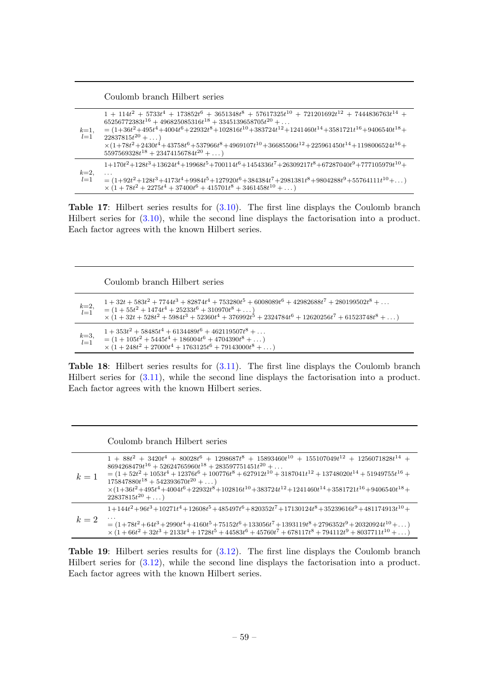Coulomb branch Hilbert series

<span id="page-59-0"></span>

| $k=1$ ,<br>$l=1$ | $1 + 114t^2 + 5733t^4 + 173852t^6 + 3651348t^8 + 57617325t^{10} + 721201692t^{12} + 7444836763t^{14} +$<br>$65256772383t^{16} + 496825085316t^{18} + 3345139658705t^{20} + \ldots$<br>$=(1+36t^2+495t^4+4004t^6+22932t^8+102816t^{10}+383724t^{12}+1241460t^{14}+3581721t^{16}+9406540t^{18}+$<br>$22837815t^{20} + $<br>$\times (1+78t^2+2430t^4+43758t^6+537966t^8+4969107t^{10}+36685506t^{12}+225961450t^{14}+1198006524t^{16}+$<br>$5597569328t^{18} + 23474156784t^{20} + \ldots$ |
|------------------|-----------------------------------------------------------------------------------------------------------------------------------------------------------------------------------------------------------------------------------------------------------------------------------------------------------------------------------------------------------------------------------------------------------------------------------------------------------------------------------------|
| $k=2$<br>$l=1$   | $1+170t^2+128t^3+13624t^4+19968t^5+700114t^6+1454336t^7+26309217t^8+67287040t^9+777105979t^{10}+$<br>$=(1+92t^2+128t^3+4173t^4+9984t^5+127920t^6+384384t^7+2981381t^8+9804288t^9+55764111t^{10}+\ldots)$<br>$\times (1+78t^2+2275t^4+37400t^6+415701t^8+3461458t^{10}+\dots)$                                                                                                                                                                                                           |

Table 17: Hilbert series results for  $(3.10)$ . The first line displays the Coulomb branch Hilbert series for [\(3.10\)](#page-21-3), while the second line displays the factorisation into a product. Each factor agrees with the known Hilbert series.

Coulomb branch Hilbert series

<span id="page-59-1"></span>

| $k=2,$<br>$l=1$ | $1+32t+583t^2+7744t^3+82874t^4+753280t^5+6008089t^6+42982688t^7+280199502t^8+\ldots$<br>$= (1 + 55t2 + 1474t4 + 25233t6 + 310970t8 + )$<br>$\times (1+32t+528t^2+5984t^3+52360t^4+376992t^5+2324784t^6+12620256t^7+61523748t^8+\dots)$ |
|-----------------|----------------------------------------------------------------------------------------------------------------------------------------------------------------------------------------------------------------------------------------|
| $k=3, l=1$      | $1+353t^2+58485t^4+6134489t^6+462119507t^8+\ldots$<br>$= (1 + 105t^2 + 5445t^4 + 186004t^6 + 4704390t^8 + \dots)$<br>$\times (1+248t^2+27000t^4+1763125t^6+79143000t^8+\ldots)$                                                        |

Table 18: Hilbert series results for  $(3.11)$ . The first line displays the Coulomb branch Hilbert series for [\(3.11\)](#page-22-3), while the second line displays the factorisation into a product. Each factor agrees with the known Hilbert series.

Coulomb branch Hilbert series

<span id="page-59-2"></span>

| $k=1$ | $1+88t^2+3420t^4+80028t^6+1298687t^8+15893460t^{10}+155107049t^{12}+1256071828t^{14}+$<br>$8694268479t^{16} + 52624765960t^{18} + 283597751451t^{20} + \ldots$<br>$= (1 + 52t2 + 1053t4 + 12376t6 + 100776t8 + 627912t10 + 3187041t12 + 13748020t14 + 51949755t16 +$<br>$175847880t^{18} + 542393670t^{20} + \ldots$ |
|-------|----------------------------------------------------------------------------------------------------------------------------------------------------------------------------------------------------------------------------------------------------------------------------------------------------------------------|
|       | $\times (1+36t^2+495t^4+4004t^6+22932t^8+102816t^{10}+383724t^{12}+1241460t^{14}+3581721t^{16}+9406540t^{18}+$<br>$22837815t^{20} + \dots$                                                                                                                                                                           |
| $k=2$ | $1+144t^2+96t^3+10271t^4+12608t^5+485497t^6+820352t^7+17130124t^8+35239616t^9+481174913t^{10}+$                                                                                                                                                                                                                      |
|       | $=(1+78t^2+64t^3+2990t^4+4160t^5+75152t^6+133056t^7+1393119t^8+2796352t^9+20320924t^{10}+\dots)$<br>$\times (1+66t^2+32t^3+2133t^4+1728t^5+44583t^6+45760t^7+678117t^8+794112t^9+8037711t^{10}+\ldots)$                                                                                                              |

Table 19: Hilbert series results for  $(3.12)$ . The first line displays the Coulomb branch Hilbert series for [\(3.12\)](#page-22-2), while the second line displays the factorisation into a product. Each factor agrees with the known Hilbert series.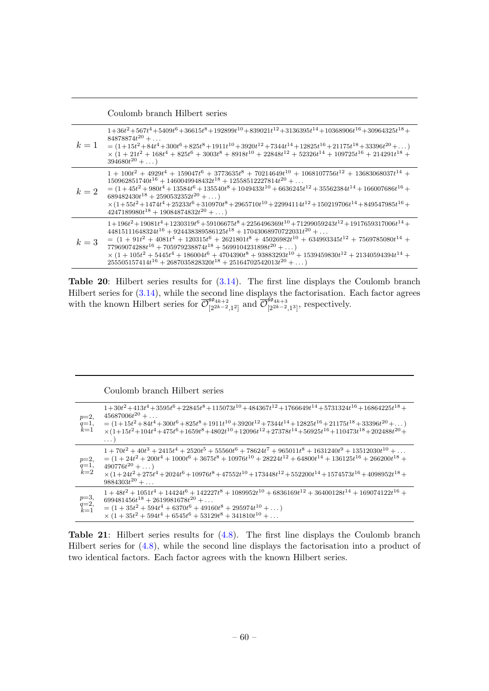Coulomb branch Hilbert series

<span id="page-60-0"></span>

| $k=1$ | $1+36t^2+567t^4+5409t^6+36615t^8+192899t^{10}+839021t^{12}+3136395t^{14}+10368906t^{16}+30964325t^{18}+$<br>$84878874t^{20} + \ldots$<br>$= (1+15t^2+84t^4+300t^6+825t^8+1911t^{10}+3920t^{12}+7344t^{14}+12825t^{16}+21175t^{18}+33396t^{20}+\ldots)$<br>$\times (1+21t^2+168t^4+825t^6+3003t^8+8918t^{10}+22848t^{12}+52326t^{14}+109725t^{16}+214291t^{18}+$<br>$394680t^{20} + $                                                                                                                                                                               |
|-------|--------------------------------------------------------------------------------------------------------------------------------------------------------------------------------------------------------------------------------------------------------------------------------------------------------------------------------------------------------------------------------------------------------------------------------------------------------------------------------------------------------------------------------------------------------------------|
| $k=2$ | $1 + 100t^2 + 4929t^4 + 159047t^6 + 3773635t^8 + 70214649t^{10} + 1068107756t^{12} + 13683068037t^{14} +$<br>$150962851740t^{16} + 1460049948432t^{18} + 12558512227814t^{20} + \ldots$<br>$= (1 + 45t2 + 980t4 + 13584t6 + 135540t8 + 1049433t10 + 6636245t12 + 35562384t14 + 166007686t16 +$<br>$689482430t^{18} + 2590532352t^{20} + \ldots$<br>$\times (1+55t^2+1474t^4+25233t^6+310970t^8+2965710t^{10}+22994114t^{12}+150219706t^{14}+849547985t^{16}+$<br>$4247189980t^{18} + 19084874832t^{20} + \dots$                                                    |
| $k=3$ | $1+196t^2+19081t^4+1230319t^6+59106675t^8+2256496369t^{10}+71299059243t^{12}+1917659317006t^{14}+$<br>$44815111648324t^{16} + 924438389586125t^{18} + 17043068970722031t^{20} + \ldots$<br>$= (1 + 91t^2 + 4081t^4 + 120315t^6 + 2621801t^8 + 45026982t^{10} + 634993345t^{12} + 7569785080t^{14} +$<br>$77969074288t^{16} + 705979238874t^{18} + 5699104231898t^{20} + \dots$<br>$\times (1+105t^2+5445t^4+186004t^6+4704390t^8+93883293t^{10}+1539459830t^{12}+21340594394t^{14}+$<br>$255505157414t^{16} + 2687035828320t^{18} + 25164702542013t^{20} + \dots)$ |

Table 20: Hilbert series results for [\(3.14\)](#page-23-1). The first line displays the Coulomb branch Hilbert series for [\(3.14\)](#page-23-1), while the second line displays the factorisation. Each factor agrees with the known Hilbert series for  $\overline{\mathcal{O}}_{12k-2}^{\mathfrak{so}_{4k+2}}$  $\frac{\left(56a_{k+2}\right)}{\left[2^{2k-2},1^2\right]}$  and  $\overline{\mathcal{O}}_{\left[2^{2k-2}\right]}$  $\sum_{[2^{2k-2},1^3]}^{3^{2k+3}}$ , respectively.

## Coulomb branch Hilbert series

<span id="page-60-1"></span>

| $p=2$ ,<br>$q=1,$<br>$k=1$ | $1+30t^2+413t^4+3595t^6+22845t^8+115073t^{10}+484367t^{12}+1766649t^{14}+5731324t^{16}+16864225t^{18}+$<br>$45687006 t^{20} + \ldots$<br>$=(1+15t^2+84t^4+300t^6+825t^8+1911t^{10}+3920t^{12}+7344t^{14}+12825t^{16}+21175t^{18}+33396t^{20}+\ldots)$<br>$\times (1+15t^2+104t^4+475t^6+1659t^8+4802t^{10}+12096t^{12}+27378t^{14}+56925t^{16}+110473t^{18}+202488t^{20}+$<br>$\cdots$ : |
|----------------------------|------------------------------------------------------------------------------------------------------------------------------------------------------------------------------------------------------------------------------------------------------------------------------------------------------------------------------------------------------------------------------------------|
| $p=2$ .<br>$q=1,$<br>$k=2$ | $1 + 70t^2 + 40t^3 + 2415t^4 + 2520t^5 + 55560t^6 + 78624t^7 + 965011t^8 + 1631240t^9 + 13512030t^{10} + $<br>$= (1 + 24t2 + 200t4 + 1000t6 + 3675t8 + 10976t10 + 28224t12 + 64800t14 + 136125t16 + 266200t18 +$<br>$490776t^{20} + \dots$<br>$\times (1+24t^2+275t^4+2024t^6+10976t^8+47552t^{10}+173448t^{12}+552200t^{14}+1574573t^{16}+4098952t^{18}+$<br>$9884303t^{20} + \ldots$   |
| $p=3,$<br>$q=2,$<br>$k=1$  | $1+48t^2+1051t^4+14424t^6+142227t^8+1089952t^{10}+6836169t^{12}+36400128t^{14}+169074122t^{16}+$<br>$699481456t^{18} + 2619981678t^{20} + \ldots$<br>$= (1 + 35t2 + 594t4 + 6370t6 + 49160t8 + 295974t10 + )$<br>$\times (1+35t^2+594t^4+6545t^6+53129t^8+341810t^{10}+\ldots$                                                                                                           |

Table 21: Hilbert series results for  $(4.8)$ . The first line displays the Coulomb branch Hilbert series for [\(4.8\)](#page-26-2), while the second line displays the factorisation into a product of two identical factors. Each factor agrees with the known Hilbert series.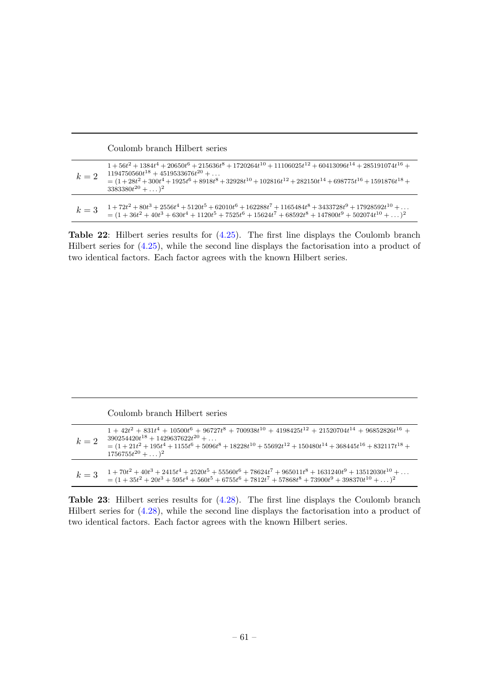| Coulomb branch Hilbert series |
|-------------------------------|
|-------------------------------|

<span id="page-61-0"></span>

| $k=2$ | $1+56t^2+1384t^4+20650t^6+215636t^8+1720264t^{10}+11106025t^{12}+60413096t^{14}+285191074t^{16}+$<br>$1194750560t^{18} + 4519533676t^{20} + \ldots$<br>$=(1+28t^2+300t^4+1925t^6+8918t^8+32928t^{10}+102816t^{12}+282150t^{14}+698775t^{16}+1591876t^{18}+$<br>$3383380t^{20} +  )^2$ |
|-------|---------------------------------------------------------------------------------------------------------------------------------------------------------------------------------------------------------------------------------------------------------------------------------------|
| $k=3$ | $1+72t^2+80t^3+2556t^4+5120t^5+62010t^6+162288t^7+1165484t^8+3433728t^9+17928592t^{10}+\ldots$<br>$-$ (1 + 2012 + 1013 + 02014 + 112015 + 750516 + 1500117 + 0050018 + 11720019 + 500071110 +                                                                                         |

Table 22: Hilbert series results for [\(4.25\)](#page-31-0). The first line displays the Coulomb branch Hilbert series for [\(4.25\)](#page-31-0), while the second line displays the factorisation into a product of two identical factors. Each factor agrees with the known Hilbert series.

 $= (1 + 36t<sup>2</sup> + 40t<sup>3</sup> + 630t<sup>4</sup> + 1120t<sup>5</sup> + 7525t<sup>6</sup> + 15624t<sup>7</sup> + 68592t<sup>8</sup> + 147800t<sup>9</sup> + 502074t<sup>10</sup> + ...)$ <sup>2</sup>

<span id="page-61-1"></span>

| $k=2$ | $1+42t^2+831t^4+10500t^6+96727t^8+700938t^{10}+4198425t^{12}+21520704t^{14}+96852826t^{16}+$<br>$390254420t^{18} + 1429637622t^{20} + \ldots$<br>$= (1 + 21t2 + 195t4 + 1155t6 + 5096t8 + 18228t10 + 55692t12 + 150480t14 + 368445t16 + 832117t18 +$<br>$1756755t^{20} +  )^2$ |
|-------|--------------------------------------------------------------------------------------------------------------------------------------------------------------------------------------------------------------------------------------------------------------------------------|
| $k=3$ | $1+70t^2+40t^3+2415t^4+2520t^5+55560t^6+78624t^7+965011t^8+1631240t^9+13512030t^{10}+\ldots$<br>$= (1 + 35t2 + 20t3 + 595t4 + 560t5 + 6755t6 + 7812t7 + 57868t8 + 73900t9 + 398370t10 + )2$                                                                                    |

Table 23: Hilbert series results for [\(4.28\)](#page-32-0). The first line displays the Coulomb branch Hilbert series for [\(4.28\)](#page-32-0), while the second line displays the factorisation into a product of two identical factors. Each factor agrees with the known Hilbert series.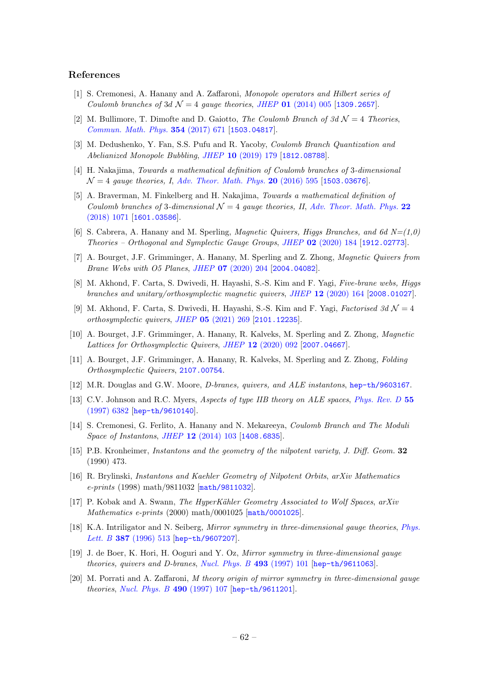#### References

- <span id="page-62-0"></span>[1] S. Cremonesi, A. Hanany and A. Zaffaroni, Monopole operators and Hilbert series of Coulomb branches of 3d  $\mathcal{N} = 4$  gauge theories, JHEP 01 [\(2014\) 005](https://doi.org/10.1007/JHEP01(2014)005) [[1309.2657](https://arxiv.org/abs/1309.2657)].
- <span id="page-62-1"></span>[2] M. Bullimore, T. Dimofte and D. Gaiotto, The Coulomb Branch of 3d  $\mathcal{N}=4$  Theories, [Commun. Math. Phys.](https://doi.org/10.1007/s00220-017-2903-0) 354 (2017) 671 [[1503.04817](https://arxiv.org/abs/1503.04817)].
- <span id="page-62-2"></span>[3] M. Dedushenko, Y. Fan, S.S. Pufu and R. Yacoby, Coulomb Branch Quantization and Abelianized Monopole Bubbling, JHEP 10 [\(2019\) 179](https://doi.org/10.1007/JHEP10(2019)179) [[1812.08788](https://arxiv.org/abs/1812.08788)].
- <span id="page-62-3"></span>[4] H. Nakajima, Towards a mathematical definition of Coulomb branches of 3-dimensional  $\mathcal{N} = 4$  gauge theories, I, [Adv. Theor. Math. Phys.](https://doi.org/10.4310/ATMP.2016.v20.n3.a4) 20 (2016) 595 [[1503.03676](https://arxiv.org/abs/1503.03676)].
- <span id="page-62-4"></span>[5] A. Braverman, M. Finkelberg and H. Nakajima, Towards a mathematical definition of Coulomb branches of 3-dimensional  $\mathcal{N}=4$  gauge theories, II, [Adv. Theor. Math. Phys.](https://doi.org/10.4310/ATMP.2018.v22.n5.a1) 22 [\(2018\) 1071](https://doi.org/10.4310/ATMP.2018.v22.n5.a1) [[1601.03586](https://arxiv.org/abs/1601.03586)].
- <span id="page-62-5"></span>[6] S. Cabrera, A. Hanany and M. Sperling, *Magnetic Quivers, Higgs Branches, and 6d N=(1,0)* Theories – Orthogonal and Symplectic Gauge Groups, JHEP 02 [\(2020\) 184](https://doi.org/10.1007/JHEP02(2020)184) [[1912.02773](https://arxiv.org/abs/1912.02773)].
- <span id="page-62-17"></span>[7] A. Bourget, J.F. Grimminger, A. Hanany, M. Sperling and Z. Zhong, Magnetic Quivers from Brane Webs with O5 Planes, JHEP 07 [\(2020\) 204](https://doi.org/10.1007/JHEP07(2020)204) [[2004.04082](https://arxiv.org/abs/2004.04082)].
- <span id="page-62-18"></span>[8] M. Akhond, F. Carta, S. Dwivedi, H. Hayashi, S.-S. Kim and F. Yagi, Five-brane webs, Higgs branches and unitary/orthosymplectic magnetic quivers, JHEP 12 [\(2020\) 164](https://doi.org/10.1007/JHEP12(2020)164) [[2008.01027](https://arxiv.org/abs/2008.01027)].
- <span id="page-62-6"></span>[9] M. Akhond, F. Carta, S. Dwivedi, H. Hayashi, S.-S. Kim and F. Yagi, Factorised 3d  $\mathcal{N}=4$ orthosymplectic quivers, JHEP 05 [\(2021\) 269](https://doi.org/10.1007/JHEP05(2021)269) [[2101.12235](https://arxiv.org/abs/2101.12235)].
- <span id="page-62-7"></span>[10] A. Bourget, J.F. Grimminger, A. Hanany, R. Kalveks, M. Sperling and Z. Zhong, Magnetic Lattices for Orthosymplectic Quivers, JHEP 12 [\(2020\) 092](https://doi.org/10.1007/JHEP12(2020)092) [[2007.04667](https://arxiv.org/abs/2007.04667)].
- <span id="page-62-8"></span>[11] A. Bourget, J.F. Grimminger, A. Hanany, R. Kalveks, M. Sperling and Z. Zhong, Folding Orthosymplectic Quivers, [2107.00754](https://arxiv.org/abs/2107.00754).
- <span id="page-62-9"></span>[12] M.R. Douglas and G.W. Moore, D-branes, quivers, and ALE instantons, [hep-th/9603167](https://arxiv.org/abs/hep-th/9603167).
- <span id="page-62-10"></span>[13] C.V. Johnson and R.C. Myers, Aspects of type IIB theory on ALE spaces, [Phys. Rev. D](https://doi.org/10.1103/PhysRevD.55.6382) 55 [\(1997\) 6382](https://doi.org/10.1103/PhysRevD.55.6382) [[hep-th/9610140](https://arxiv.org/abs/hep-th/9610140)].
- <span id="page-62-11"></span>[14] S. Cremonesi, G. Ferlito, A. Hanany and N. Mekareeya, *Coulomb Branch and The Moduli* Space of Instantons, JHEP 12 [\(2014\) 103](https://doi.org/10.1007/JHEP12(2014)103) [[1408.6835](https://arxiv.org/abs/1408.6835)].
- <span id="page-62-12"></span>[15] P.B. Kronheimer, Instantons and the geometry of the nilpotent variety, J. Diff. Geom. 32 (1990) 473.
- [16] R. Brylinski, Instantons and Kaehler Geometry of Nilpotent Orbits, arXiv Mathematics e-prints (1998) math/9811032 [[math/9811032](https://arxiv.org/abs/math/9811032)].
- <span id="page-62-13"></span>[17] P. Kobak and A. Swann, The HyperKähler Geometry Associated to Wolf Spaces,  $arXiv$ Mathematics e-prints (2000) math/0001025 [[math/0001025](https://arxiv.org/abs/math/0001025)].
- <span id="page-62-14"></span>[18] K.A. Intriligator and N. Seiberg, Mirror symmetry in three-dimensional gauge theories, [Phys.](https://doi.org/10.1016/0370-2693(96)01088-X) Lett. B 387 [\(1996\) 513](https://doi.org/10.1016/0370-2693(96)01088-X) [[hep-th/9607207](https://arxiv.org/abs/hep-th/9607207)].
- <span id="page-62-15"></span>[19] J. de Boer, K. Hori, H. Ooguri and Y. Oz, Mirror symmetry in three-dimensional gauge theories, quivers and D-branes, [Nucl. Phys. B](https://doi.org/10.1016/S0550-3213(97)00125-9) 493 (1997) 101 [[hep-th/9611063](https://arxiv.org/abs/hep-th/9611063)].
- <span id="page-62-16"></span>[20] M. Porrati and A. Zaffaroni, M theory origin of mirror symmetry in three-dimensional gauge theories, [Nucl. Phys. B](https://doi.org/10.1016/S0550-3213(97)00061-8) 490 (1997) 107 [[hep-th/9611201](https://arxiv.org/abs/hep-th/9611201)].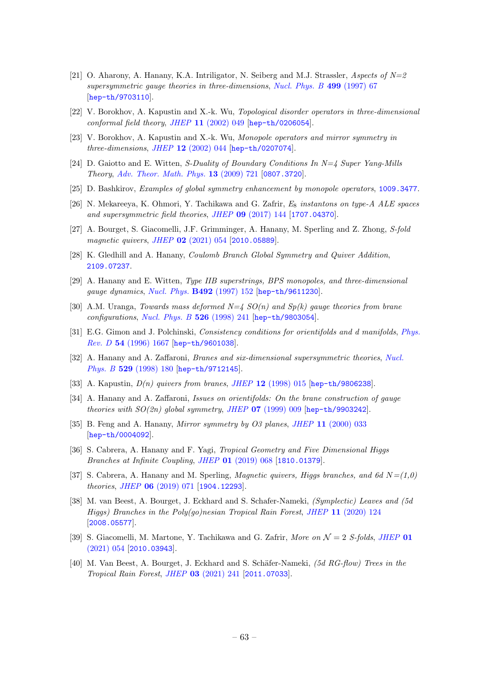- <span id="page-63-0"></span>[21] O. Aharony, A. Hanany, K.A. Intriligator, N. Seiberg and M.J. Strassler, Aspects of  $N=2$ supersymmetric gauge theories in three-dimensions, [Nucl. Phys. B](https://doi.org/10.1016/S0550-3213(97)00323-4) 499 (1997) 67 [[hep-th/9703110](https://arxiv.org/abs/hep-th/9703110)].
- [22] V. Borokhov, A. Kapustin and X.-k. Wu, Topological disorder operators in three-dimensional conformal field theory, JHEP 11 [\(2002\) 049](https://doi.org/10.1088/1126-6708/2002/11/049) [[hep-th/0206054](https://arxiv.org/abs/hep-th/0206054)].
- <span id="page-63-1"></span>[23] V. Borokhov, A. Kapustin and X.-k. Wu, Monopole operators and mirror symmetry in three-dimensions, JHEP 12 [\(2002\) 044](https://doi.org/10.1088/1126-6708/2002/12/044) [[hep-th/0207074](https://arxiv.org/abs/hep-th/0207074)].
- <span id="page-63-3"></span>[24] D. Gaiotto and E. Witten, S-Duality of Boundary Conditions In N=4 Super Yang-Mills Theory, [Adv. Theor. Math. Phys.](https://doi.org/10.4310/ATMP.2009.v13.n3.a5) 13 (2009) 721 [[0807.3720](https://arxiv.org/abs/0807.3720)].
- <span id="page-63-2"></span>[25] D. Bashkirov, Examples of global symmetry enhancement by monopole operators, [1009.3477](https://arxiv.org/abs/1009.3477).
- <span id="page-63-4"></span>[26] N. Mekareeya, K. Ohmori, Y. Tachikawa and G. Zafrir,  $E_8$  instantons on type-A ALE spaces and supersymmetric field theories, JHEP 09 [\(2017\) 144](https://doi.org/10.1007/JHEP09(2017)144) [[1707.04370](https://arxiv.org/abs/1707.04370)].
- [27] A. Bourget, S. Giacomelli, J.F. Grimminger, A. Hanany, M. Sperling and Z. Zhong, S-fold magnetic quivers, JHEP 02 [\(2021\) 054](https://doi.org/10.1007/JHEP02(2021)054) [[2010.05889](https://arxiv.org/abs/2010.05889)].
- <span id="page-63-5"></span>[28] K. Gledhill and A. Hanany, Coulomb Branch Global Symmetry and Quiver Addition, [2109.07237](https://arxiv.org/abs/2109.07237).
- <span id="page-63-6"></span>[29] A. Hanany and E. Witten, Type IIB superstrings, BPS monopoles, and three-dimensional gauge dynamics, [Nucl. Phys.](https://doi.org/10.1016/S0550-3213(97)00157-0, 10.1016/S0550-3213(97)80030-2) B492 (1997) 152 [[hep-th/9611230](https://arxiv.org/abs/hep-th/9611230)].
- <span id="page-63-7"></span>[30] A.M. Uranga, Towards mass deformed  $N=4$  SO(n) and Sp(k) gauge theories from brane configurations, [Nucl. Phys. B](https://doi.org/10.1016/S0550-3213(98)00370-8) 526 (1998) 241 [[hep-th/9803054](https://arxiv.org/abs/hep-th/9803054)].
- [31] E.G. Gimon and J. Polchinski, Consistency conditions for orientifolds and d manifolds, [Phys.](https://doi.org/10.1103/PhysRevD.54.1667) Rev. D 54 [\(1996\) 1667](https://doi.org/10.1103/PhysRevD.54.1667) [[hep-th/9601038](https://arxiv.org/abs/hep-th/9601038)].
- <span id="page-63-13"></span>[32] A. Hanany and A. Zaffaroni, Branes and six-dimensional supersymmetric theories, [Nucl.](https://doi.org/10.1016/S0550-3213(98)00355-1) Phys. B 529 [\(1998\) 180](https://doi.org/10.1016/S0550-3213(98)00355-1) [[hep-th/9712145](https://arxiv.org/abs/hep-th/9712145)].
- <span id="page-63-11"></span>[33] A. Kapustin,  $D(n)$  quivers from branes, JHEP 12 [\(1998\) 015](https://doi.org/10.1088/1126-6708/1998/12/015) [[hep-th/9806238](https://arxiv.org/abs/hep-th/9806238)].
- <span id="page-63-12"></span>[34] A. Hanany and A. Zaffaroni, Issues on orientifolds: On the brane construction of gauge theories with  $SO(2n)$  global symmetry, JHEP  $\overline{07}$  [\(1999\) 009](https://doi.org/10.1088/1126-6708/1999/07/009) [[hep-th/9903242](https://arxiv.org/abs/hep-th/9903242)].
- <span id="page-63-8"></span>[35] B. Feng and A. Hanany, Mirror symmetry by O3 planes, JHEP 11 [\(2000\) 033](https://doi.org/10.1088/1126-6708/2000/11/033) [[hep-th/0004092](https://arxiv.org/abs/hep-th/0004092)].
- <span id="page-63-9"></span>[36] S. Cabrera, A. Hanany and F. Yagi, *Tropical Geometry and Five Dimensional Higgs* Branches at Infinite Coupling, JHEP 01 [\(2019\) 068](https://doi.org/10.1007/JHEP01(2019)068) [[1810.01379](https://arxiv.org/abs/1810.01379)].
- <span id="page-63-10"></span>[37] S. Cabrera, A. Hanany and M. Sperling, *Magnetic quivers, Higgs branches, and 6d N*= $(1,0)$ theories, JHEP 06 [\(2019\) 071](https://doi.org/10.1007/JHEP07(2019)137, 10.1007/JHEP06(2019)071) [[1904.12293](https://arxiv.org/abs/1904.12293)].
- [38] M. van Beest, A. Bourget, J. Eckhard and S. Schafer-Nameki, (Symplectic) Leaves and (5d Higgs) Branches in the Poly(go)nesian Tropical Rain Forest, JHEP 11 [\(2020\) 124](https://doi.org/10.1007/JHEP11(2020)124) [[2008.05577](https://arxiv.org/abs/2008.05577)].
- [39] S. Giacomelli, M. Martone, Y. Tachikawa and G. Zafrir, More on  $\mathcal{N}=2$  S-folds, [JHEP](https://doi.org/10.1007/JHEP01(2021)054) 01 [\(2021\) 054](https://doi.org/10.1007/JHEP01(2021)054) [[2010.03943](https://arxiv.org/abs/2010.03943)].
- [40] M. Van Beest, A. Bourget, J. Eckhard and S. Schäfer-Nameki, (5d RG-flow) Trees in the Tropical Rain Forest, JHEP 03 [\(2021\) 241](https://doi.org/10.1007/JHEP03(2021)241) [[2011.07033](https://arxiv.org/abs/2011.07033)].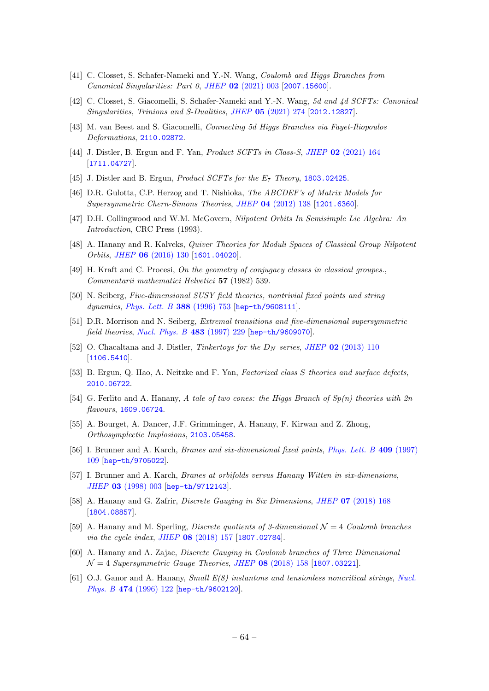- [41] C. Closset, S. Schafer-Nameki and Y.-N. Wang, Coulomb and Higgs Branches from Canonical Singularities: Part 0, JHEP 02 [\(2021\) 003](https://doi.org/10.1007/JHEP02(2021)003) [[2007.15600](https://arxiv.org/abs/2007.15600)].
- [42] C. Closset, S. Giacomelli, S. Schafer-Nameki and Y.-N. Wang, 5d and 4d SCFTs: Canonical Singularities, Trinions and S-Dualities, JHEP 05 [\(2021\) 274](https://doi.org/10.1007/JHEP05(2021)274) [[2012.12827](https://arxiv.org/abs/2012.12827)].
- <span id="page-64-0"></span>[43] M. van Beest and S. Giacomelli, Connecting 5d Higgs Branches via Fayet-Iliopoulos Deformations, [2110.02872](https://arxiv.org/abs/2110.02872).
- <span id="page-64-1"></span>[44] J. Distler, B. Ergun and F. Yan, Product SCFTs in Class-S, JHEP 02 [\(2021\) 164](https://doi.org/10.1007/JHEP02(2021)164) [[1711.04727](https://arxiv.org/abs/1711.04727)].
- <span id="page-64-2"></span>[45] J. Distler and B. Ergun, *Product SCFTs for the E<sub>7</sub> Theory*,  $1803.02425$ .
- <span id="page-64-3"></span>[46] D.R. Gulotta, C.P. Herzog and T. Nishioka, The ABCDEF's of Matrix Models for Supersymmetric Chern-Simons Theories, JHEP 04 [\(2012\) 138](https://doi.org/10.1007/JHEP04(2012)138) [[1201.6360](https://arxiv.org/abs/1201.6360)].
- <span id="page-64-4"></span>[47] D.H. Collingwood and W.M. McGovern, Nilpotent Orbits In Semisimple Lie Algebra: An Introduction, CRC Press (1993).
- <span id="page-64-5"></span>[48] A. Hanany and R. Kalveks, Quiver Theories for Moduli Spaces of Classical Group Nilpotent Orbits, JHEP 06 [\(2016\) 130](https://doi.org/10.1007/JHEP06(2016)130) [[1601.04020](https://arxiv.org/abs/1601.04020)].
- <span id="page-64-6"></span>[49] H. Kraft and C. Procesi, On the geometry of conjugacy classes in classical groupes., Commentarii mathematici Helvetici 57 (1982) 539.
- <span id="page-64-7"></span>[50] N. Seiberg, Five-dimensional SUSY field theories, nontrivial fixed points and string dynamics, [Phys. Lett. B](https://doi.org/10.1016/S0370-2693(96)01215-4) 388 (1996) 753 [[hep-th/9608111](https://arxiv.org/abs/hep-th/9608111)].
- <span id="page-64-8"></span>[51] D.R. Morrison and N. Seiberg, Extremal transitions and five-dimensional supersymmetric field theories, [Nucl. Phys. B](https://doi.org/10.1016/S0550-3213(96)00592-5) 483 (1997) 229 [[hep-th/9609070](https://arxiv.org/abs/hep-th/9609070)].
- <span id="page-64-9"></span>[52] O. Chacaltana and J. Distler, Tinkertoys for the  $D<sub>N</sub>$  series, JHEP 02 [\(2013\) 110](https://doi.org/10.1007/JHEP02(2013)110) [[1106.5410](https://arxiv.org/abs/1106.5410)].
- <span id="page-64-10"></span>[53] B. Ergun, Q. Hao, A. Neitzke and F. Yan, Factorized class S theories and surface defects, [2010.06722](https://arxiv.org/abs/2010.06722).
- <span id="page-64-11"></span>[54] G. Ferlito and A. Hanany, A tale of two cones: the Higgs Branch of  $Sp(n)$  theories with  $2n$ flavours, [1609.06724](https://arxiv.org/abs/1609.06724).
- <span id="page-64-12"></span>[55] A. Bourget, A. Dancer, J.F. Grimminger, A. Hanany, F. Kirwan and Z. Zhong, Orthosymplectic Implosions, [2103.05458](https://arxiv.org/abs/2103.05458).
- <span id="page-64-13"></span>[56] I. Brunner and A. Karch, Branes and six-dimensional fixed points, [Phys. Lett. B](https://doi.org/10.1016/S0370-2693(97)00935-0) 409 (1997) [109](https://doi.org/10.1016/S0370-2693(97)00935-0) [[hep-th/9705022](https://arxiv.org/abs/hep-th/9705022)].
- <span id="page-64-14"></span>[57] I. Brunner and A. Karch, Branes at orbifolds versus Hanany Witten in six-dimensions, JHEP 03 [\(1998\) 003](https://doi.org/10.1088/1126-6708/1998/03/003) [[hep-th/9712143](https://arxiv.org/abs/hep-th/9712143)].
- <span id="page-64-15"></span>[58] A. Hanany and G. Zafrir, Discrete Gauging in Six Dimensions, JHEP 07 [\(2018\) 168](https://doi.org/10.1007/JHEP07(2018)168) [[1804.08857](https://arxiv.org/abs/1804.08857)].
- [59] A. Hanany and M. Sperling, *Discrete quotients of 3-dimensional*  $\mathcal{N} = 4$  Coulomb branches via the cycle index, JHEP 08 [\(2018\) 157](https://doi.org/10.1007/JHEP08(2018)157) [[1807.02784](https://arxiv.org/abs/1807.02784)].
- <span id="page-64-16"></span>[60] A. Hanany and A. Zajac, Discrete Gauging in Coulomb branches of Three Dimensional  $\mathcal{N} = 4$  Supersymmetric Gauge Theories, JHEP 08 [\(2018\) 158](https://doi.org/10.1007/JHEP08(2018)158) [[1807.03221](https://arxiv.org/abs/1807.03221)].
- <span id="page-64-17"></span>[61] O.J. Ganor and A. Hanany, Small E(8) instantons and tensionless noncritical strings, [Nucl.](https://doi.org/10.1016/0550-3213(96)00243-X) Phys. B 474 [\(1996\) 122](https://doi.org/10.1016/0550-3213(96)00243-X) [[hep-th/9602120](https://arxiv.org/abs/hep-th/9602120)].